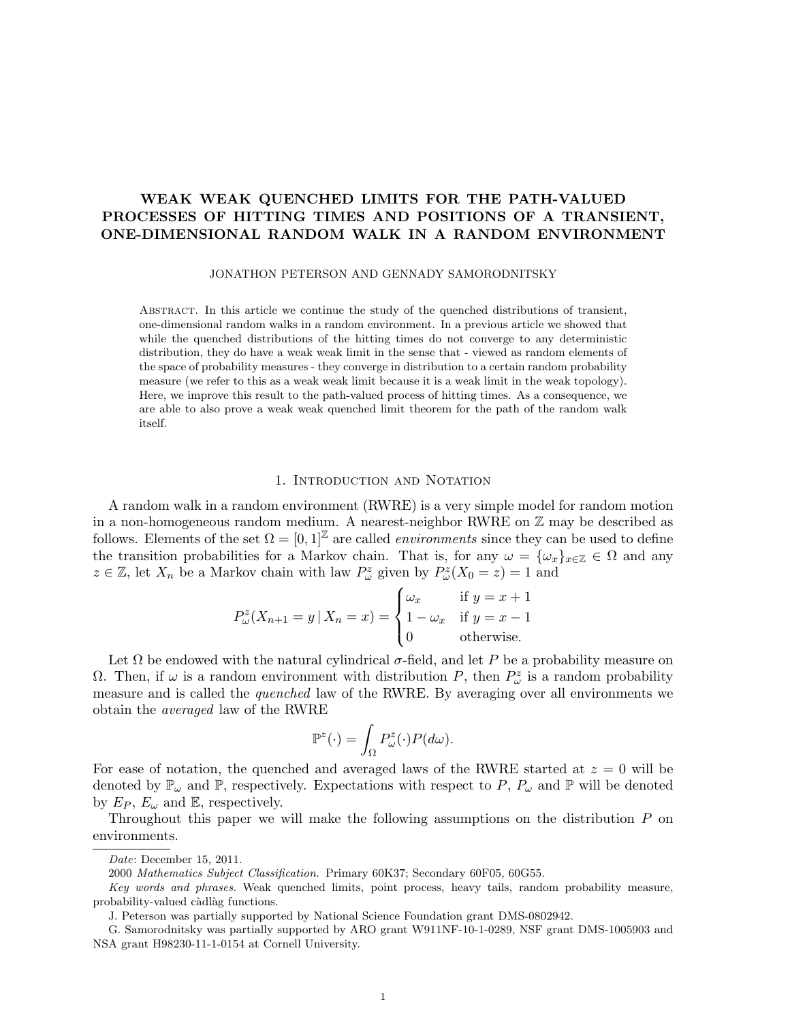# WEAK WEAK QUENCHED LIMITS FOR THE PATH-VALUED PROCESSES OF HITTING TIMES AND POSITIONS OF A TRANSIENT, ONE-DIMENSIONAL RANDOM WALK IN A RANDOM ENVIRONMENT

JONATHON PETERSON AND GENNADY SAMORODNITSKY

Abstract. In this article we continue the study of the quenched distributions of transient, one-dimensional random walks in a random environment. In a previous article we showed that while the quenched distributions of the hitting times do not converge to any deterministic distribution, they do have a weak weak limit in the sense that - viewed as random elements of the space of probability measures - they converge in distribution to a certain random probability measure (we refer to this as a weak weak limit because it is a weak limit in the weak topology). Here, we improve this result to the path-valued process of hitting times. As a consequence, we are able to also prove a weak weak quenched limit theorem for the path of the random walk itself.

### 1. INTRODUCTION AND NOTATION

A random walk in a random environment (RWRE) is a very simple model for random motion in a non-homogeneous random medium. A nearest-neighbor RWRE on Z may be described as follows. Elements of the set  $\Omega = [0, 1]^{\mathbb{Z}}$  are called *environments* since they can be used to define the transition probabilities for a Markov chain. That is, for any  $\omega = {\{\omega_x\}}_{x \in \mathbb{Z}} \in \Omega$  and any  $z \in \mathbb{Z}$ , let  $X_n$  be a Markov chain with law  $P^z_\omega$  given by  $P^z_\omega(X_0 = z) = 1$  and

$$
P_{\omega}^{z}(X_{n+1} = y \mid X_n = x) = \begin{cases} \omega_x & \text{if } y = x + 1 \\ 1 - \omega_x & \text{if } y = x - 1 \\ 0 & \text{otherwise.} \end{cases}
$$

Let  $\Omega$  be endowed with the natural cylindrical  $\sigma$ -field, and let P be a probability measure on Ω. Then, if  $\omega$  is a random environment with distribution P, then  $P^z_\omega$  is a random probability measure and is called the quenched law of the RWRE. By averaging over all environments we obtain the averaged law of the RWRE

$$
\mathbb{P}^z(\cdot) = \int_{\Omega} P_{\omega}^z(\cdot) P(d\omega).
$$

For ease of notation, the quenched and averaged laws of the RWRE started at  $z = 0$  will be denoted by  $\mathbb{P}_{\omega}$  and  $\mathbb{P}$ , respectively. Expectations with respect to P,  $P_{\omega}$  and  $\mathbb{P}$  will be denoted by  $E_P$ ,  $E_\omega$  and  $\mathbb E$ , respectively.

Throughout this paper we will make the following assumptions on the distribution P on environments.

Date: December 15, 2011.

<sup>2000</sup> Mathematics Subject Classification. Primary 60K37; Secondary 60F05, 60G55.

Key words and phrases. Weak quenched limits, point process, heavy tails, random probability measure, probability-valued càdlàg functions.

J. Peterson was partially supported by National Science Foundation grant DMS-0802942.

G. Samorodnitsky was partially supported by ARO grant W911NF-10-1-0289, NSF grant DMS-1005903 and NSA grant H98230-11-1-0154 at Cornell University.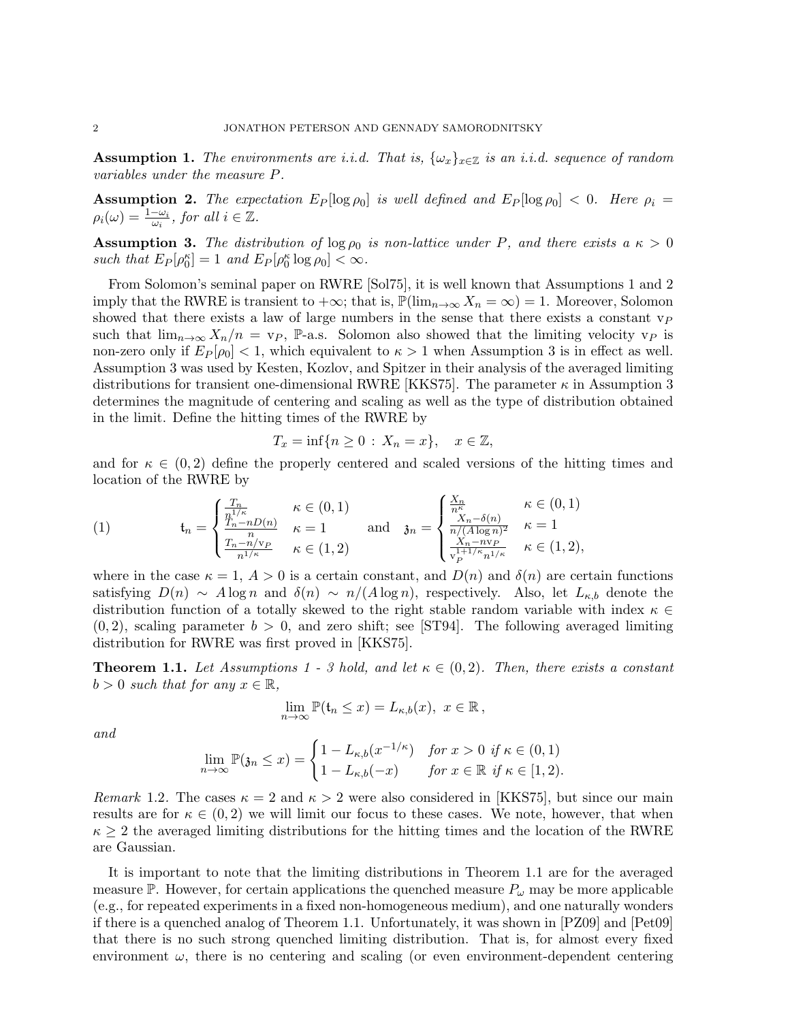**Assumption 1.** The environments are i.i.d. That is,  $\{\omega_x\}_{x\in\mathbb{Z}}$  is an i.i.d. sequence of random variables under the measure P.

**Assumption 2.** The expectation  $E_P[\log \rho_0]$  is well defined and  $E_P[\log \rho_0] < 0$ . Here  $\rho_i =$  $\rho_i(\omega) = \frac{1-\omega_i}{\omega_i}$ , for all  $i \in \mathbb{Z}$ .

**Assumption 3.** The distribution of  $\log \rho_0$  is non-lattice under P, and there exists a  $\kappa > 0$ such that  $E_P[\rho_0^{\kappa}] = 1$  and  $E_P[\rho_0^{\kappa} \log \rho_0] < \infty$ .

From Solomon's seminal paper on RWRE [Sol75], it is well known that Assumptions 1 and 2 imply that the RWRE is transient to  $+\infty$ ; that is,  $\mathbb{P}(\lim_{n\to\infty}X_n=\infty)=1$ . Moreover, Solomon showed that there exists a law of large numbers in the sense that there exists a constant  $v_P$ such that  $\lim_{n\to\infty} X_n/n = v_P$ , P-a.s. Solomon also showed that the limiting velocity  $v_P$  is non-zero only if  $E_P[\rho_0]<1$ , which equivalent to  $\kappa>1$  when Assumption 3 is in effect as well. Assumption 3 was used by Kesten, Kozlov, and Spitzer in their analysis of the averaged limiting distributions for transient one-dimensional RWRE [KKS75]. The parameter  $\kappa$  in Assumption 3 determines the magnitude of centering and scaling as well as the type of distribution obtained in the limit. Define the hitting times of the RWRE by

$$
T_x = \inf\{n \ge 0 \,:\, X_n = x\}, \quad x \in \mathbb{Z},
$$

and for  $\kappa \in (0,2)$  define the properly centered and scaled versions of the hitting times and location of the RWRE by

(1) 
$$
\mathfrak{t}_{n} = \begin{cases} \frac{T_{n}}{n^{1/\kappa}} & \kappa \in (0,1) \\ \frac{T_{n} - nD(n)}{n} & \kappa = 1 \\ \frac{T_{n} - n/\mathbf{v}_{P}}{n^{1/\kappa}} & \kappa \in (1,2) \end{cases} \text{ and } \mathfrak{z}_{n} = \begin{cases} \frac{X_{n}}{n^{\kappa}} & \kappa \in (0,1) \\ \frac{X_{n} - \delta(n)}{n/(A\log n)^{2}} & \kappa = 1 \\ \frac{X_{n} - n\mathbf{v}_{P}}{1 + 1/\kappa n^{1/\kappa}} & \kappa \in (1,2), \end{cases}
$$

where in the case  $\kappa = 1, A > 0$  is a certain constant, and  $D(n)$  and  $\delta(n)$  are certain functions satisfying  $D(n) \sim A \log n$  and  $\delta(n) \sim n/(A \log n)$ , respectively. Also, let  $L_{\kappa,b}$  denote the distribution function of a totally skewed to the right stable random variable with index  $\kappa \in$  $(0, 2)$ , scaling parameter  $b > 0$ , and zero shift; see [ST94]. The following averaged limiting distribution for RWRE was first proved in [KKS75].

**Theorem 1.1.** Let Assumptions 1 - 3 hold, and let  $\kappa \in (0,2)$ . Then, there exists a constant  $b > 0$  such that for any  $x \in \mathbb{R}$ ,

$$
\lim_{n \to \infty} \mathbb{P}(\mathfrak{t}_n \le x) = L_{\kappa,b}(x), \ x \in \mathbb{R},
$$

and

$$
\lim_{n \to \infty} \mathbb{P}(\mathfrak{z}_n \le x) = \begin{cases} 1 - L_{\kappa,b}(x^{-1/\kappa}) & \text{for } x > 0 \text{ if } \kappa \in (0,1) \\ 1 - L_{\kappa,b}(-x) & \text{for } x \in \mathbb{R} \text{ if } \kappa \in [1,2). \end{cases}
$$

Remark 1.2. The cases  $\kappa = 2$  and  $\kappa > 2$  were also considered in [KKS75], but since our main results are for  $\kappa \in (0, 2)$  we will limit our focus to these cases. We note, however, that when  $\kappa \geq 2$  the averaged limiting distributions for the hitting times and the location of the RWRE are Gaussian.

It is important to note that the limiting distributions in Theorem 1.1 are for the averaged measure  $\mathbb P$ . However, for certain applications the quenched measure  $P_\omega$  may be more applicable (e.g., for repeated experiments in a fixed non-homogeneous medium), and one naturally wonders if there is a quenched analog of Theorem 1.1. Unfortunately, it was shown in [PZ09] and [Pet09] that there is no such strong quenched limiting distribution. That is, for almost every fixed environment  $\omega$ , there is no centering and scaling (or even environment-dependent centering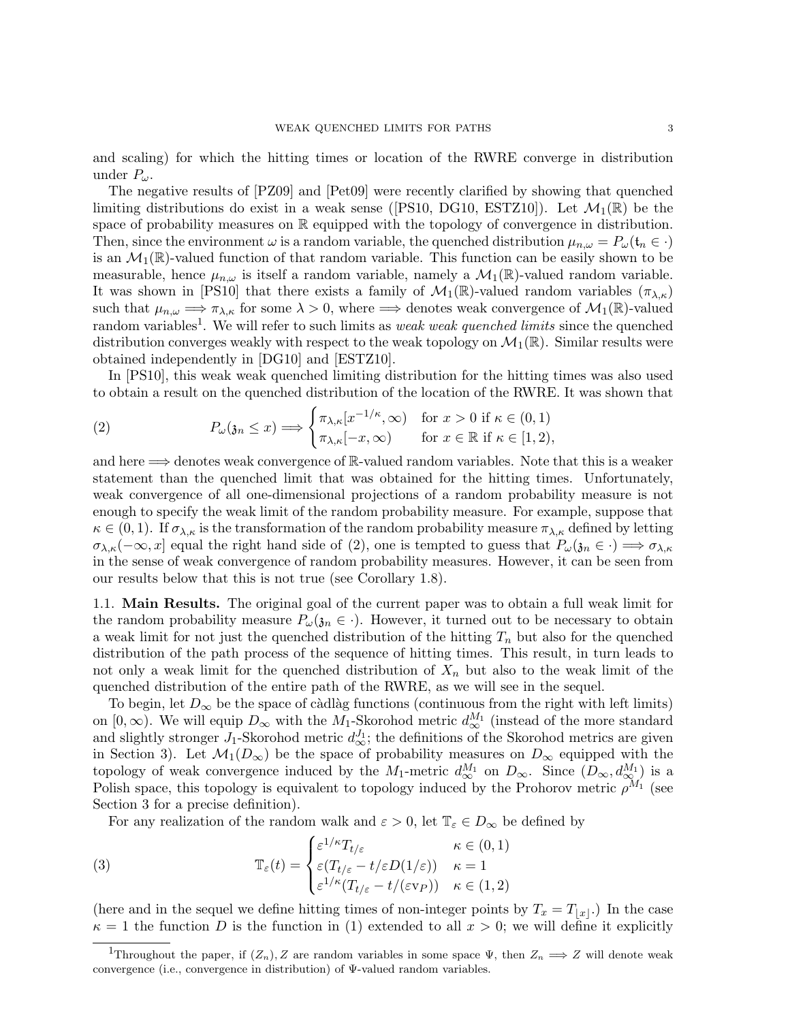and scaling) for which the hitting times or location of the RWRE converge in distribution under  $P_{\omega}$ .

The negative results of [PZ09] and [Pet09] were recently clarified by showing that quenched limiting distributions do exist in a weak sense ([PS10, DG10, ESTZ10]). Let  $\mathcal{M}_1(\mathbb{R})$  be the space of probability measures on  $\mathbb R$  equipped with the topology of convergence in distribution. Then, since the environment  $\omega$  is a random variable, the quenched distribution  $\mu_{n,\omega} = P_{\omega}(\mathfrak{t}_n \in \cdot)$ is an  $\mathcal{M}_1(\mathbb{R})$ -valued function of that random variable. This function can be easily shown to be measurable, hence  $\mu_{n,\omega}$  is itself a random variable, namely a  $\mathcal{M}_1(\mathbb{R})$ -valued random variable. It was shown in [PS10] that there exists a family of  $\mathcal{M}_1(\mathbb{R})$ -valued random variables  $(\pi_{\lambda,\kappa})$ such that  $\mu_{n,\omega} \implies \pi_{\lambda,\kappa}$  for some  $\lambda > 0$ , where  $\implies$  denotes weak convergence of  $\mathcal{M}_1(\mathbb{R})$ -valued random variables<sup>1</sup>. We will refer to such limits as *weak weak quenched limits* since the quenched distribution converges weakly with respect to the weak topology on  $\mathcal{M}_1(\mathbb{R})$ . Similar results were obtained independently in [DG10] and [ESTZ10].

In [PS10], this weak weak quenched limiting distribution for the hitting times was also used to obtain a result on the quenched distribution of the location of the RWRE. It was shown that

(2) 
$$
P_{\omega}(\mathfrak{z}_n \leq x) \Longrightarrow \begin{cases} \pi_{\lambda,\kappa}[x^{-1/\kappa},\infty) & \text{for } x > 0 \text{ if } \kappa \in (0,1) \\ \pi_{\lambda,\kappa}[-x,\infty) & \text{for } x \in \mathbb{R} \text{ if } \kappa \in [1,2), \end{cases}
$$

and here =⇒ denotes weak convergence of R-valued random variables. Note that this is a weaker statement than the quenched limit that was obtained for the hitting times. Unfortunately, weak convergence of all one-dimensional projections of a random probability measure is not enough to specify the weak limit of the random probability measure. For example, suppose that  $\kappa \in (0,1)$ . If  $\sigma_{\lambda,\kappa}$  is the transformation of the random probability measure  $\pi_{\lambda,\kappa}$  defined by letting  $\sigma_{\lambda,\kappa}(-\infty,x]$  equal the right hand side of (2), one is tempted to guess that  $P_{\omega}(\mathfrak{z}_n\in\cdot)\Longrightarrow\sigma_{\lambda,\kappa}$ in the sense of weak convergence of random probability measures. However, it can be seen from our results below that this is not true (see Corollary 1.8).

1.1. Main Results. The original goal of the current paper was to obtain a full weak limit for the random probability measure  $P_{\omega}(3n \in \cdot)$ . However, it turned out to be necessary to obtain a weak limit for not just the quenched distribution of the hitting  $T_n$  but also for the quenched distribution of the path process of the sequence of hitting times. This result, in turn leads to not only a weak limit for the quenched distribution of  $X_n$  but also to the weak limit of the quenched distribution of the entire path of the RWRE, as we will see in the sequel.

To begin, let  $D_{\infty}$  be the space of càdlàg functions (continuous from the right with left limits) on  $[0, \infty)$ . We will equip  $D_{\infty}$  with the  $M_1$ -Skorohod metric  $d_{\infty}^{M_1}$  (instead of the more standard and slightly stronger  $J_1$ -Skorohod metric  $d_{\infty}^{J_1}$ ; the definitions of the Skorohod metrics are given in Section 3). Let  $\mathcal{M}_1(D_{\infty})$  be the space of probability measures on  $D_{\infty}$  equipped with the topology of weak convergence induced by the  $M_1$ -metric  $d_{\infty}^{M_1}$  on  $D_{\infty}$ . Since  $(D_{\infty}, d_{\infty}^{M_1})$  is a Polish space, this topology is equivalent to topology induced by the Prohorov metric  $\rho^{M_1}$  (see Section 3 for a precise definition).

For any realization of the random walk and  $\varepsilon > 0$ , let  $\mathbb{T}_{\varepsilon} \in D_{\infty}$  be defined by

(3) 
$$
\mathbb{T}_{\varepsilon}(t) = \begin{cases} \varepsilon^{1/\kappa} T_{t/\varepsilon} & \kappa \in (0,1) \\ \varepsilon(T_{t/\varepsilon} - t/\varepsilon D(1/\varepsilon)) & \kappa = 1 \\ \varepsilon^{1/\kappa} (T_{t/\varepsilon} - t/(\varepsilon \vee P)) & \kappa \in (1,2) \end{cases}
$$

(here and in the sequel we define hitting times of non-integer points by  $T_x = T_{|x|}$ .) In the case  $\kappa = 1$  the function D is the function in (1) extended to all  $x > 0$ ; we will define it explicitly

<sup>&</sup>lt;sup>1</sup>Throughout the paper, if  $(Z_n)$ , Z are random variables in some space  $\Psi$ , then  $Z_n \Longrightarrow Z$  will denote weak convergence (i.e., convergence in distribution) of Ψ-valued random variables.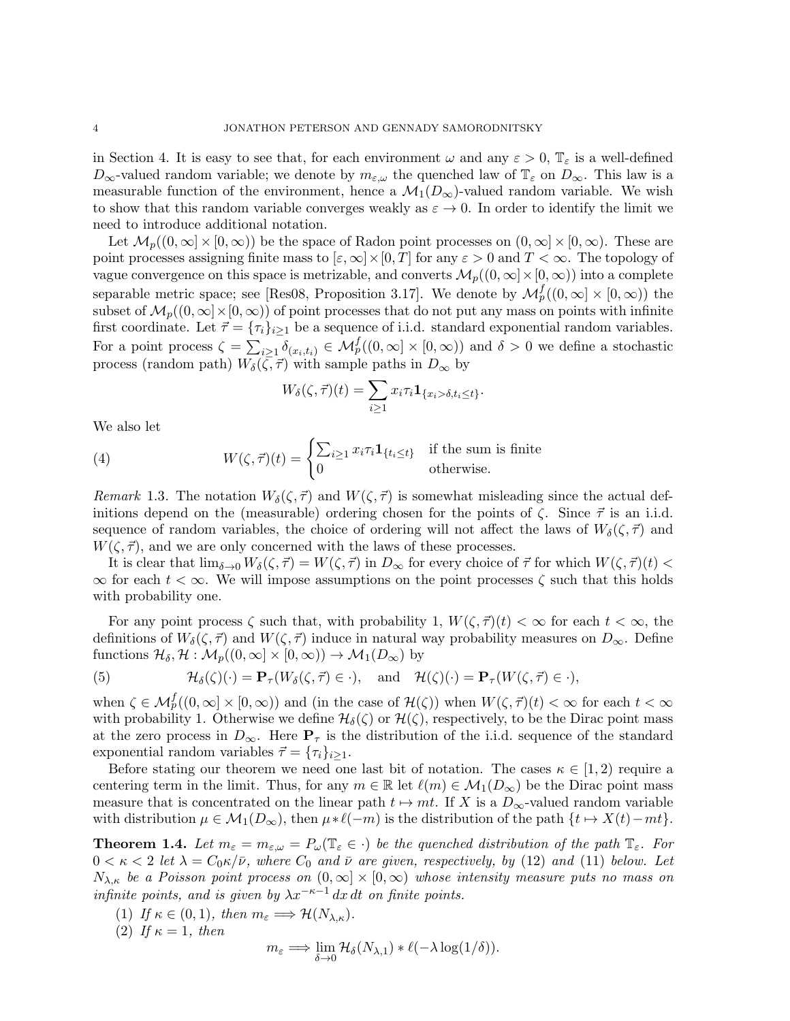in Section 4. It is easy to see that, for each environment  $\omega$  and any  $\varepsilon > 0$ ,  $\mathbb{T}_{\varepsilon}$  is a well-defined  $D_{\infty}$ -valued random variable; we denote by  $m_{\varepsilon,\omega}$  the quenched law of  $\mathbb{T}_{\varepsilon}$  on  $D_{\infty}$ . This law is a measurable function of the environment, hence a  $\mathcal{M}_1(D_\infty)$ -valued random variable. We wish to show that this random variable converges weakly as  $\varepsilon \to 0$ . In order to identify the limit we need to introduce additional notation.

Let  $\mathcal{M}_p((0,\infty]\times[0,\infty))$  be the space of Radon point processes on  $(0,\infty]\times[0,\infty)$ . These are point processes assigning finite mass to  $[\varepsilon,\infty]\times[0,T]$  for any  $\varepsilon>0$  and  $T<\infty$ . The topology of vague convergence on this space is metrizable, and converts  $\mathcal{M}_p((0,\infty)\times[0,\infty))$  into a complete separable metric space; see [Res08, Proposition 3.17]. We denote by  $\mathcal{M}_{p}^{f}((0,\infty] \times [0,\infty))$  the subset of  $M_p((0,\infty)\times[0,\infty))$  of point processes that do not put any mass on points with infinite first coordinate. Let  $\vec{\tau} = {\tau_i}_{i\geq 1}$  be a sequence of i.i.d. standard exponential random variables. For a point process  $\zeta = \sum_{i \geq 1} \delta_{(x_i, t_i)} \in \mathcal{M}_{p}^f((0, \infty) \times [0, \infty))$  and  $\delta > 0$  we define a stochastic process (random path)  $W_{\delta}(\zeta, \vec{\tau})$  with sample paths in  $D_{\infty}$  by

$$
W_{\delta}(\zeta,\vec{\tau})(t)=\sum_{i\geq 1}x_i\tau_i\mathbf{1}_{\{x_i>\delta,t_i\leq t\}}.
$$

We also let

(4) 
$$
W(\zeta, \vec{\tau})(t) = \begin{cases} \sum_{i \geq 1} x_i \tau_i \mathbf{1}_{\{t_i \leq t\}} & \text{if the sum is finite} \\ 0 & \text{otherwise.} \end{cases}
$$

Remark 1.3. The notation  $W_{\delta}(\zeta, \vec{\tau})$  and  $W(\zeta, \vec{\tau})$  is somewhat misleading since the actual definitions depend on the (measurable) ordering chosen for the points of  $\zeta$ . Since  $\vec{\tau}$  is an i.i.d. sequence of random variables, the choice of ordering will not affect the laws of  $W_{\delta}(\zeta, \vec{\tau})$  and  $W(\zeta, \vec{\tau})$ , and we are only concerned with the laws of these processes.

It is clear that  $\lim_{\delta \to 0} W_{\delta}(\zeta, \vec{\tau}) = W(\zeta, \vec{\tau})$  in  $D_{\infty}$  for every choice of  $\vec{\tau}$  for which  $W(\zeta, \vec{\tau})(t)$  $\infty$  for each  $t < \infty$ . We will impose assumptions on the point processes  $\zeta$  such that this holds with probability one.

For any point process  $\zeta$  such that, with probability 1,  $W(\zeta, \vec{\tau})(t) < \infty$  for each  $t < \infty$ , the definitions of  $W_\delta(\zeta, \vec{\tau})$  and  $W(\zeta, \vec{\tau})$  induce in natural way probability measures on  $D_\infty$ . Define functions  $\mathcal{H}_{\delta}, \mathcal{H} : \mathcal{M}_p((0,\infty] \times [0,\infty)) \to \mathcal{M}_1(D_\infty)$  by

(5) 
$$
\mathcal{H}_{\delta}(\zeta)(\cdot) = \mathbf{P}_{\tau}(W_{\delta}(\zeta,\vec{\tau}) \in \cdot), \text{ and } \mathcal{H}(\zeta)(\cdot) = \mathbf{P}_{\tau}(W(\zeta,\vec{\tau}) \in \cdot),
$$

when  $\zeta \in \mathcal{M}_{p}^{f}((0,\infty] \times [0,\infty))$  and (in the case of  $\mathcal{H}(\zeta)$ ) when  $W(\zeta, \vec{\tau})(t) < \infty$  for each  $t < \infty$ with probability 1. Otherwise we define  $\mathcal{H}_{\delta}(\zeta)$  or  $\mathcal{H}(\zeta)$ , respectively, to be the Dirac point mass at the zero process in  $D_{\infty}$ . Here  $P_{\tau}$  is the distribution of the i.i.d. sequence of the standard exponential random variables  $\vec{\tau} = {\tau_i}_{i\geq 1}$ .

Before stating our theorem we need one last bit of notation. The cases  $\kappa \in [1,2)$  require a centering term in the limit. Thus, for any  $m \in \mathbb{R}$  let  $\ell(m) \in \mathcal{M}_1(D_\infty)$  be the Dirac point mass measure that is concentrated on the linear path  $t \mapsto mt$ . If X is a  $D_{\infty}$ -valued random variable with distribution  $\mu \in \mathcal{M}_1(D_\infty)$ , then  $\mu * \ell(-m)$  is the distribution of the path  $\{t \mapsto X(t)-mt\}$ .

**Theorem 1.4.** Let  $m_{\varepsilon} = m_{\varepsilon,\omega} = P_{\omega}(\mathbb{T}_{\varepsilon} \in \cdot)$  be the quenched distribution of the path  $\mathbb{T}_{\varepsilon}$ . For  $0 < \kappa < 2$  let  $\lambda = C_0 \kappa / \bar{\nu}$ , where  $C_0$  and  $\bar{\nu}$  are given, respectively, by (12) and (11) below. Let  $N_{\lambda,\kappa}$  be a Poisson point process on  $(0,\infty] \times [0,\infty)$  whose intensity measure puts no mass on infinite points, and is given by  $\lambda x^{-\kappa-1} dx dt$  on finite points.

- (1) If  $\kappa \in (0,1)$ , then  $m_{\varepsilon} \Longrightarrow \mathcal{H}(N_{\lambda,\kappa})$ .
- (2) If  $\kappa = 1$ , then

$$
m_{\varepsilon} \Longrightarrow \lim_{\delta \to 0} \mathcal{H}_{\delta}(N_{\lambda,1}) * \ell(-\lambda \log(1/\delta)).
$$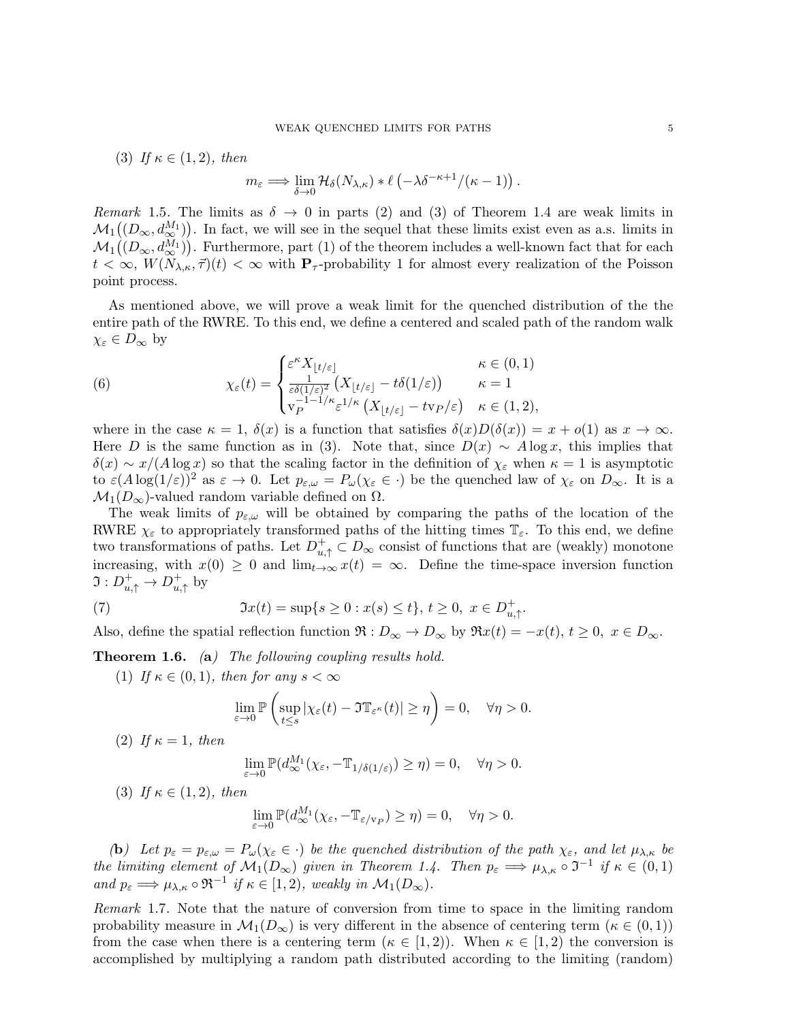(3) If  $\kappa \in (1,2)$ , then

$$
m_{\varepsilon} \Longrightarrow \lim_{\delta \to 0} \mathcal{H}_{\delta}(N_{\lambda,\kappa}) * \ell \left( -\lambda \delta^{-\kappa+1}/(\kappa-1) \right).
$$

Remark 1.5. The limits as  $\delta \rightarrow 0$  in parts (2) and (3) of Theorem 1.4 are weak limits in  $M_1((D_{\infty}, d_{\infty}^{M_1}))$ . In fact, we will see in the sequel that these limits exist even as a.s. limits in  $M_1((D_{\infty}, d_{\infty}^{M_1}))$ . Furthermore, part (1) of the theorem includes a well-known fact that for each  $t < \infty$ ,  $W(N_{\lambda,\kappa},\vec{\tau})(t) < \infty$  with  $\mathbf{P}_{\tau}$ -probability 1 for almost every realization of the Poisson point process.

As mentioned above, we will prove a weak limit for the quenched distribution of the the entire path of the RWRE. To this end, we define a centered and scaled path of the random walk  $\chi_{\varepsilon} \in D_{\infty}$  by

(6) 
$$
\chi_{\varepsilon}(t) = \begin{cases} \varepsilon^{\kappa} X_{\lfloor t/\varepsilon \rfloor} & \kappa \in (0,1) \\ \frac{1}{\varepsilon \delta(1/\varepsilon)^2} \left( X_{\lfloor t/\varepsilon \rfloor} - t \delta(1/\varepsilon) \right) & \kappa = 1 \\ v_P^{-1-1/\kappa} \varepsilon^{1/\kappa} \left( X_{\lfloor t/\varepsilon \rfloor} - t v_P/\varepsilon \right) & \kappa \in (1,2), \end{cases}
$$

where in the case  $\kappa = 1$ ,  $\delta(x)$  is a function that satisfies  $\delta(x)D(\delta(x)) = x + o(1)$  as  $x \to \infty$ . Here D is the same function as in (3). Note that, since  $D(x) \sim A \log x$ , this implies that  $\delta(x) \sim x/(A \log x)$  so that the scaling factor in the definition of  $\chi_{\varepsilon}$  when  $\kappa = 1$  is asymptotic to  $\varepsilon(A \log(1/\varepsilon))^{2}$  as  $\varepsilon \to 0$ . Let  $p_{\varepsilon,\omega} = P_{\omega}(\chi_{\varepsilon} \in \cdot)$  be the quenched law of  $\chi_{\varepsilon}$  on  $D_{\infty}$ . It is a  $\mathcal{M}_1(D_\infty)$ -valued random variable defined on  $\Omega$ .

The weak limits of  $p_{\varepsilon,\omega}$  will be obtained by comparing the paths of the location of the RWRE  $\chi_{\varepsilon}$  to appropriately transformed paths of the hitting times  $\mathbb{T}_{\varepsilon}$ . To this end, we define two transformations of paths. Let  $D_{u,\uparrow}^+ \subset D_{\infty}$  consist of functions that are (weakly) monotone increasing, with  $x(0) \geq 0$  and  $\lim_{t\to\infty} x(t) = \infty$ . Define the time-space inversion function  $\Im: D^+_{u,\uparrow} \to D^+_{u,\uparrow}$  $u^+$ <sub>u</sub>, by

(7) 
$$
\mathfrak{I}x(t) = \sup\{s \ge 0 : x(s) \le t\}, t \ge 0, x \in D_{u,\uparrow}^{+}
$$

Also, define the spatial reflection function  $\Re: D_{\infty} \to D_{\infty}$  by  $\Re x(t) = -x(t), t \geq 0, x \in D_{\infty}$ .

.

**Theorem 1.6.** (a) The following coupling results hold.

(1) If  $\kappa \in (0,1)$ , then for any  $s < \infty$ 

$$
\lim_{\varepsilon \to 0} \mathbb{P}\left(\sup_{t \le s} |\chi_{\varepsilon}(t) - \Im \mathbb{T}_{\varepsilon^{\kappa}}(t)| \ge \eta\right) = 0, \quad \forall \eta > 0.
$$

(2) If  $\kappa = 1$ , then

$$
\lim_{\varepsilon \to 0} \mathbb{P}(d_{\infty}^{M_1}(\chi_{\varepsilon}, -\mathbb{T}_{1/\delta(1/\varepsilon)}) \ge \eta) = 0, \quad \forall \eta > 0.
$$

(3) If  $\kappa \in (1,2)$ , then

$$
\lim_{\varepsilon \to 0} \mathbb{P}(d_{\infty}^{M_1}(\chi_{\varepsilon}, -\mathbb{T}_{\varepsilon/\mathbf{v}_P}) \ge \eta) = 0, \quad \forall \eta > 0.
$$

(b) Let  $p_{\varepsilon} = p_{\varepsilon,\omega} = P_{\omega}(\chi_{\varepsilon} \in \cdot)$  be the quenched distribution of the path  $\chi_{\varepsilon}$ , and let  $\mu_{\lambda,\kappa}$  be the limiting element of  $\mathcal{M}_1(D_\infty)$  given in Theorem 1.4. Then  $p_\varepsilon \Longrightarrow \mu_{\lambda,\kappa} \circ \mathfrak{I}^{-1}$  if  $\kappa \in (0,1)$ and  $p_{\varepsilon} \Longrightarrow \mu_{\lambda,\kappa} \circ \Re^{-1}$  if  $\kappa \in [1,2)$ , weakly in  $\mathcal{M}_1(D_{\infty})$ .

Remark 1.7. Note that the nature of conversion from time to space in the limiting random probability measure in  $\mathcal{M}_1(D_\infty)$  is very different in the absence of centering term  $(\kappa \in (0,1))$ from the case when there is a centering term  $(\kappa \in [1,2))$ . When  $\kappa \in [1,2)$  the conversion is accomplished by multiplying a random path distributed according to the limiting (random)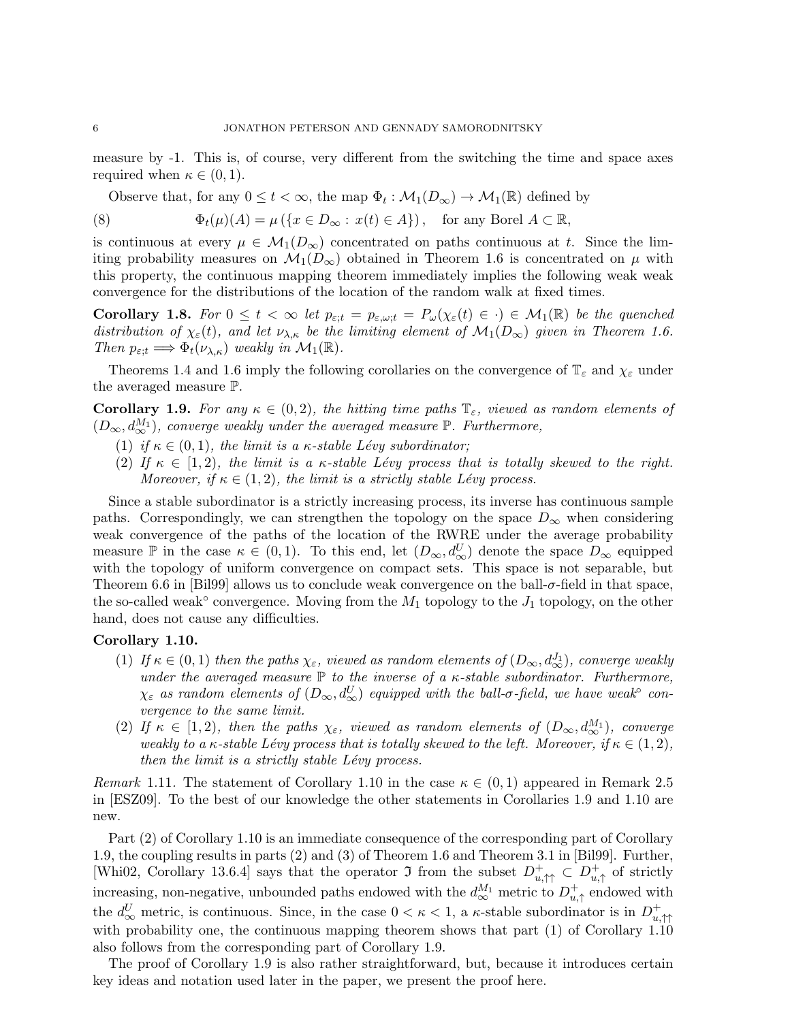measure by -1. This is, of course, very different from the switching the time and space axes required when  $\kappa \in (0,1)$ .

Observe that, for any  $0 \le t < \infty$ , the map  $\Phi_t : \mathcal{M}_1(D_\infty) \to \mathcal{M}_1(\mathbb{R})$  defined by

(8) 
$$
\Phi_t(\mu)(A) = \mu(\{x \in D_\infty : x(t) \in A\}), \text{ for any Borel } A \subset \mathbb{R},
$$

is continuous at every  $\mu \in \mathcal{M}_1(D_\infty)$  concentrated on paths continuous at t. Since the limiting probability measures on  $\mathcal{M}_1(D_\infty)$  obtained in Theorem 1.6 is concentrated on  $\mu$  with this property, the continuous mapping theorem immediately implies the following weak weak convergence for the distributions of the location of the random walk at fixed times.

Corollary 1.8. For  $0 \le t < \infty$  let  $p_{\varepsilon;t} = p_{\varepsilon,\omega;t} = P_{\omega}(\chi_{\varepsilon}(t) \in \cdot) \in \mathcal{M}_1(\mathbb{R})$  be the quenched distribution of  $\chi_{\varepsilon}(t)$ , and let  $\nu_{\lambda,\kappa}$  be the limiting element of  $\mathcal{M}_1(D_{\infty})$  given in Theorem 1.6. Then  $p_{\varepsilon:t} \Longrightarrow \Phi_t(\nu_{\lambda,\kappa})$  weakly in  $\mathcal{M}_1(\mathbb{R})$ .

Theorems 1.4 and 1.6 imply the following corollaries on the convergence of  $\mathbb{T}_{\varepsilon}$  and  $\chi_{\varepsilon}$  under the averaged measure P.

**Corollary 1.9.** For any  $\kappa \in (0,2)$ , the hitting time paths  $\mathbb{T}_{\varepsilon}$ , viewed as random elements of  $(D_{\infty}, d_{\infty}^{M_1})$ , converge weakly under the averaged measure  $\mathbb P$ . Furthermore,

- (1) if  $\kappa \in (0,1)$ , the limit is a  $\kappa$ -stable Lévy subordinator;
- (2) If  $\kappa \in [1, 2)$ , the limit is a  $\kappa$ -stable Lévy process that is totally skewed to the right. Moreover, if  $\kappa \in (1, 2)$ , the limit is a strictly stable Lévy process.

Since a stable subordinator is a strictly increasing process, its inverse has continuous sample paths. Correspondingly, we can strengthen the topology on the space  $D_{\infty}$  when considering weak convergence of the paths of the location of the RWRE under the average probability measure  $\mathbb P$  in the case  $\kappa \in (0,1)$ . To this end, let  $(D_{\infty}, d_{\infty}^U)$  denote the space  $D_{\infty}$  equipped with the topology of uniform convergence on compact sets. This space is not separable, but Theorem 6.6 in [Bil99] allows us to conclude weak convergence on the ball-σ-field in that space, the so-called weak<sup>°</sup> convergence. Moving from the  $M_1$  topology to the  $J_1$  topology, on the other hand, does not cause any difficulties.

# Corollary 1.10.

- (1) If  $\kappa \in (0,1)$  then the paths  $\chi_{\varepsilon}$ , viewed as random elements of  $(D_{\infty}, d_{\infty}^{J_1})$ , converge weakly under the averaged measure  $\mathbb P$  to the inverse of a  $\kappa$ -stable subordinator. Furthermore,  $\chi_\varepsilon$  as random elements of  $(D_\infty,d_\infty^U)$  equipped with the ball- $\sigma$ -field, we have weak $\degree$  convergence to the same limit.
- (2) If  $\kappa \in [1,2)$ , then the paths  $\chi_{\varepsilon}$ , viewed as random elements of  $(D_{\infty}, d_{\infty}^{M_1})$ , converge weakly to a  $\kappa$ -stable Lévy process that is totally skewed to the left. Moreover, if  $\kappa \in (1,2)$ , then the limit is a strictly stable  $Lévy$  process.

Remark 1.11. The statement of Corollary 1.10 in the case  $\kappa \in (0,1)$  appeared in Remark 2.5 in [ESZ09]. To the best of our knowledge the other statements in Corollaries 1.9 and 1.10 are new.

Part (2) of Corollary 1.10 is an immediate consequence of the corresponding part of Corollary 1.9, the coupling results in parts (2) and (3) of Theorem 1.6 and Theorem 3.1 in [Bil99]. Further, [Whi02, Corollary 13.6.4] says that the operator  $\mathfrak{I}$  from the subset  $D_{u,\uparrow\uparrow}^+ \subset D_{u,\uparrow\downarrow}^+$  $_{u,\uparrow}^{+}$  of strictly increasing, non-negative, unbounded paths endowed with the  $d_{\infty}^{M_1}$  metric to  $D_{u}^+$  $_{u,\uparrow}^{+}$  endowed with the  $d_{\infty}^U$  metric, is continuous. Since, in the case  $0 < \kappa < 1$ , a  $\kappa$ -stable subordinator is in  $D_{u_\lambda}^+$  $u, \uparrow \uparrow$ with probability one, the continuous mapping theorem shows that part  $(1)$  of Corollary 1.10 also follows from the corresponding part of Corollary 1.9.

The proof of Corollary 1.9 is also rather straightforward, but, because it introduces certain key ideas and notation used later in the paper, we present the proof here.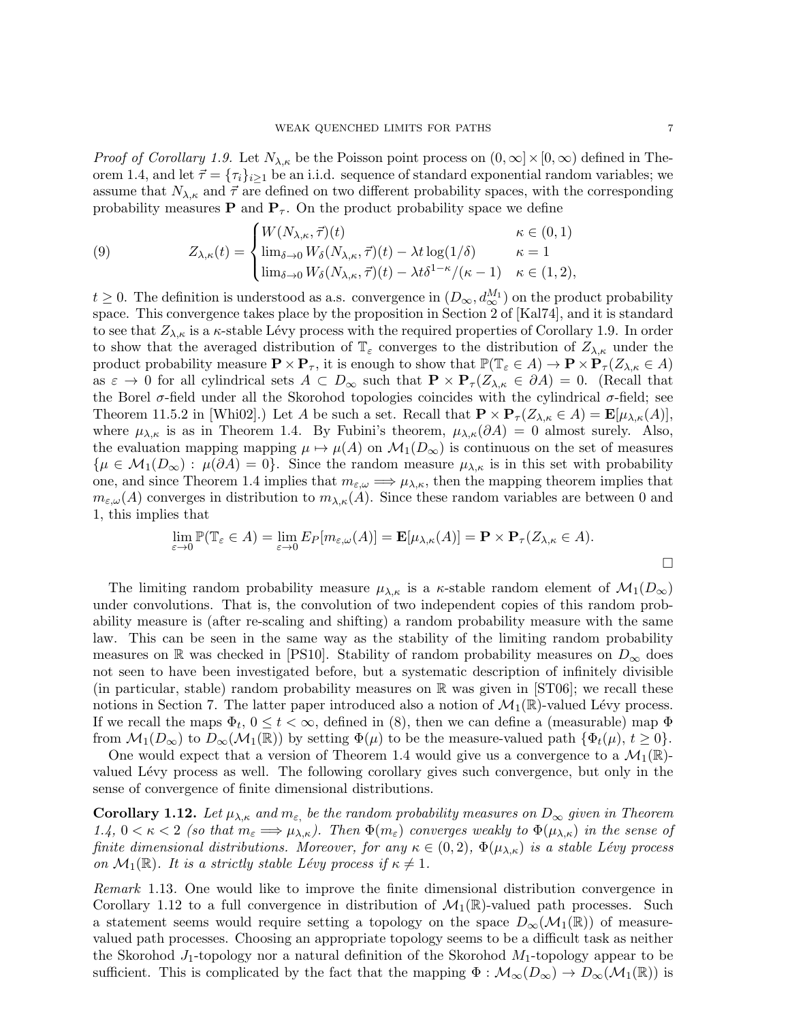*Proof of Corollary 1.9.* Let  $N_{\lambda,\kappa}$  be the Poisson point process on  $(0,\infty)\times[0,\infty)$  defined in Theorem 1.4, and let  $\vec{\tau} = {\tau_i}_{i>1}$  be an i.i.d. sequence of standard exponential random variables; we assume that  $N_{\lambda,\kappa}$  and  $\vec{\tau}$  are defined on two different probability spaces, with the corresponding probability measures **P** and  $P_{\tau}$ . On the product probability space we define

(9) 
$$
Z_{\lambda,\kappa}(t) = \begin{cases} W(N_{\lambda,\kappa},\vec{\tau})(t) & \kappa \in (0,1) \\ \lim_{\delta \to 0} W_{\delta}(N_{\lambda,\kappa},\vec{\tau})(t) - \lambda t \log(1/\delta) & \kappa = 1 \\ \lim_{\delta \to 0} W_{\delta}(N_{\lambda,\kappa},\vec{\tau})(t) - \lambda t \delta^{1-\kappa}/(\kappa - 1) & \kappa \in (1,2), \end{cases}
$$

 $t \geq 0$ . The definition is understood as a.s. convergence in  $(D_{\infty}, d_{\infty}^{M_1})$  on the product probability space. This convergence takes place by the proposition in Section 2 of [Kal74], and it is standard to see that  $Z_{\lambda,\kappa}$  is a  $\kappa$ -stable Lévy process with the required properties of Corollary 1.9. In order to show that the averaged distribution of  $\mathbb{T}_{\varepsilon}$  converges to the distribution of  $Z_{\lambda,\kappa}$  under the product probability measure  $\mathbf{P} \times \mathbf{P}_{\tau}$ , it is enough to show that  $\mathbb{P}(\mathbb{T}_{\varepsilon} \in A) \to \mathbf{P} \times \mathbf{P}_{\tau}(Z_{\lambda,\kappa} \in A)$ as  $\varepsilon \to 0$  for all cylindrical sets  $A \subset D_{\infty}$  such that  $\mathbf{P} \times \mathbf{P}_{\tau}(Z_{\lambda,\kappa} \in \partial A) = 0$ . (Recall that the Borel  $\sigma$ -field under all the Skorohod topologies coincides with the cylindrical  $\sigma$ -field; see Theorem 11.5.2 in [Whi02].) Let A be such a set. Recall that  $\mathbf{P} \times \mathbf{P}_{\tau}(Z_{\lambda,\kappa} \in A) = \mathbf{E}[\mu_{\lambda,\kappa}(A)],$ where  $\mu_{\lambda,\kappa}$  is as in Theorem 1.4. By Fubini's theorem,  $\mu_{\lambda,\kappa}(\partial A) = 0$  almost surely. Also, the evaluation mapping mapping  $\mu \mapsto \mu(A)$  on  $\mathcal{M}_1(D_\infty)$  is continuous on the set of measures  $\{\mu \in \mathcal{M}_1(D_\infty): \mu(\partial A) = 0\}.$  Since the random measure  $\mu_{\lambda,\kappa}$  is in this set with probability one, and since Theorem 1.4 implies that  $m_{\varepsilon,\omega} \Longrightarrow \mu_{\lambda,\kappa}$ , then the mapping theorem implies that  $m_{\varepsilon,\omega}(A)$  converges in distribution to  $m_{\lambda,\kappa}(A)$ . Since these random variables are between 0 and 1, this implies that

$$
\lim_{\varepsilon \to 0} \mathbb{P}(\mathbb{T}_{\varepsilon} \in A) = \lim_{\varepsilon \to 0} E_P[m_{\varepsilon,\omega}(A)] = \mathbf{E}[\mu_{\lambda,\kappa}(A)] = \mathbf{P} \times \mathbf{P}_{\tau}(Z_{\lambda,\kappa} \in A).
$$

The limiting random probability measure  $\mu_{\lambda,\kappa}$  is a  $\kappa$ -stable random element of  $\mathcal{M}_1(D_\infty)$ under convolutions. That is, the convolution of two independent copies of this random probability measure is (after re-scaling and shifting) a random probability measure with the same law. This can be seen in the same way as the stability of the limiting random probability measures on R was checked in [PS10]. Stability of random probability measures on  $D_{\infty}$  does not seen to have been investigated before, but a systematic description of infinitely divisible (in particular, stable) random probability measures on  $\mathbb R$  was given in [ST06]; we recall these notions in Section 7. The latter paper introduced also a notion of  $\mathcal{M}_1(\mathbb{R})$ -valued Lévy process. If we recall the maps  $\Phi_t$ ,  $0 \le t < \infty$ , defined in (8), then we can define a (measurable) map  $\Phi$ from  $\mathcal{M}_1(D_\infty)$  to  $D_\infty(\mathcal{M}_1(\mathbb{R}))$  by setting  $\Phi(\mu)$  to be the measure-valued path  $\{\Phi_t(\mu), t \geq 0\}$ .

One would expect that a version of Theorem 1.4 would give us a convergence to a  $\mathcal{M}_1(\mathbb{R})$ valued Lévy process as well. The following corollary gives such convergence, but only in the sense of convergence of finite dimensional distributions.

**Corollary 1.12.** Let  $\mu_{\lambda,\kappa}$  and  $m_{\varepsilon}$ , be the random probability measures on  $D_{\infty}$  given in Theorem 1.4,  $0 < \kappa < 2$  (so that  $m_{\varepsilon} \Longrightarrow \mu_{\lambda,\kappa}$ ). Then  $\Phi(m_{\varepsilon})$  converges weakly to  $\Phi(\mu_{\lambda,\kappa})$  in the sense of finite dimensional distributions. Moreover, for any  $\kappa \in (0, 2)$ ,  $\Phi(\mu_{\lambda, \kappa})$  is a stable Lévy process on  $\mathcal{M}_1(\mathbb{R})$ . It is a strictly stable Lévy process if  $\kappa \neq 1$ .

Remark 1.13. One would like to improve the finite dimensional distribution convergence in Corollary 1.12 to a full convergence in distribution of  $\mathcal{M}_1(\mathbb{R})$ -valued path processes. Such a statement seems would require setting a topology on the space  $D_{\infty}(\mathcal{M}_1(\mathbb{R}))$  of measurevalued path processes. Choosing an appropriate topology seems to be a difficult task as neither the Skorohod  $J_1$ -topology nor a natural definition of the Skorohod  $M_1$ -topology appear to be sufficient. This is complicated by the fact that the mapping  $\Phi : \mathcal{M}_{\infty}(D_{\infty}) \to D_{\infty}(\mathcal{M}_1(\mathbb{R}))$  is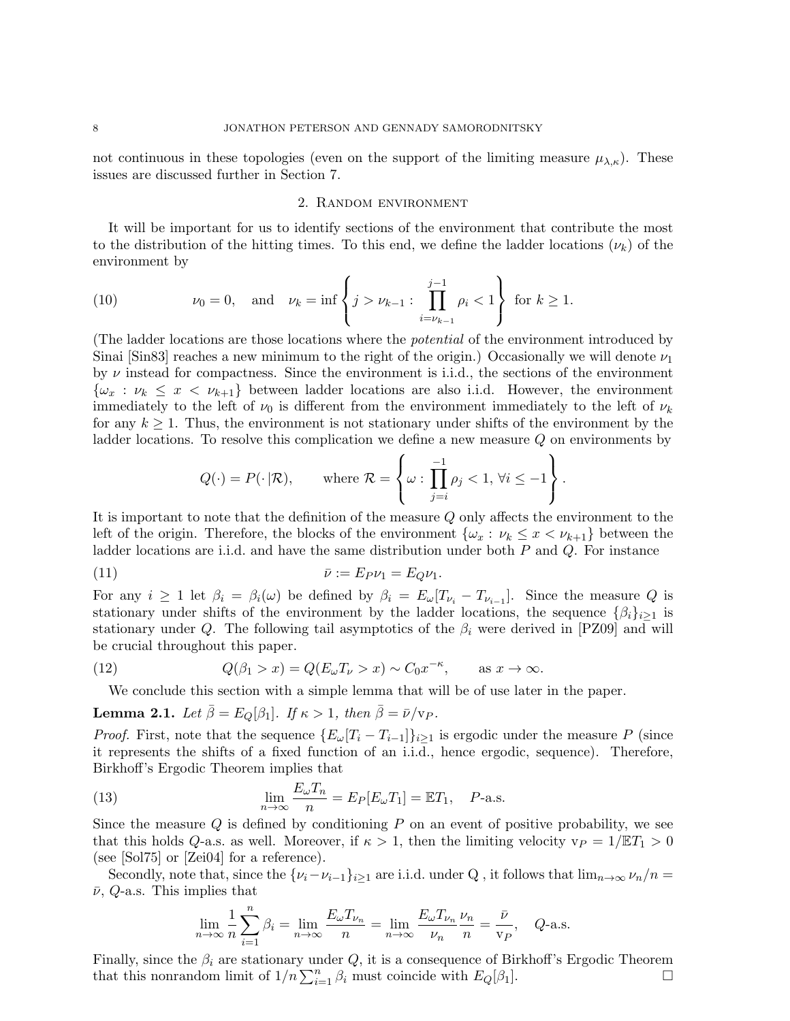not continuous in these topologies (even on the support of the limiting measure  $\mu_{\lambda,\kappa}$ ). These issues are discussed further in Section 7.

# 2. Random environment

It will be important for us to identify sections of the environment that contribute the most to the distribution of the hitting times. To this end, we define the ladder locations  $(\nu_k)$  of the environment by

(10) 
$$
\nu_0 = 0
$$
, and  $\nu_k = \inf \left\{ j > \nu_{k-1} : \prod_{i=\nu_{k-1}}^{j-1} \rho_i < 1 \right\}$  for  $k \ge 1$ .

(The ladder locations are those locations where the potential of the environment introduced by Sinai [Sin83] reaches a new minimum to the right of the origin.) Occasionally we will denote  $\nu_1$ by  $\nu$  instead for compactness. Since the environment is i.i.d., the sections of the environment  $\{\omega_x : \nu_k \leq x \leq \nu_{k+1}\}\$ between ladder locations are also i.i.d. However, the environment immediately to the left of  $\nu_0$  is different from the environment immediately to the left of  $\nu_k$ for any  $k \geq 1$ . Thus, the environment is not stationary under shifts of the environment by the ladder locations. To resolve this complication we define a new measure Q on environments by

$$
Q(\cdot) = P(\cdot | \mathcal{R}),
$$
 where  $\mathcal{R} = \left\{\omega : \prod_{j=i}^{-1} \rho_j < 1, \forall i \leq -1 \right\}.$ 

It is important to note that the definition of the measure Q only affects the environment to the left of the origin. Therefore, the blocks of the environment  $\{\omega_x : \nu_k \leq x < \nu_{k+1}\}\$  between the ladder locations are i.i.d. and have the same distribution under both P and Q. For instance

$$
\bar{\nu} := E_P \nu_1 = E_Q \nu_1.
$$

For any  $i \geq 1$  let  $\beta_i = \beta_i(\omega)$  be defined by  $\beta_i = E_{\omega}[T_{\nu_i} - T_{\nu_{i-1}}]$ . Since the measure Q is stationary under shifts of the environment by the ladder locations, the sequence  $\{\beta_i\}_{i\geq 1}$  is stationary under Q. The following tail asymptotics of the  $\beta_i$  were derived in [PZ09] and will be crucial throughout this paper.

(12) 
$$
Q(\beta_1 > x) = Q(E_{\omega}T_{\nu} > x) \sim C_0 x^{-\kappa}, \quad \text{as } x \to \infty.
$$

We conclude this section with a simple lemma that will be of use later in the paper.

**Lemma 2.1.** Let  $\bar{\beta} = E_O[\beta_1]$ . If  $\kappa > 1$ , then  $\bar{\beta} = \bar{\nu}/v_P$ .

*Proof.* First, note that the sequence  $\{E_{\omega}[T_i - T_{i-1}]\}_{i \geq 1}$  is ergodic under the measure P (since it represents the shifts of a fixed function of an i.i.d., hence ergodic, sequence). Therefore, Birkhoff's Ergodic Theorem implies that

(13) 
$$
\lim_{n \to \infty} \frac{E_{\omega} T_n}{n} = E_P[E_{\omega} T_1] = \mathbb{E} T_1, \quad P\text{-a.s.}
$$

Since the measure  $Q$  is defined by conditioning  $P$  on an event of positive probability, we see that this holds Q-a.s. as well. Moreover, if  $\kappa > 1$ , then the limiting velocity  $v_P = 1/\mathbb{E}T_1 > 0$ (see [Sol75] or [Zei04] for a reference).

Secondly, note that, since the  $\{\nu_i-\nu_{i-1}\}_{i\geq 1}$  are i.i.d. under Q, it follows that  $\lim_{n\to\infty}\nu_n/n=$  $\bar{\nu}$ , *Q*-a.s. This implies that

$$
\lim_{n \to \infty} \frac{1}{n} \sum_{i=1}^{n} \beta_i = \lim_{n \to \infty} \frac{E_{\omega} T_{\nu_n}}{n} = \lim_{n \to \infty} \frac{E_{\omega} T_{\nu_n}}{\nu_n} \frac{\nu_n}{n} = \frac{\bar{\nu}}{\nu_P}, \quad Q\text{-a.s.}
$$

Finally, since the  $\beta_i$  are stationary under Q, it is a consequence of Birkhoff's Ergodic Theorem that this nonrandom limit of  $1/n \sum_{i=1}^n \beta_i$  must coincide with  $E_Q[\beta_1]$ .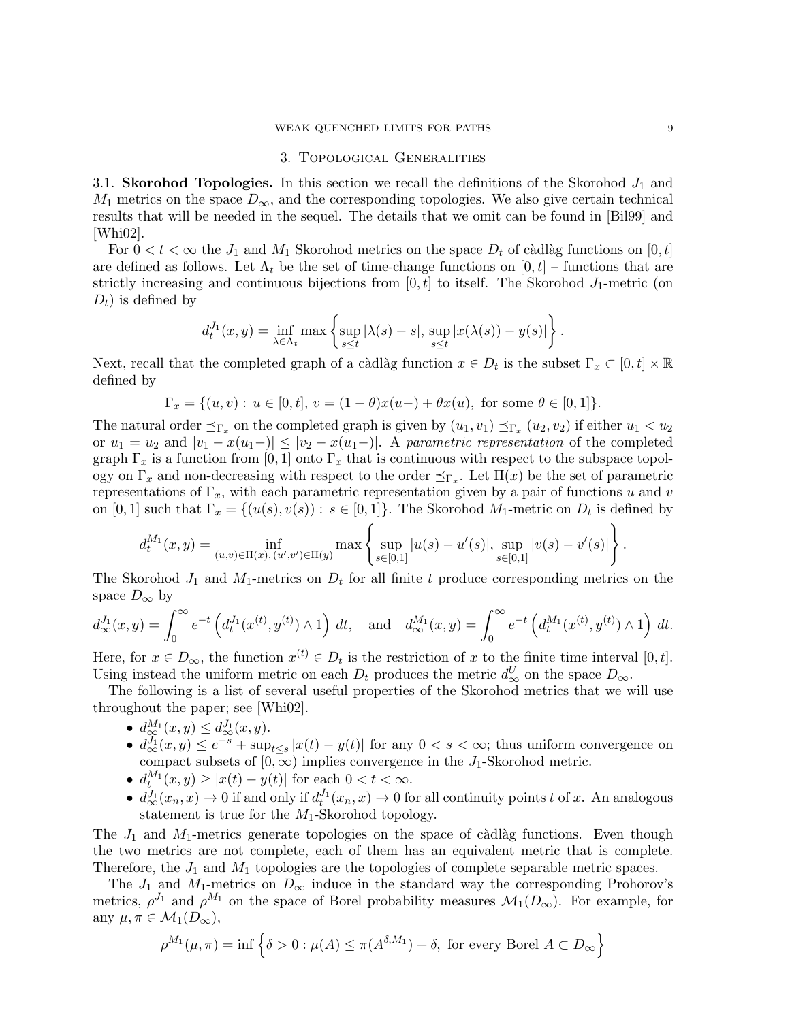#### WEAK QUENCHED LIMITS FOR PATHS 9

#### 3. Topological Generalities

3.1. Skorohod Topologies. In this section we recall the definitions of the Skorohod  $J_1$  and  $M_1$  metrics on the space  $D_{\infty}$ , and the corresponding topologies. We also give certain technical results that will be needed in the sequel. The details that we omit can be found in [Bil99] and  $|Whi02|$ .

For  $0 < t < \infty$  the  $J_1$  and  $M_1$  Skorohod metrics on the space  $D_t$  of càdlàg functions on  $[0, t]$ are defined as follows. Let  $\Lambda_t$  be the set of time-change functions on  $[0, t]$  – functions that are strictly increasing and continuous bijections from  $[0, t]$  to itself. The Skorohod  $J_1$ -metric (on  $D_t$ ) is defined by

$$
d_t^{J_1}(x,y) = \inf_{\lambda \in \Lambda_t} \max \left\{ \sup_{s \le t} |\lambda(s) - s|, \sup_{s \le t} |x(\lambda(s)) - y(s)| \right\}.
$$

Next, recall that the completed graph of a càdlàg function  $x \in D_t$  is the subset  $\Gamma_x \subset [0, t] \times \mathbb{R}$ defined by

$$
\Gamma_x = \{(u,v): \, u \in [0,t], \, v = (1-\theta)x(u-) + \theta x(u), \text{ for some } \theta \in [0,1] \}.
$$

The natural order  $\preceq_{\Gamma_x}$  on the completed graph is given by  $(u_1, v_1) \preceq_{\Gamma_x} (u_2, v_2)$  if either  $u_1 < u_2$ or  $u_1 = u_2$  and  $|v_1 - x(u_1-)| \le |v_2 - x(u_1-)|$ . A parametric representation of the completed graph  $\Gamma_x$  is a function from [0, 1] onto  $\Gamma_x$  that is continuous with respect to the subspace topology on  $\Gamma_x$  and non-decreasing with respect to the order  $\preceq_{\Gamma_x}$ . Let  $\Pi(x)$  be the set of parametric representations of  $\Gamma_x$ , with each parametric representation given by a pair of functions u and v on  $[0,1]$  such that  $\Gamma_x = \{(u(s), v(s)) : s \in [0,1]\}$ . The Skorohod  $M_1$ -metric on  $D_t$  is defined by

$$
d_t^{M_1}(x,y) = \inf_{(u,v)\in\Pi(x),(u',v')\in\Pi(y)} \max\left\{\sup_{s\in[0,1]} |u(s)-u'(s)|, \sup_{s\in[0,1]} |v(s)-v'(s)|\right\}.
$$

The Skorohod  $J_1$  and  $M_1$ -metrics on  $D_t$  for all finite t produce corresponding metrics on the space  $D_{\infty}$  by

$$
d_{\infty}^{J_1}(x,y) = \int_0^{\infty} e^{-t} \left( d_t^{J_1}(x^{(t)}, y^{(t)}) \wedge 1 \right) dt, \text{ and } d_{\infty}^{M_1}(x,y) = \int_0^{\infty} e^{-t} \left( d_t^{M_1}(x^{(t)}, y^{(t)}) \wedge 1 \right) dt.
$$

Here, for  $x \in D_{\infty}$ , the function  $x^{(t)} \in D_t$  is the restriction of x to the finite time interval  $[0, t]$ . Using instead the uniform metric on each  $D_t$  produces the metric  $d_{\infty}^U$  on the space  $D_{\infty}$ .

The following is a list of several useful properties of the Skorohod metrics that we will use throughout the paper; see [Whi02].

- $d_{\infty}^{M_1}(x,y) \leq d_{\infty}^{J_1}(x,y)$ .
- $d_{\infty}^{J_1}(x,y) \leq e^{-s} + \sup_{t \leq s} |x(t) y(t)|$  for any  $0 < s < \infty$ ; thus uniform convergence on compact subsets of  $[0, \infty)$  implies convergence in the J<sub>1</sub>-Skorohod metric.
- $d_t^{M_1}(x, y) \geq |x(t) y(t)|$  for each  $0 < t < \infty$ .
- $d_{\infty}^{J_1}(x_n, x) \to 0$  if and only if  $d_t^{J_1}(x_n, x) \to 0$  for all continuity points t of x. An analogous statement is true for the  $M_1$ -Skorohod topology.

The  $J_1$  and  $M_1$ -metrics generate topologies on the space of càdlàg functions. Even though the two metrics are not complete, each of them has an equivalent metric that is complete. Therefore, the  $J_1$  and  $M_1$  topologies are the topologies of complete separable metric spaces.

The  $J_1$  and  $M_1$ -metrics on  $D_{\infty}$  induce in the standard way the corresponding Prohorov's metrics,  $\rho^{J_1}$  and  $\rho^{M_1}$  on the space of Borel probability measures  $\mathcal{M}_1(D_\infty)$ . For example, for any  $\mu, \pi \in \mathcal{M}_1(D_\infty)$ ,

$$
\rho^{M_1}(\mu, \pi) = \inf \left\{ \delta > 0 : \mu(A) \le \pi(A^{\delta, M_1}) + \delta, \text{ for every Borel } A \subset D_\infty \right\}
$$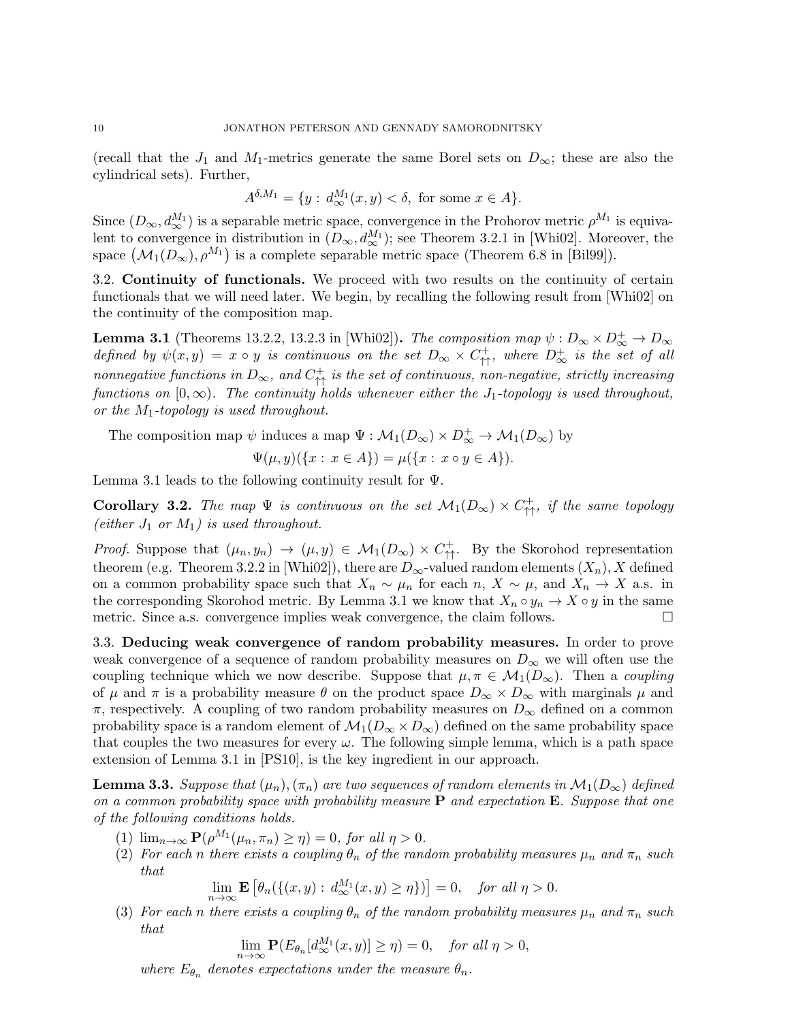(recall that the  $J_1$  and  $M_1$ -metrics generate the same Borel sets on  $D_{\infty}$ ; these are also the cylindrical sets). Further,

$$
A^{\delta, M_1} = \{ y : d_{\infty}^{M_1}(x, y) < \delta, \text{ for some } x \in A \}.
$$

Since  $(D_{\infty}, d_{\infty}^{M_1})$  is a separable metric space, convergence in the Prohorov metric  $\rho^{M_1}$  is equivalent to convergence in distribution in  $(D_{\infty}, d_{\infty}^{M_1})$ ; see Theorem 3.2.1 in [Whi02]. Moreover, the space  $(M_1(D_\infty), \rho^{M_1})$  is a complete separable metric space (Theorem 6.8 in [Bil99]).

3.2. Continuity of functionals. We proceed with two results on the continuity of certain functionals that we will need later. We begin, by recalling the following result from [Whi02] on the continuity of the composition map.

**Lemma 3.1** (Theorems 13.2.2, 13.2.3 in [Whi02]). The composition map  $\psi : D_{\infty} \times D_{\infty}^+ \to D_{\infty}$ defined by  $\psi(x,y) = x \circ y$  is continuous on the set  $D_{\infty} \times C_{\uparrow\uparrow}^+$ , where  $D_{\infty}^+$  is the set of all nonnegative functions in  $D_{\infty}$ , and  $C_{\uparrow\uparrow}^+$  is the set of continuous, non-negative, strictly increasing functions on  $[0, \infty)$ . The continuity holds whenever either the J<sub>1</sub>-topology is used throughout, or the  $M_1$ -topology is used throughout.

The composition map  $\psi$  induces a map  $\Psi : \mathcal{M}_1(D_\infty) \times D_\infty^+ \to \mathcal{M}_1(D_\infty)$  by

$$
\Psi(\mu, y)(\{x : x \in A\}) = \mu(\{x : x \circ y \in A\}).
$$

Lemma 3.1 leads to the following continuity result for  $\Psi$ .

**Corollary 3.2.** The map  $\Psi$  is continuous on the set  $\mathcal{M}_1(D_\infty) \times C_{\uparrow\uparrow}^+$ , if the same topology (either  $J_1$  or  $M_1$ ) is used throughout.

*Proof.* Suppose that  $(\mu_n, y_n) \to (\mu, y) \in \mathcal{M}_1(D_\infty) \times C^+_{\uparrow\uparrow}$ . By the Skorohod representation theorem (e.g. Theorem 3.2.2 in [Whi02]), there are  $D_{\infty}$ -valued random elements  $(X_n)$ , X defined on a common probability space such that  $X_n \sim \mu_n$  for each  $n, X \sim \mu$ , and  $X_n \to X$  a.s. in the corresponding Skorohod metric. By Lemma 3.1 we know that  $X_n \circ y_n \to X \circ y$  in the same<br>metric. Since a s. convergence implies weak convergence, the claim follows metric. Since a.s. convergence implies weak convergence, the claim follows.

3.3. Deducing weak convergence of random probability measures. In order to prove weak convergence of a sequence of random probability measures on  $D_{\infty}$  we will often use the coupling technique which we now describe. Suppose that  $\mu, \pi \in \mathcal{M}_1(D_\infty)$ . Then a coupling of  $\mu$  and  $\pi$  is a probability measure  $\theta$  on the product space  $D_{\infty} \times D_{\infty}$  with marginals  $\mu$  and  $\pi$ , respectively. A coupling of two random probability measures on  $D_{\infty}$  defined on a common probability space is a random element of  $\mathcal{M}_1(D_\infty \times D_\infty)$  defined on the same probability space that couples the two measures for every  $\omega$ . The following simple lemma, which is a path space extension of Lemma 3.1 in [PS10], is the key ingredient in our approach.

**Lemma 3.3.** Suppose that  $(\mu_n), (\pi_n)$  are two sequences of random elements in  $\mathcal{M}_1(D_\infty)$  defined on a common probability space with probability measure  $P$  and expectation  $E$ . Suppose that one of the following conditions holds.

- (1)  $\lim_{n\to\infty} \mathbf{P}(\rho^{M_1}(\mu_n, \pi_n) \geq \eta) = 0$ , for all  $\eta > 0$ .
- (2) For each n there exists a coupling  $\theta_n$  of the random probability measures  $\mu_n$  and  $\pi_n$  such that

$$
\lim_{n \to \infty} \mathbf{E} \left[ \theta_n(\{(x, y) : d_{\infty}^{M_1}(x, y) \ge \eta\}) \right] = 0, \quad \text{for all } \eta > 0.
$$

(3) For each n there exists a coupling  $\theta_n$  of the random probability measures  $\mu_n$  and  $\pi_n$  such that

$$
\lim_{n \to \infty} \mathbf{P}(E_{\theta_n}[d_{\infty}^{M_1}(x, y)] \ge \eta) = 0, \quad \text{for all } \eta > 0,
$$

where  $E_{\theta_n}$  denotes expectations under the measure  $\theta_n$ .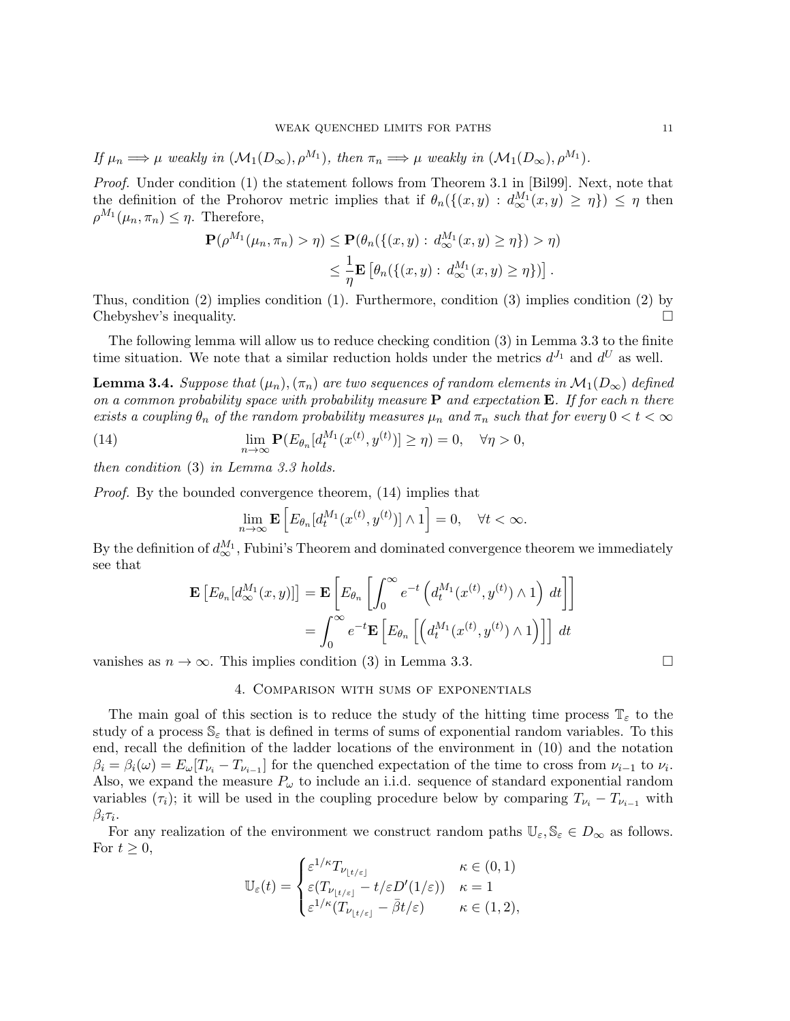If  $\mu_n \Longrightarrow \mu$  weakly in  $(\mathcal{M}_1(D_\infty), \rho^{M_1})$ , then  $\pi_n \Longrightarrow \mu$  weakly in  $(\mathcal{M}_1(D_\infty), \rho^{M_1})$ .

Proof. Under condition (1) the statement follows from Theorem 3.1 in [Bil99]. Next, note that the definition of the Prohorov metric implies that if  $\theta_n(\{(x,y) : d_{\infty}^{M_1}(x,y) \geq \eta\}) \leq \eta$  then  $\rho^{M_1}(\mu_n, \pi_n) \leq \eta$ . Therefore,

$$
\mathbf{P}(\rho^{M_1}(\mu_n, \pi_n) > \eta) \le \mathbf{P}(\theta_n(\{(x, y) : d_{\infty}^{M_1}(x, y) \ge \eta\}) > \eta)
$$
  

$$
\le \frac{1}{\eta} \mathbf{E}\left[\theta_n(\{(x, y) : d_{\infty}^{M_1}(x, y) \ge \eta\})\right].
$$

Thus, condition (2) implies condition (1). Furthermore, condition (3) implies condition (2) by Chebyshev's inequality.

The following lemma will allow us to reduce checking condition (3) in Lemma 3.3 to the finite time situation. We note that a similar reduction holds under the metrics  $d^{J_1}$  and  $d^U$  as well.

**Lemma 3.4.** Suppose that  $(\mu_n), (\pi_n)$  are two sequences of random elements in  $\mathcal{M}_1(D_\infty)$  defined on a common probability space with probability measure **P** and expectation **E**. If for each n there exists a coupling  $\theta_n$  of the random probability measures  $\mu_n$  and  $\pi_n$  such that for every  $0 < t < \infty$ 

(14) 
$$
\lim_{n \to \infty} \mathbf{P}(E_{\theta_n}[d_t^{M_1}(x^{(t)}, y^{(t)})] \ge \eta) = 0, \quad \forall \eta > 0,
$$

then condition (3) in Lemma 3.3 holds.

Proof. By the bounded convergence theorem, (14) implies that

$$
\lim_{n \to \infty} \mathbf{E} \left[ E_{\theta_n} [d_t^{M_1}(x^{(t)}, y^{(t)})] \wedge 1 \right] = 0, \quad \forall t < \infty.
$$

By the definition of  $d_{\infty}^{M_1}$ , Fubini's Theorem and dominated convergence theorem we immediately see that

$$
\mathbf{E}\left[E_{\theta_n}[d_{\infty}^{M_1}(x,y)]\right] = \mathbf{E}\left[E_{\theta_n}\left[\int_0^{\infty} e^{-t}\left(d_t^{M_1}(x^{(t)}, y^{(t)}) \wedge 1\right) dt\right]\right]
$$

$$
= \int_0^{\infty} e^{-t}\mathbf{E}\left[E_{\theta_n}\left[\left(d_t^{M_1}(x^{(t)}, y^{(t)}) \wedge 1\right)\right]\right] dt
$$

vanishes as  $n \to \infty$ . This implies condition (3) in Lemma 3.3.

#### 4. Comparison with sums of exponentials

The main goal of this section is to reduce the study of the hitting time process  $\mathbb{T}_{\varepsilon}$  to the study of a process  $\mathbb{S}_{\varepsilon}$  that is defined in terms of sums of exponential random variables. To this end, recall the definition of the ladder locations of the environment in (10) and the notation  $\beta_i = \beta_i(\omega) = E_{\omega}[T_{\nu_i} - T_{\nu_{i-1}}]$  for the quenched expectation of the time to cross from  $\nu_{i-1}$  to  $\nu_i$ . Also, we expand the measure  $P_{\omega}$  to include an i.i.d. sequence of standard exponential random variables  $(\tau_i)$ ; it will be used in the coupling procedure below by comparing  $T_{\nu_i} - T_{\nu_{i-1}}$  with  $\beta_i \tau_i.$ 

For any realization of the environment we construct random paths  $\mathbb{U}_{\varepsilon}, \mathbb{S}_{\varepsilon} \in D_{\infty}$  as follows. For  $t \geq 0$ ,

$$
\mathbb{U}_{\varepsilon}(t) = \begin{cases} \varepsilon^{1/\kappa} T_{\nu_{\lfloor t/\varepsilon \rfloor}} & \kappa \in (0,1) \\ \varepsilon (T_{\nu_{\lfloor t/\varepsilon \rfloor}} - t/\varepsilon D'(1/\varepsilon)) & \kappa = 1 \\ \varepsilon^{1/\kappa} (T_{\nu_{\lfloor t/\varepsilon \rfloor}} - \bar{\beta} t/\varepsilon) & \kappa \in (1,2), \end{cases}
$$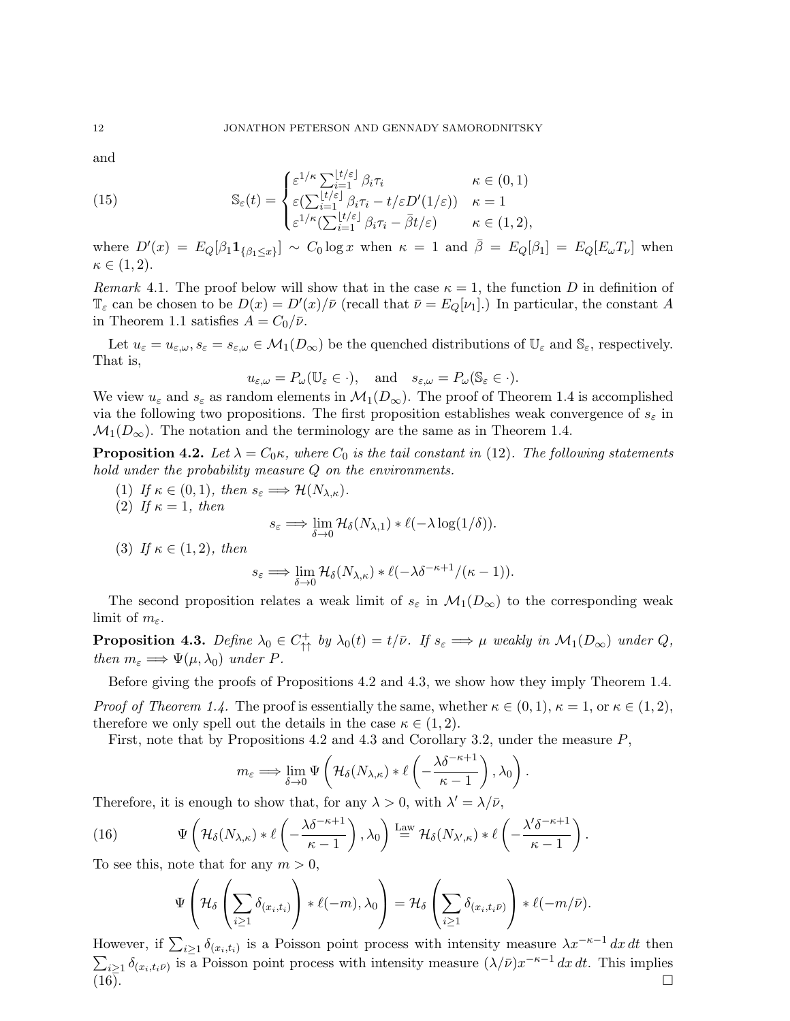and

(15) 
$$
\mathbb{S}_{\varepsilon}(t) = \begin{cases} \varepsilon^{1/\kappa} \sum_{i=1}^{\lfloor t/\varepsilon \rfloor} \beta_i \tau_i & \kappa \in (0,1) \\ \varepsilon (\sum_{i=1}^{\lfloor t/\varepsilon \rfloor} \beta_i \tau_i - t/\varepsilon D'(1/\varepsilon)) & \kappa = 1 \\ \varepsilon^{1/\kappa} (\sum_{i=1}^{\lfloor t/\varepsilon \rfloor} \beta_i \tau_i - \overline{\beta} t/\varepsilon) & \kappa \in (1,2), \end{cases}
$$

where  $D'(x) = E_Q[\beta_1 \mathbf{1}_{\{\beta_1 \leq x\}}] \sim C_0 \log x$  when  $\kappa = 1$  and  $\overline{\beta} = E_Q[\beta_1] = E_Q[E_\omega T_\nu]$  when  $\kappa \in (1,2).$ 

Remark 4.1. The proof below will show that in the case  $\kappa = 1$ , the function D in definition of  $\mathbb{T}_{\varepsilon}$  can be chosen to be  $D(x) = D'(x)/\bar{\nu}$  (recall that  $\bar{\nu} = E_Q[\nu_1]$ .) In particular, the constant A in Theorem 1.1 satisfies  $A = C_0/\bar{\nu}$ .

Let  $u_{\varepsilon} = u_{\varepsilon,\omega}, s_{\varepsilon} = s_{\varepsilon,\omega} \in \mathcal{M}_1(D_{\infty})$  be the quenched distributions of  $\mathbb{U}_{\varepsilon}$  and  $\mathbb{S}_{\varepsilon}$ , respectively. That is,

$$
u_{\varepsilon,\omega} = P_{\omega}(\mathbb{U}_{\varepsilon} \in \cdot), \text{ and } s_{\varepsilon,\omega} = P_{\omega}(\mathbb{S}_{\varepsilon} \in \cdot).
$$

We view  $u_{\varepsilon}$  and  $s_{\varepsilon}$  as random elements in  $\mathcal{M}_1(D_{\infty})$ . The proof of Theorem 1.4 is accomplished via the following two propositions. The first proposition establishes weak convergence of  $s_{\varepsilon}$  in  $\mathcal{M}_1(D_\infty)$ . The notation and the terminology are the same as in Theorem 1.4.

**Proposition 4.2.** Let  $\lambda = C_0 \kappa$ , where  $C_0$  is the tail constant in (12). The following statements hold under the probability measure Q on the environments.

- (1) If  $\kappa \in (0,1)$ , then  $s_{\varepsilon} \Longrightarrow \mathcal{H}(N_{\lambda,\kappa})$ .
- (2) If  $\kappa = 1$ , then

$$
s_{\varepsilon} \Longrightarrow \lim_{\delta \to 0} \mathcal{H}_{\delta}(N_{\lambda,1}) * \ell(-\lambda \log(1/\delta)).
$$

(3) If  $\kappa \in (1,2)$ , then

$$
s_{\varepsilon} \Longrightarrow \lim_{\delta \to 0} \mathcal{H}_{\delta}(N_{\lambda,\kappa}) * \ell(-\lambda \delta^{-\kappa+1}/(\kappa-1)).
$$

The second proposition relates a weak limit of  $s_{\varepsilon}$  in  $\mathcal{M}_1(D_{\infty})$  to the corresponding weak limit of  $m_{\varepsilon}$ .

**Proposition 4.3.** Define  $\lambda_0 \in C^+_{\uparrow \uparrow}$  by  $\lambda_0(t) = t/\bar{\nu}$ . If  $s_{\varepsilon} \Longrightarrow \mu$  weakly in  $\mathcal{M}_1(D_{\infty})$  under  $Q$ , then  $m_{\varepsilon} \Longrightarrow \Psi(\mu, \lambda_0)$  under P.

Before giving the proofs of Propositions 4.2 and 4.3, we show how they imply Theorem 1.4. *Proof of Theorem 1.4.* The proof is essentially the same, whether  $\kappa \in (0,1)$ ,  $\kappa = 1$ , or  $\kappa \in (1,2)$ , therefore we only spell out the details in the case  $\kappa \in (1, 2)$ .

First, note that by Propositions 4.2 and 4.3 and Corollary 3.2, under the measure P,

$$
m_{\varepsilon} \Longrightarrow \lim_{\delta \to 0} \Psi \left( \mathcal{H}_{\delta}(N_{\lambda,\kappa}) * \ell \left( -\frac{\lambda \delta^{-\kappa+1}}{\kappa - 1} \right), \lambda_0 \right)
$$

.

Therefore, it is enough to show that, for any  $\lambda > 0$ , with  $\lambda' = \lambda/\bar{\nu}$ ,

(16) 
$$
\Psi\left(\mathcal{H}_{\delta}(N_{\lambda,\kappa}) * \ell\left(-\frac{\lambda \delta^{-\kappa+1}}{\kappa-1}\right), \lambda_0\right) \stackrel{\text{Law}}{=} \mathcal{H}_{\delta}(N_{\lambda',\kappa}) * \ell\left(-\frac{\lambda' \delta^{-\kappa+1}}{\kappa-1}\right).
$$

To see this, note that for any  $m > 0$ ,

$$
\Psi\left(\mathcal{H}_{\delta}\left(\sum_{i\geq 1}\delta_{(x_i,t_i)}\right)*\ell(-m),\lambda_0\right)=\mathcal{H}_{\delta}\left(\sum_{i\geq 1}\delta_{(x_i,t_i\bar{\nu})}\right)*\ell(-m/\bar{\nu}).
$$

However, if  $\sum_{i\geq 1}\delta_{(x_i,t_i)}$  is a Poisson point process with intensity measure  $\lambda x^{-\kappa-1} dx dt$  then  $\sum_{i\geq 1} \delta_{(x_i,t_i\bar{\nu})}$  is a Poisson point process with intensity measure  $(\lambda/\bar{\nu})x^{-\kappa-1} dx dt$ . This implies  $\overline{(16)}$ .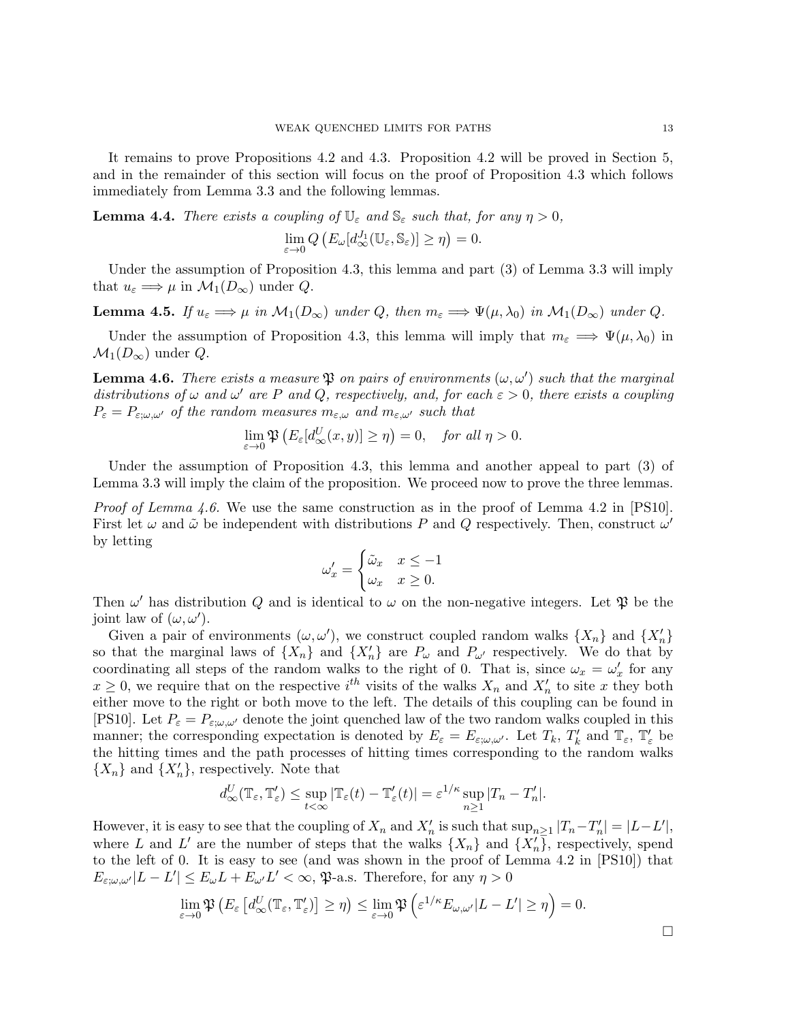It remains to prove Propositions 4.2 and 4.3. Proposition 4.2 will be proved in Section 5, and in the remainder of this section will focus on the proof of Proposition 4.3 which follows immediately from Lemma 3.3 and the following lemmas.

**Lemma 4.4.** There exists a coupling of  $\mathbb{U}_{\varepsilon}$  and  $\mathbb{S}_{\varepsilon}$  such that, for any  $\eta > 0$ ,

$$
\lim_{\varepsilon \to 0} Q\left(E_{\omega}[d_{\infty}^{J_1}(\mathbb{U}_{\varepsilon}, \mathbb{S}_{\varepsilon})] \ge \eta\right) = 0.
$$

Under the assumption of Proposition 4.3, this lemma and part (3) of Lemma 3.3 will imply that  $u_{\varepsilon} \Longrightarrow \mu$  in  $\mathcal{M}_1(D_{\infty})$  under  $Q$ .

**Lemma 4.5.** If  $u_{\varepsilon} \Longrightarrow \mu$  in  $\mathcal{M}_1(D_{\infty})$  under Q, then  $m_{\varepsilon} \Longrightarrow \Psi(\mu, \lambda_0)$  in  $\mathcal{M}_1(D_{\infty})$  under Q.

Under the assumption of Proposition 4.3, this lemma will imply that  $m_{\varepsilon} \implies \Psi(\mu, \lambda_0)$  in  $\mathcal{M}_1(D_\infty)$  under  $Q$ .

**Lemma 4.6.** There exists a measure  $\mathfrak P$  on pairs of environments  $(\omega, \omega')$  such that the marginal distributions of  $\omega$  and  $\omega'$  are P and Q, respectively, and, for each  $\varepsilon > 0$ , there exists a coupling  $P_{\varepsilon} = P_{\varepsilon;\omega,\omega'}$  of the random measures  $m_{\varepsilon,\omega}$  and  $m_{\varepsilon,\omega'}$  such that

$$
\lim_{\varepsilon \to 0} \mathfrak{P}\left(E_{\varepsilon}[d_{\infty}^U(x,y)] \ge \eta\right) = 0, \quad \text{for all } \eta > 0.
$$

Under the assumption of Proposition 4.3, this lemma and another appeal to part (3) of Lemma 3.3 will imply the claim of the proposition. We proceed now to prove the three lemmas.

*Proof of Lemma 4.6.* We use the same construction as in the proof of Lemma 4.2 in [PS10]. First let  $\omega$  and  $\tilde{\omega}$  be independent with distributions P and Q respectively. Then, construct  $\omega'$ by letting

$$
\omega_x' = \begin{cases} \tilde{\omega}_x & x \le -1 \\ \omega_x & x \ge 0. \end{cases}
$$

Then  $\omega'$  has distribution Q and is identical to  $\omega$  on the non-negative integers. Let  $\mathfrak P$  be the joint law of  $(\omega, \omega')$ .

Given a pair of environments  $(\omega, \omega')$ , we construct coupled random walks  $\{X_n\}$  and  $\{X'_n\}$ so that the marginal laws of  $\{X_n\}$  and  $\{X'_n\}$  are  $P_\omega$  and  $P_{\omega'}$  respectively. We do that by coordinating all steps of the random walks to the right of 0. That is, since  $\omega_x = \omega'_x$  for any  $x \geq 0$ , we require that on the respective  $i^{th}$  visits of the walks  $X_n$  and  $X'_n$  to site x they both either move to the right or both move to the left. The details of this coupling can be found in [PS10]. Let  $P_{\varepsilon} = P_{\varepsilon,\omega,\omega'}$  denote the joint quenched law of the two random walks coupled in this manner; the corresponding expectation is denoted by  $E_{\varepsilon} = E_{\varepsilon;\omega,\omega'}$ . Let  $T_k$ ,  $T'_k$  and  $\mathbb{T}_{\varepsilon}$ ,  $\mathbb{T}'_{\varepsilon}$  be the hitting times and the path processes of hitting times corresponding to the random walks  $\{X_n\}$  and  $\{X'_n\}$ , respectively. Note that

$$
d_{\infty}^U(\mathbb{T}_{\varepsilon}, \mathbb{T}'_{\varepsilon}) \leq \sup_{t < \infty} |\mathbb{T}_{\varepsilon}(t) - \mathbb{T}'_{\varepsilon}(t)| = \varepsilon^{1/\kappa} \sup_{n \geq 1} |T_n - T'_n|.
$$

However, it is easy to see that the coupling of  $X_n$  and  $X'_n$  is such that  $\sup_{n\geq 1} |T_n-T'_n| = |L-L'|$ , where L and L' are the number of steps that the walks  $\{X_n\}$  and  $\{X'_n\}$ , respectively, spend to the left of 0. It is easy to see (and was shown in the proof of Lemma 4.2 in [PS10]) that  $E_{\varepsilon;\omega,\omega'}|L-L'|\leq E_\omega L+E_{\omega'}L'<\infty,$  \$7.4.5. Therefore, for any  $\eta>0$ 

$$
\lim_{\varepsilon \to 0} \mathfrak{P}\left(E_{\varepsilon}\left[d_{\infty}^U(\mathbb{T}_{\varepsilon}, \mathbb{T}'_{\varepsilon})\right] \geq \eta\right) \leq \lim_{\varepsilon \to 0} \mathfrak{P}\left(\varepsilon^{1/\kappa} E_{\omega, \omega'} |L - L'| \geq \eta\right) = 0.
$$

 $\Box$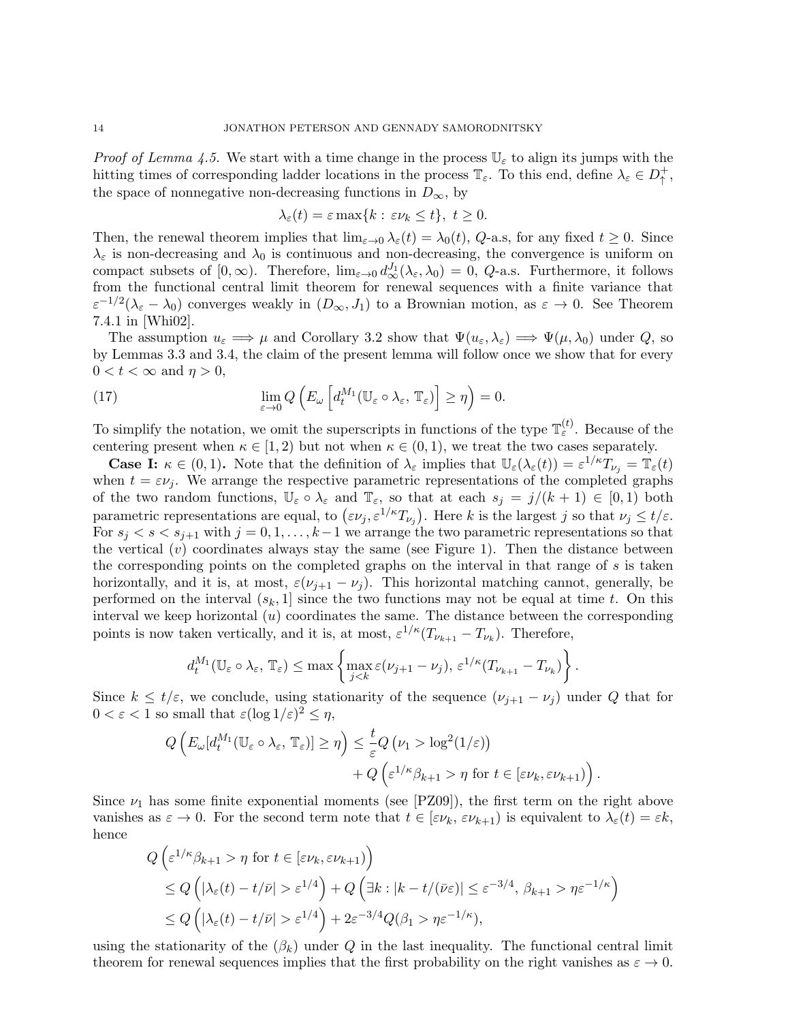*Proof of Lemma 4.5.* We start with a time change in the process  $\mathbb{U}_{\varepsilon}$  to align its jumps with the hitting times of corresponding ladder locations in the process  $\mathbb{T}_{\varepsilon}$ . To this end, define  $\lambda_{\varepsilon} \in D_{\uparrow}^+$ +<br>↑, the space of nonnegative non-decreasing functions in  $D_{\infty}$ , by

$$
\lambda_{\varepsilon}(t) = \varepsilon \max\{k : \varepsilon \nu_k \le t\}, \ t \ge 0.
$$

Then, the renewal theorem implies that  $\lim_{\varepsilon\to 0} \lambda_{\varepsilon}(t) = \lambda_0(t)$ , Q-a.s, for any fixed  $t \geq 0$ . Since  $\lambda_{\varepsilon}$  is non-decreasing and  $\lambda_0$  is continuous and non-decreasing, the convergence is uniform on compact subsets of  $[0, \infty)$ . Therefore,  $\lim_{\varepsilon \to 0} d_{\infty}^{J_1}(\lambda_{\varepsilon}, \lambda_0) = 0$ , Q-a.s. Furthermore, it follows from the functional central limit theorem for renewal sequences with a finite variance that  $\varepsilon^{-1/2}(\lambda_{\varepsilon}-\lambda_0)$  converges weakly in  $(D_{\infty},J_1)$  to a Brownian motion, as  $\varepsilon \to 0$ . See Theorem 7.4.1 in [Whi02].

The assumption  $u_{\varepsilon} \Longrightarrow \mu$  and Corollary 3.2 show that  $\Psi(u_{\varepsilon}, \lambda_{\varepsilon}) \Longrightarrow \Psi(\mu, \lambda_0)$  under Q, so by Lemmas 3.3 and 3.4, the claim of the present lemma will follow once we show that for every  $0 < t < \infty$  and  $\eta > 0$ ,

(17) 
$$
\lim_{\varepsilon \to 0} Q\left(E_{\omega}\left[d_t^{M_1}(\mathbb{U}_{\varepsilon} \circ \lambda_{\varepsilon}, \mathbb{T}_{\varepsilon})\right] \geq \eta\right) = 0.
$$

To simplify the notation, we omit the superscripts in functions of the type  $\mathbb{T}_{\varepsilon}^{(t)}$ . Because of the centering present when  $\kappa \in [1, 2)$  but not when  $\kappa \in (0, 1)$ , we treat the two cases separately.

**Case I:**  $\kappa \in (0,1)$ . Note that the definition of  $\lambda_{\varepsilon}$  implies that  $\mathbb{U}_{\varepsilon}(\lambda_{\varepsilon}(t)) = \varepsilon^{1/\kappa} T_{\nu_j} = \mathbb{T}_{\varepsilon}(t)$ when  $t = \varepsilon \nu_i$ . We arrange the respective parametric representations of the completed graphs of the two random functions,  $\mathbb{U}_{\varepsilon} \circ \lambda_{\varepsilon}$  and  $\mathbb{T}_{\varepsilon}$ , so that at each  $s_i = j/(k+1) \in [0,1)$  both parametric representations are equal, to  $(\varepsilon \nu_j, \varepsilon^{1/\kappa} T_{\nu_j})$ . Here k is the largest j so that  $\nu_j \le t/\varepsilon$ . For  $s_i < s < s_{i+1}$  with  $j = 0, 1, ..., k-1$  we arrange the two parametric representations so that the vertical  $(v)$  coordinates always stay the same (see Figure 1). Then the distance between the corresponding points on the completed graphs on the interval in that range of s is taken horizontally, and it is, at most,  $\varepsilon(\nu_{j+1} - \nu_j)$ . This horizontal matching cannot, generally, be performed on the interval  $(s_k, 1]$  since the two functions may not be equal at time t. On this interval we keep horizontal  $(u)$  coordinates the same. The distance between the corresponding points is now taken vertically, and it is, at most,  $\varepsilon^{1/\kappa}(T_{\nu_{k+1}} - T_{\nu_k})$ . Therefore,

$$
d_t^{M_1}(\mathbb{U}_{\varepsilon} \circ \lambda_{\varepsilon}, \mathbb{T}_{\varepsilon}) \leq \max \left\{ \max_{j < k} \varepsilon(\nu_{j+1} - \nu_j), \, \varepsilon^{1/\kappa} (T_{\nu_{k+1}} - T_{\nu_k}) \right\}.
$$

Since  $k \leq t/\varepsilon$ , we conclude, using stationarity of the sequence  $(\nu_{i+1} - \nu_i)$  under Q that for  $0 < \varepsilon < 1$  so small that  $\varepsilon (\log 1/\varepsilon)^2 \leq \eta$ ,

$$
Q\left(E_{\omega}[d_t^{M_1}(\mathbb{U}_{\varepsilon}\circ\lambda_{\varepsilon},\mathbb{T}_{\varepsilon})]\geq\eta\right)\leq\frac{t}{\varepsilon}Q\left(\nu_1>\log^2(1/\varepsilon)\right)\\+\left.Q\left(\varepsilon^{1/\kappa}\beta_{k+1}>\eta\text{ for }t\in[\varepsilon\nu_k,\varepsilon\nu_{k+1})\right)
$$

.

Since  $\nu_1$  has some finite exponential moments (see [PZ09]), the first term on the right above vanishes as  $\varepsilon \to 0$ . For the second term note that  $t \in [\varepsilon \nu_k, \varepsilon \nu_{k+1}]$  is equivalent to  $\lambda_{\varepsilon}(t) = \varepsilon k$ , hence

$$
Q\left(\varepsilon^{1/\kappa}\beta_{k+1} > \eta \text{ for } t \in [\varepsilon\nu_k, \varepsilon\nu_{k+1})\right)
$$
  
\n
$$
\leq Q\left(|\lambda_{\varepsilon}(t) - t/\bar{\nu}| > \varepsilon^{1/4}\right) + Q\left(\exists k : |k - t/(\bar{\nu}\varepsilon)| \leq \varepsilon^{-3/4}, \beta_{k+1} > \eta \varepsilon^{-1/\kappa}\right)
$$
  
\n
$$
\leq Q\left(|\lambda_{\varepsilon}(t) - t/\bar{\nu}| > \varepsilon^{1/4}\right) + 2\varepsilon^{-3/4}Q(\beta_1 > \eta \varepsilon^{-1/\kappa}),
$$

using the stationarity of the  $(\beta_k)$  under Q in the last inequality. The functional central limit theorem for renewal sequences implies that the first probability on the right vanishes as  $\varepsilon \to 0$ .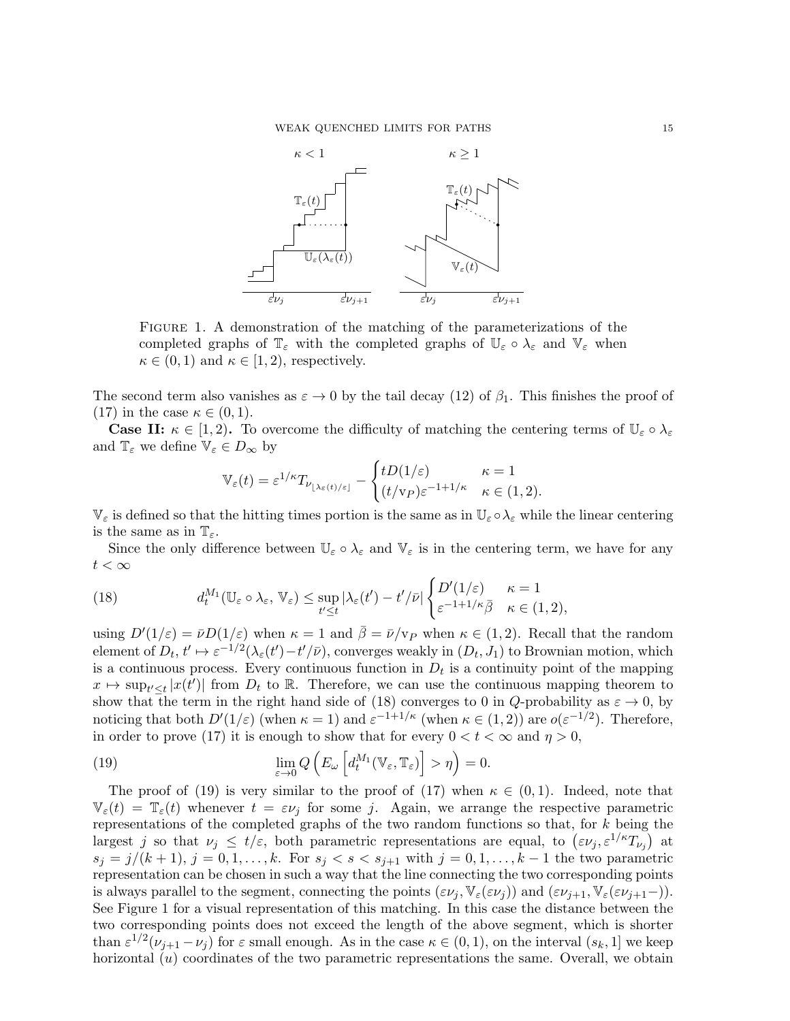

Figure 1. A demonstration of the matching of the parameterizations of the completed graphs of  $\mathbb{T}_{\varepsilon}$  with the completed graphs of  $\mathbb{U}_{\varepsilon} \circ \lambda_{\varepsilon}$  and  $\mathbb{V}_{\varepsilon}$  when  $\kappa \in (0,1)$  and  $\kappa \in [1,2)$ , respectively.

The second term also vanishes as  $\varepsilon \to 0$  by the tail decay (12) of  $\beta_1$ . This finishes the proof of (17) in the case  $\kappa \in (0,1)$ .

**Case II:**  $\kappa \in [1, 2)$ . To overcome the difficulty of matching the centering terms of  $\mathbb{U}_{\varepsilon} \circ \lambda_{\varepsilon}$ and  $\mathbb{T}_{\varepsilon}$  we define  $\mathbb{V}_{\varepsilon} \in D_{\infty}$  by

$$
\mathbb{V}_{\varepsilon}(t) = \varepsilon^{1/\kappa} T_{\nu_{\lfloor \lambda_{\varepsilon}(t)/\varepsilon \rfloor}} - \begin{cases} tD(1/\varepsilon) & \kappa = 1 \\ (t/\mathbf{v}_P)\varepsilon^{-1+1/\kappa} & \kappa \in (1,2). \end{cases}
$$

 $\mathbb{V}_{\varepsilon}$  is defined so that the hitting times portion is the same as in  $\mathbb{U}_{\varepsilon} \circ \lambda_{\varepsilon}$  while the linear centering is the same as in  $\mathbb{T}_{\varepsilon}$ .

Since the only difference between  $\mathbb{U}_{\varepsilon} \circ \lambda_{\varepsilon}$  and  $\mathbb{V}_{\varepsilon}$  is in the centering term, we have for any  $t<\infty$ 

(18) 
$$
d_t^{M_1}(\mathbb{U}_{\varepsilon} \circ \lambda_{\varepsilon}, \mathbb{V}_{\varepsilon}) \leq \sup_{t' \leq t} |\lambda_{\varepsilon}(t') - t'/\bar{\nu}| \begin{cases} D'(1/\varepsilon) & \kappa = 1 \\ \varepsilon^{-1+1/\kappa} \bar{\beta} & \kappa \in (1, 2), \end{cases}
$$

using  $D'(1/\varepsilon) = \bar{\nu}D(1/\varepsilon)$  when  $\kappa = 1$  and  $\bar{\beta} = \bar{\nu}/v_P$  when  $\kappa \in (1, 2)$ . Recall that the random element of  $D_t$ ,  $t' \mapsto \varepsilon^{-1/2} (\lambda_{\varepsilon}(t') - t'/\bar{\nu})$ , converges weakly in  $(D_t, J_1)$  to Brownian motion, which is a continuous process. Every continuous function in  $D_t$  is a continuity point of the mapping  $x \mapsto \sup_{t \leq t} |x(t')|$  from  $D_t$  to R. Therefore, we can use the continuous mapping theorem to show that the term in the right hand side of (18) converges to 0 in Q-probability as  $\varepsilon \to 0$ , by noticing that both  $D'(1/\varepsilon)$  (when  $\kappa = 1$ ) and  $\varepsilon^{-1+1/\kappa}$  (when  $\kappa \in (1, 2)$ ) are  $o(\varepsilon^{-1/2})$ . Therefore, in order to prove (17) it is enough to show that for every  $0 < t < \infty$  and  $\eta > 0$ ,

(19) 
$$
\lim_{\varepsilon \to 0} Q\left(E_{\omega}\left[d_t^{M_1}(\mathbb{V}_{\varepsilon}, \mathbb{T}_{\varepsilon})\right] > \eta\right) = 0.
$$

The proof of (19) is very similar to the proof of (17) when  $\kappa \in (0,1)$ . Indeed, note that  $\mathbb{V}_{\varepsilon}(t) = \mathbb{T}_{\varepsilon}(t)$  whenever  $t = \varepsilon \nu_j$  for some j. Again, we arrange the respective parametric representations of the completed graphs of the two random functions so that, for k being the largest *j* so that  $\nu_j \leq t/\varepsilon$ , both parametric representations are equal, to  $(\varepsilon \nu_j, \varepsilon^{1/\kappa} T_{\nu_j})$  at  $s_j = j/(k+1), j = 0, 1, \ldots, k$ . For  $s_j < s < s_{j+1}$  with  $j = 0, 1, \ldots, k-1$  the two parametric representation can be chosen in such a way that the line connecting the two corresponding points is always parallel to the segment, connecting the points  $(\varepsilon \nu_j, \mathbb{V}_{\varepsilon}(\varepsilon \nu_j))$  and  $(\varepsilon \nu_{j+1}, \mathbb{V}_{\varepsilon}(\varepsilon \nu_{j+1}-)).$ See Figure 1 for a visual representation of this matching. In this case the distance between the two corresponding points does not exceed the length of the above segment, which is shorter than  $\varepsilon^{1/2}(\nu_{j+1}-\nu_j)$  for  $\varepsilon$  small enough. As in the case  $\kappa \in (0,1)$ , on the interval  $(s_k,1]$  we keep horizontal  $(u)$  coordinates of the two parametric representations the same. Overall, we obtain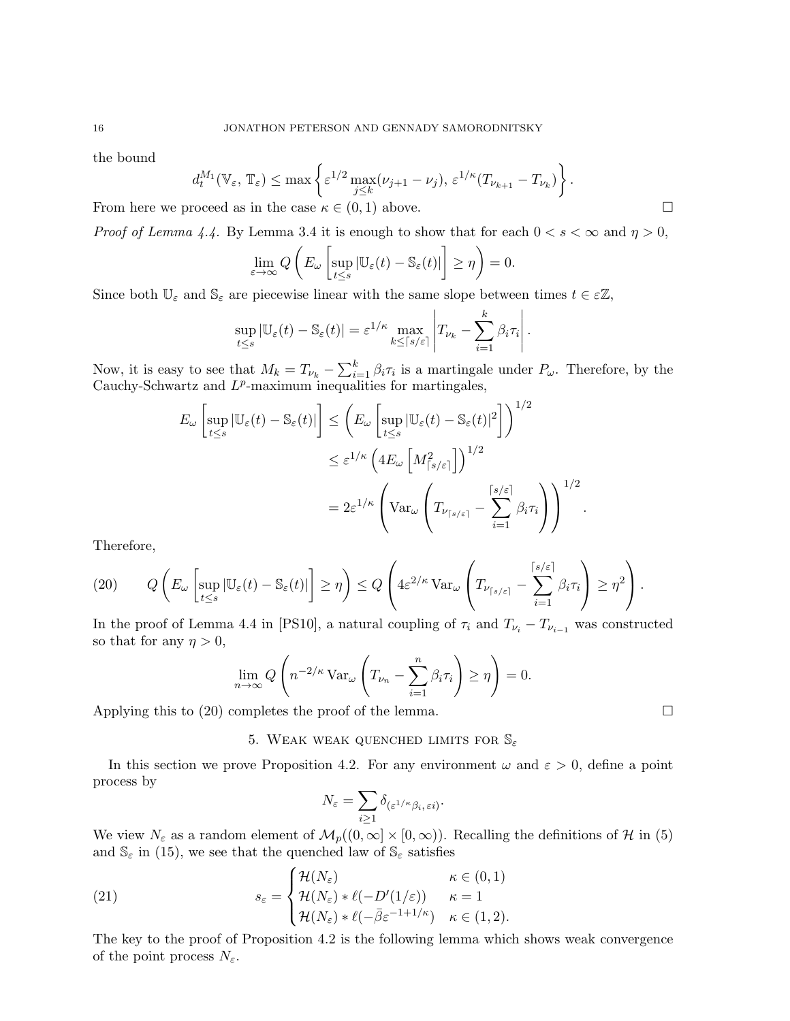the bound

$$
d_t^{M_1}(\mathbb{V}_{\varepsilon}, \mathbb{T}_{\varepsilon}) \le \max \left\{ \varepsilon^{1/2} \max_{j \le k} (\nu_{j+1} - \nu_j), \, \varepsilon^{1/\kappa} (T_{\nu_{k+1}} - T_{\nu_k}) \right\}.
$$

From here we proceed as in the case  $\kappa \in (0,1)$  above.

*Proof of Lemma 4.4.* By Lemma 3.4 it is enough to show that for each  $0 < s < \infty$  and  $\eta > 0$ ,

$$
\lim_{\varepsilon \to \infty} Q\left(E_{\omega}\left[\sup_{t \le s} |\mathbb{U}_{\varepsilon}(t) - \mathbb{S}_{\varepsilon}(t)|\right] \ge \eta\right) = 0.
$$

Since both  $\mathbb{U}_{\varepsilon}$  and  $\mathbb{S}_{\varepsilon}$  are piecewise linear with the same slope between times  $t \in \varepsilon \mathbb{Z}$ ,

$$
\sup_{t\leq s} |\mathbb{U}_{\varepsilon}(t)-\mathbb{S}_{\varepsilon}(t)|=\varepsilon^{1/\kappa} \max_{k\leq \lceil s/\varepsilon\rceil} \left|T_{\nu_k}-\sum_{i=1}^k \beta_i \tau_i\right|.
$$

Now, it is easy to see that  $M_k = T_{\nu_k} - \sum_{i=1}^k \beta_i \tau_i$  is a martingale under  $P_{\omega}$ . Therefore, by the Cauchy-Schwartz and  $L^p$ -maximum inequalities for martingales,

$$
E_{\omega} \left[ \sup_{t \le s} |\mathbb{U}_{\varepsilon}(t) - \mathbb{S}_{\varepsilon}(t)| \right] \le \left( E_{\omega} \left[ \sup_{t \le s} |\mathbb{U}_{\varepsilon}(t) - \mathbb{S}_{\varepsilon}(t)|^2 \right] \right)^{1/2}
$$
  

$$
\le \varepsilon^{1/\kappa} \left( 4E_{\omega} \left[ M_{\lceil s/\varepsilon \rceil}^2 \right] \right)^{1/2}
$$
  

$$
= 2\varepsilon^{1/\kappa} \left( \text{Var}_{\omega} \left( T_{\nu_{\lceil s/\varepsilon \rceil}} - \sum_{i=1}^{\lceil s/\varepsilon \rceil} \beta_i \tau_i \right) \right)^{1/2}
$$

Therefore,

(20) 
$$
Q\left(E_{\omega}\left[\sup_{t\leq s}|\mathbb{U}_{\varepsilon}(t)-\mathbb{S}_{\varepsilon}(t)|\right]\geq \eta\right)\leq Q\left(4\varepsilon^{2/\kappa} \operatorname{Var}_{\omega}\left(T_{\nu_{\lceil s/\varepsilon\rceil}}-\sum_{i=1}^{\lceil s/\varepsilon\rceil}\beta_i\tau_i\right)\geq \eta^2\right).
$$

In the proof of Lemma 4.4 in [PS10], a natural coupling of  $\tau_i$  and  $T_{\nu_i} - T_{\nu_{i-1}}$  was constructed so that for any  $\eta > 0$ ,

$$
\lim_{n \to \infty} Q\left(n^{-2/\kappa} \operatorname{Var}_{\omega}\left(T_{\nu_n} - \sum_{i=1}^n \beta_i \tau_i\right) \ge \eta\right) = 0.
$$

Applying this to  $(20)$  completes the proof of the lemma.

## 5. WEAK WEAK QUENCHED LIMITS FOR  $\mathbb{S}_{\varepsilon}$

In this section we prove Proposition 4.2. For any environment  $\omega$  and  $\varepsilon > 0$ , define a point process by

$$
N_{\varepsilon} = \sum_{i \geq 1} \delta_{(\varepsilon^{1/\kappa} \beta_i, \, \varepsilon i)}.
$$

We view  $N_{\varepsilon}$  as a random element of  $\mathcal{M}_p((0,\infty]\times[0,\infty))$ . Recalling the definitions of H in (5) and  $\mathbb{S}_{\varepsilon}$  in (15), we see that the quenched law of  $\mathbb{S}_{\varepsilon}$  satisfies

(21) 
$$
s_{\varepsilon} = \begin{cases} \mathcal{H}(N_{\varepsilon}) & \kappa \in (0,1) \\ \mathcal{H}(N_{\varepsilon}) * \ell(-D'(1/\varepsilon)) & \kappa = 1 \\ \mathcal{H}(N_{\varepsilon}) * \ell(-\bar{\beta} \varepsilon^{-1+1/\kappa}) & \kappa \in (1,2). \end{cases}
$$

The key to the proof of Proposition 4.2 is the following lemma which shows weak convergence of the point process  $N_{\varepsilon}$ .

.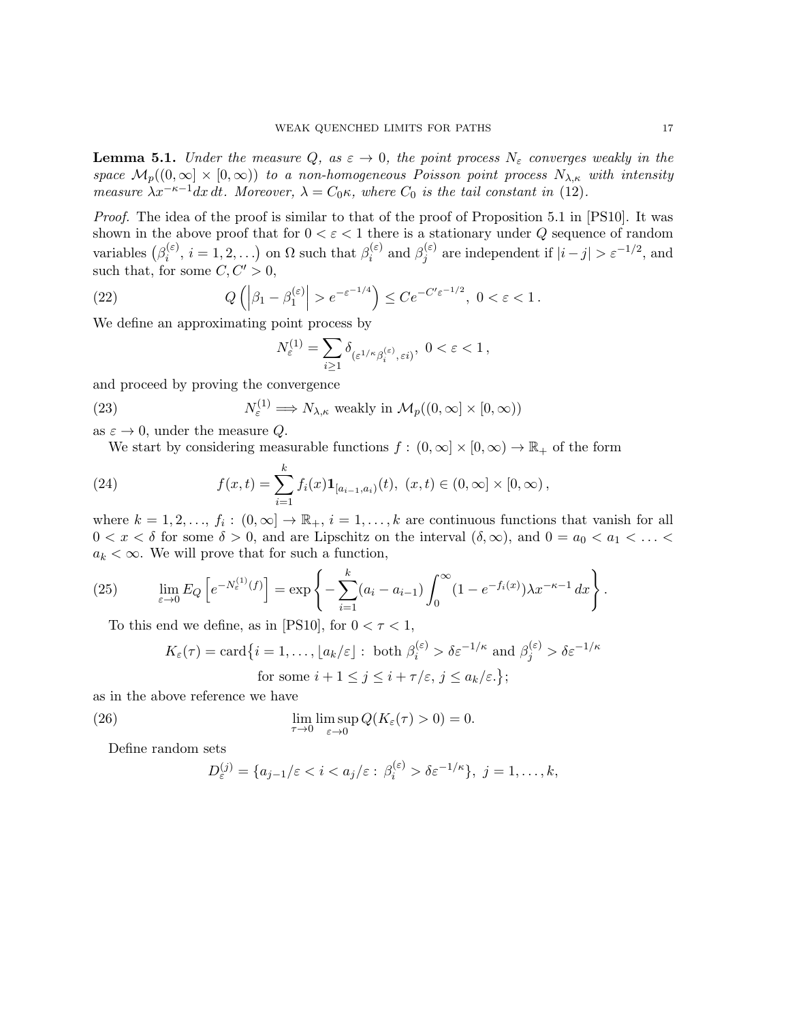**Lemma 5.1.** Under the measure Q, as  $\varepsilon \to 0$ , the point process  $N_{\varepsilon}$  converges weakly in the space  $\mathcal{M}_p((0,\infty] \times [0,\infty))$  to a non-homogeneous Poisson point process  $N_{\lambda,\kappa}$  with intensity measure  $\lambda x^{-\kappa-1}dx$  dt. Moreover,  $\lambda = C_0\kappa$ , where  $C_0$  is the tail constant in (12).

Proof. The idea of the proof is similar to that of the proof of Proposition 5.1 in [PS10]. It was shown in the above proof that for  $0 < \varepsilon < 1$  there is a stationary under Q sequence of random variables  $(\beta_i^{(\varepsilon)})$  $\hat{a}_i^{(\varepsilon)}, i = 1, 2, \ldots$  on  $\Omega$  such that  $\beta_i^{(\varepsilon)}$  $\theta_i^{(\varepsilon)}$  and  $\beta_j^{(\varepsilon)}$  $j_j^{(\varepsilon)}$  are independent if  $|i-j| > \varepsilon^{-1/2}$ , and such that, for some  $C, C' > 0$ ,

(22) 
$$
Q\left(|\beta_1 - \beta_1^{(\varepsilon)}| > e^{-\varepsilon^{-1/4}}\right) \leq Ce^{-C'\varepsilon^{-1/2}}, \ 0 < \varepsilon < 1.
$$

We define an approximating point process by

$$
N_{\varepsilon}^{(1)} = \sum_{i \ge 1} \delta_{(\varepsilon^{1/\kappa} \beta_i^{(\varepsilon)}, \varepsilon i)}, \ 0 < \varepsilon < 1 \,,
$$

and proceed by proving the convergence

(23) 
$$
N_{\varepsilon}^{(1)} \Longrightarrow N_{\lambda,\kappa} \text{ weakly in } \mathcal{M}_p((0,\infty] \times [0,\infty))
$$

as  $\varepsilon \to 0$ , under the measure Q.

We start by considering measurable functions  $f : (0, \infty] \times [0, \infty) \to \mathbb{R}_+$  of the form

(24) 
$$
f(x,t) = \sum_{i=1}^{k} f_i(x) \mathbf{1}_{[a_{i-1},a_i)}(t), \ (x,t) \in (0,\infty] \times [0,\infty),
$$

where  $k = 1, 2, ..., f_i : (0, \infty] \to \mathbb{R}_+, i = 1, ..., k$  are continuous functions that vanish for all  $0 < x < \delta$  for some  $\delta > 0$ , and are Lipschitz on the interval  $(\delta, \infty)$ , and  $0 = a_0 < a_1 < \ldots <$  $a_k < \infty$ . We will prove that for such a function,

(25) 
$$
\lim_{\varepsilon \to 0} E_Q \left[ e^{-N_{\varepsilon}^{(1)}(f)} \right] = \exp \left\{ - \sum_{i=1}^k (a_i - a_{i-1}) \int_0^\infty (1 - e^{-f_i(x)}) \lambda x^{-\kappa - 1} dx \right\}.
$$

To this end we define, as in [PS10], for  $0 < \tau < 1$ ,

$$
K_{\varepsilon}(\tau) = \text{card}\{i = 1, \dots, \lfloor a_k/\varepsilon \rfloor : \text{ both } \beta_i^{(\varepsilon)} > \delta \varepsilon^{-1/\kappa} \text{ and } \beta_j^{(\varepsilon)} > \delta \varepsilon^{-1/\kappa} \text{ for some } i + 1 \le j \le i + \tau/\varepsilon, j \le a_k/\varepsilon.\};
$$

as in the above reference we have

(26) 
$$
\lim_{\tau \to 0} \limsup_{\varepsilon \to 0} Q(K_{\varepsilon}(\tau) > 0) = 0.
$$

Define random sets

$$
D_{\varepsilon}^{(j)} = \{a_{j-1}/\varepsilon < i < a_j/\varepsilon : \beta_i^{(\varepsilon)} > \delta \varepsilon^{-1/\kappa}\}, \ j = 1, \ldots, k,
$$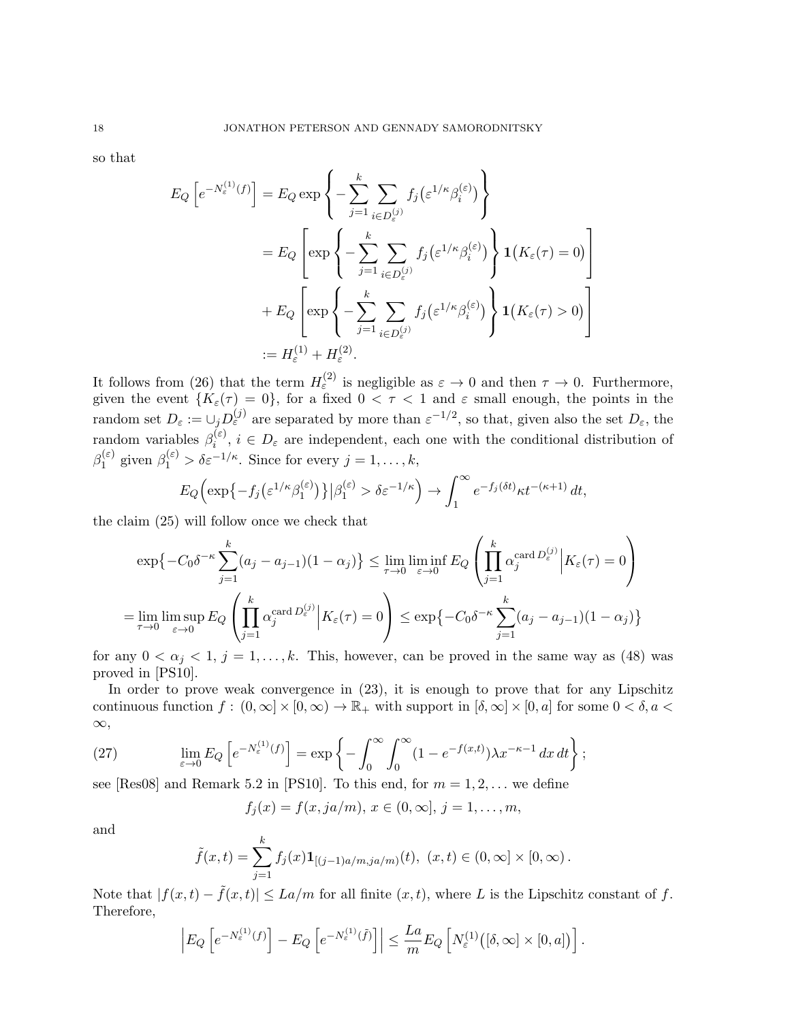so that

$$
E_Q\left[e^{-N_{\varepsilon}^{(1)}(f)}\right] = E_Q \exp\left\{-\sum_{j=1}^k \sum_{i \in D_{\varepsilon}^{(j)}} f_j\left(\varepsilon^{1/\kappa} \beta_i^{(\varepsilon)}\right)\right\}
$$
  

$$
= E_Q \left[\exp\left\{-\sum_{j=1}^k \sum_{i \in D_{\varepsilon}^{(j)}} f_j\left(\varepsilon^{1/\kappa} \beta_i^{(\varepsilon)}\right)\right\} \mathbf{1}\left(K_{\varepsilon}(\tau) = 0\right)\right]
$$
  

$$
+ E_Q \left[\exp\left\{-\sum_{j=1}^k \sum_{i \in D_{\varepsilon}^{(j)}} f_j\left(\varepsilon^{1/\kappa} \beta_i^{(\varepsilon)}\right)\right\} \mathbf{1}\left(K_{\varepsilon}(\tau) > 0\right)\right]
$$
  

$$
:= H_{\varepsilon}^{(1)} + H_{\varepsilon}^{(2)}.
$$

It follows from (26) that the term  $H_{\varepsilon}^{(2)}$  is negligible as  $\varepsilon \to 0$  and then  $\tau \to 0$ . Furthermore, given the event  $\{K_{\varepsilon}(\tau) = 0\}$ , for a fixed  $0 < \tau < 1$  and  $\varepsilon$  small enough, the points in the random set  $D_{\varepsilon} := \bigcup_{j} D_{\varepsilon}^{(j)}$  are separated by more than  $\varepsilon^{-1/2}$ , so that, given also the set  $D_{\varepsilon}$ , the random variables  $\beta_i^{(\varepsilon)}$  $i^{(e)}$ ,  $i \in D_{\varepsilon}$  are independent, each one with the conditional distribution of  $\beta_1^{(\varepsilon)}$  $j_1^{(\varepsilon)}$  given  $\beta_1^{(\varepsilon)} > \delta \varepsilon^{-1/\kappa}$ . Since for every  $j = 1, \ldots, k$ ,

$$
E_Q\Big(\exp\big\{-f_j\big(\varepsilon^{1/\kappa}\beta_1^{(\varepsilon)}\big)\big\}\big|\beta_1^{(\varepsilon)} > \delta\varepsilon^{-1/\kappa}\Big) \to \int_1^\infty e^{-f_j(\delta t)}\kappa t^{-(\kappa+1)} dt,
$$

the claim (25) will follow once we check that

$$
\exp\left\{-C_0\delta^{-\kappa}\sum_{j=1}^k (a_j - a_{j-1})(1 - \alpha_j)\right\} \le \lim_{\tau \to 0} \liminf_{\varepsilon \to 0} E_Q\left(\prod_{j=1}^k \alpha_j^{\text{card }D_{\varepsilon}^{(j)}} \Big| K_{\varepsilon}(\tau) = 0\right)
$$
  
= 
$$
\lim_{\tau \to 0} \limsup_{\varepsilon \to 0} E_Q\left(\prod_{j=1}^k \alpha_j^{\text{card }D_{\varepsilon}^{(j)}} \Big| K_{\varepsilon}(\tau) = 0\right) \le \exp\left\{-C_0\delta^{-\kappa}\sum_{j=1}^k (a_j - a_{j-1})(1 - \alpha_j)\right\}
$$

for any  $0 < \alpha_j < 1, j = 1, \ldots, k$ . This, however, can be proved in the same way as (48) was proved in [PS10].

In order to prove weak convergence in  $(23)$ , it is enough to prove that for any Lipschitz continuous function  $f : (0, \infty] \times [0, \infty) \to \mathbb{R}_+$  with support in  $[\delta, \infty] \times [0, a]$  for some  $0 < \delta, a <$ ∞,

(27) 
$$
\lim_{\varepsilon \to 0} E_Q \left[ e^{-N_{\varepsilon}^{(1)}(f)} \right] = \exp \left\{ - \int_0^{\infty} \int_0^{\infty} (1 - e^{-f(x,t)}) \lambda x^{-\kappa - 1} dx dt \right\};
$$

see [Res08] and Remark 5.2 in [PS10]. To this end, for  $m = 1, 2, \ldots$  we define

 $f_i(x) = f(x, ja/m), x \in (0, \infty], j = 1, \ldots, m,$ 

and

$$
\tilde{f}(x,t) = \sum_{j=1}^{k} f_j(x) \mathbf{1}_{[(j-1)a/m, ja/m)}(t), \ (x,t) \in (0,\infty] \times [0,\infty).
$$

Note that  $|f(x,t) - \tilde{f}(x,t)| \leq La/m$  for all finite  $(x, t)$ , where L is the Lipschitz constant of f. Therefore,

$$
\left| E_Q \left[ e^{-N_{\varepsilon}^{(1)}(f)} \right] - E_Q \left[ e^{-N_{\varepsilon}^{(1)}(\tilde{f})} \right] \right| \leq \frac{La}{m} E_Q \left[ N_{\varepsilon}^{(1)} \big( [\delta, \infty] \times [0, a] \big) \right].
$$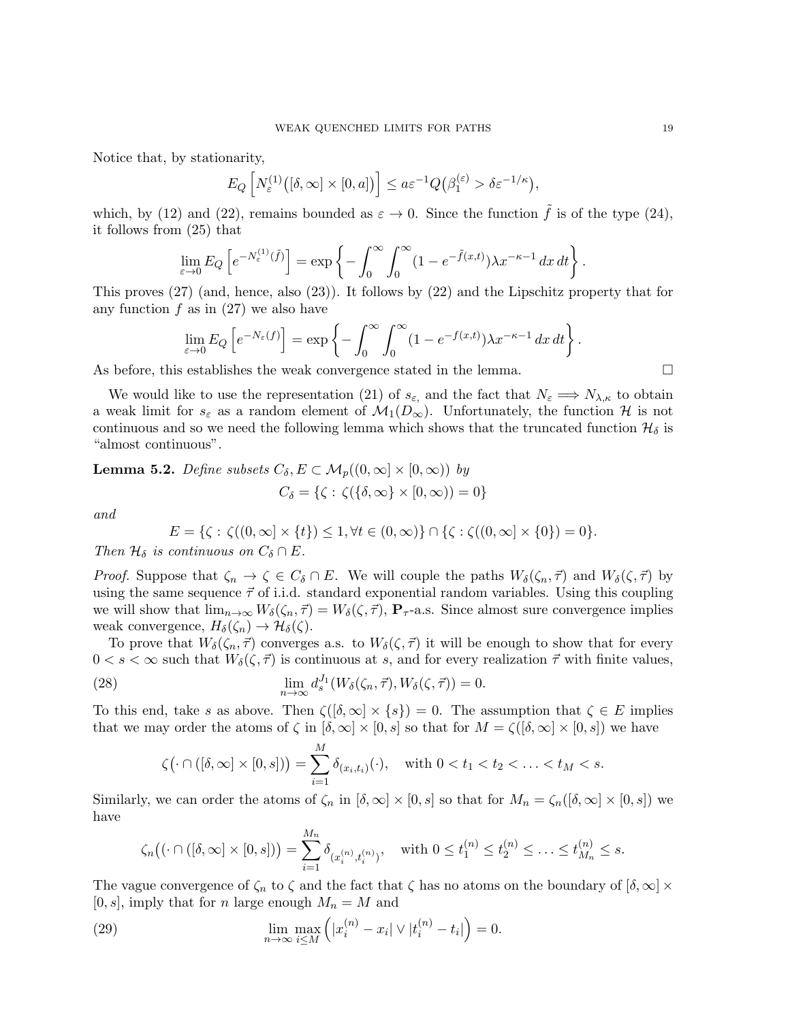Notice that, by stationarity,

$$
E_Q\left[N_{\varepsilon}^{(1)}\big([\delta,\infty]\times[0,a]\big)\right]\le a \varepsilon^{-1} Q\big(\beta_1^{(\varepsilon)} > \delta \varepsilon^{-1/\kappa}\big),
$$

which, by (12) and (22), remains bounded as  $\varepsilon \to 0$ . Since the function  $\tilde{f}$  is of the type (24), it follows from (25) that

$$
\lim_{\varepsilon \to 0} E_Q \left[ e^{-N_{\varepsilon}^{(1)}(\tilde{f})} \right] = \exp \left\{ - \int_0^{\infty} \int_0^{\infty} (1 - e^{-\tilde{f}(x,t)}) \lambda x^{-\kappa - 1} dx dt \right\}.
$$

This proves (27) (and, hence, also (23)). It follows by (22) and the Lipschitz property that for any function  $f$  as in (27) we also have

$$
\lim_{\varepsilon \to 0} E_Q \left[ e^{-N_\varepsilon(f)} \right] = \exp \left\{ - \int_0^\infty \int_0^\infty (1 - e^{-f(x,t)}) \lambda x^{-\kappa - 1} \, dx \, dt \right\}
$$

As before, this establishes the weak convergence stated in the lemma.  $\Box$ 

We would like to use the representation (21) of  $s_{\varepsilon}$ , and the fact that  $N_{\varepsilon} \Longrightarrow N_{\lambda,\kappa}$  to obtain a weak limit for  $s_{\varepsilon}$  as a random element of  $\mathcal{M}_1(D_{\infty})$ . Unfortunately, the function H is not continuous and so we need the following lemma which shows that the truncated function  $\mathcal{H}_{\delta}$  is "almost continuous".

**Lemma 5.2.** *Define subsets* 
$$
C_{\delta}
$$
,  $E \subset M_p((0, \infty] \times [0, \infty))$  by  

$$
C_{\delta} = \{ \zeta : \zeta(\{\delta, \infty\} \times [0, \infty)) = 0 \}
$$

and

$$
E = \{ \zeta : \zeta((0, \infty) \times \{t\}) \le 1, \forall t \in (0, \infty) \} \cap \{ \zeta : \zeta((0, \infty) \times \{0\}) = 0 \}.
$$

Then  $\mathcal{H}_\delta$  is continuous on  $C_\delta \cap E$ .

*Proof.* Suppose that  $\zeta_n \to \zeta \in C_\delta \cap E$ . We will couple the paths  $W_\delta(\zeta_n, \vec{\tau})$  and  $W_\delta(\zeta, \vec{\tau})$  by using the same sequence  $\vec{\tau}$  of i.i.d. standard exponential random variables. Using this coupling we will show that  $\lim_{n\to\infty}W_{\delta}(\zeta_n,\vec{\tau})=W_{\delta}(\zeta,\vec{\tau}),$   $\mathbf{P}_{\tau}$ -a.s. Since almost sure convergence implies weak convergence,  $H_{\delta}(\zeta_n) \to \mathcal{H}_{\delta}(\zeta)$ .

To prove that  $W_{\delta}(\zeta_n, \vec{\tau})$  converges a.s. to  $W_{\delta}(\zeta, \vec{\tau})$  it will be enough to show that for every  $0 < s < \infty$  such that  $W_{\delta}(\zeta, \vec{\tau})$  is continuous at s, and for every realization  $\vec{\tau}$  with finite values,

(28) 
$$
\lim_{n \to \infty} d_s^{J_1}(W_\delta(\zeta_n, \vec{\tau}), W_\delta(\zeta, \vec{\tau})) = 0.
$$

To this end, take s as above. Then  $\zeta(\delta,\infty) \times \{s\} = 0$ . The assumption that  $\zeta \in E$  implies that we may order the atoms of  $\zeta$  in  $[\delta, \infty] \times [0, s]$  so that for  $M = \zeta([\delta, \infty] \times [0, s])$  we have

$$
\zeta(\cdot\cap([\delta,\infty]\times[0,s]))=\sum_{i=1}^M\delta_{(x_i,t_i)}(\cdot),\quad\text{with }0
$$

Similarly, we can order the atoms of  $\zeta_n$  in  $[\delta, \infty] \times [0, s]$  so that for  $M_n = \zeta_n([\delta, \infty] \times [0, s])$  we have

$$
\zeta_n((\cdot \cap ([\delta, \infty] \times [0, s])) = \sum_{i=1}^{M_n} \delta_{(x_i^{(n)}, t_i^{(n)})}, \quad \text{with } 0 \le t_1^{(n)} \le t_2^{(n)} \le \ldots \le t_{M_n}^{(n)} \le s.
$$

The vague convergence of  $\zeta_n$  to  $\zeta$  and the fact that  $\zeta$  has no atoms on the boundary of  $[\delta, \infty] \times$  $[0, s]$ , imply that for *n* large enough  $M_n = M$  and

(29) 
$$
\lim_{n \to \infty} \max_{i \le M} (|x_i^{(n)} - x_i| \vee |t_i^{(n)} - t_i|) = 0.
$$

.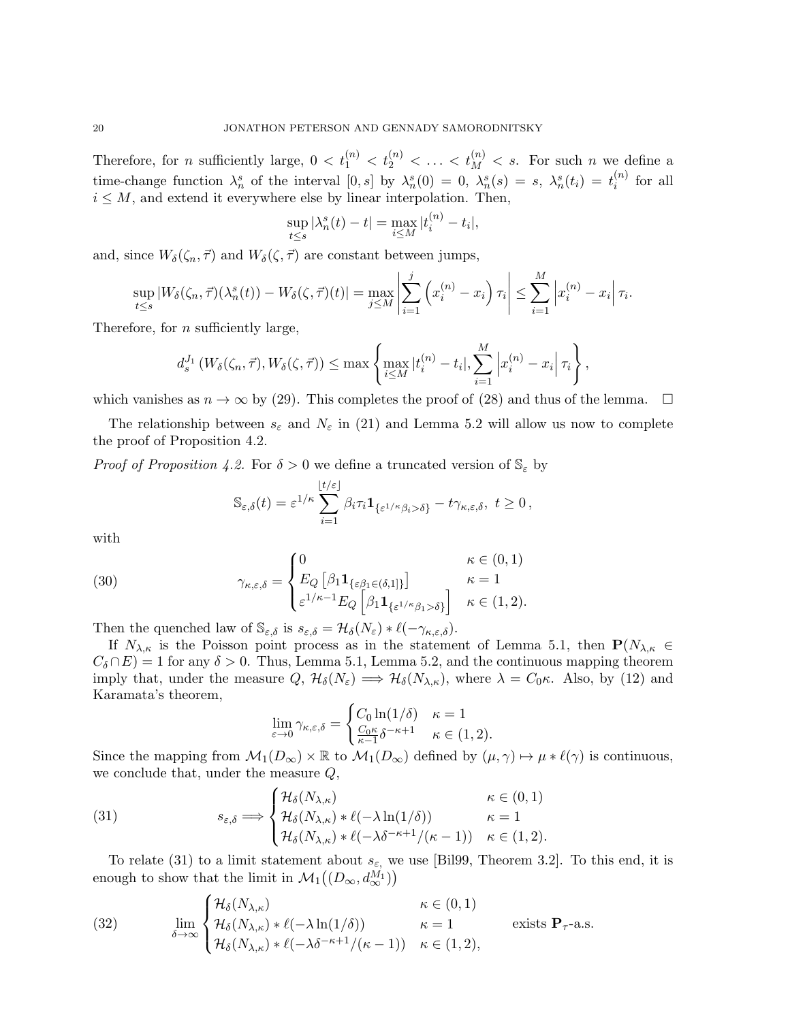Therefore, for *n* sufficiently large,  $0 < t_1^{(n)} < t_2^{(n)} < \ldots < t_M^{(n)} < s$ . For such *n* we define a time-change function  $\lambda_n^s$  of the interval  $[0,s]$  by  $\lambda_n^s(0) = 0$ ,  $\lambda_n^s(s) = s$ ,  $\lambda_n^s(t_i) = t_i^{(n)}$  $i^{(n)}$  for all  $i \leq M$ , and extend it everywhere else by linear interpolation. Then,

$$
\sup_{t \le s} |\lambda_n^s(t) - t| = \max_{i \le M} |t_i^{(n)} - t_i|,
$$

and, since  $W_{\delta}(\zeta_n, \vec{\tau})$  and  $W_{\delta}(\zeta, \vec{\tau})$  are constant between jumps,

$$
\sup_{t\leq s}|W_{\delta}(\zeta_n,\vec{\tau})(\lambda_n^s(t))-W_{\delta}(\zeta,\vec{\tau})(t)|=\max_{j\leq M}\left|\sum_{i=1}^j\left(x_i^{(n)}-x_i\right)\tau_i\right|\leq \sum_{i=1}^M\left|x_i^{(n)}-x_i\right|\tau_i.
$$

Therefore, for *n* sufficiently large,

$$
d_s^{J_1}(W_{\delta}(\zeta_n,\vec{\tau}),W_{\delta}(\zeta,\vec{\tau})) \leq \max\left\{\max_{i\leq M}|t_i^{(n)}-t_i|,\sum_{i=1}^M\left|x_i^{(n)}-x_i\right|\tau_i\right\},\right\}
$$

which vanishes as  $n \to \infty$  by (29). This completes the proof of (28) and thus of the lemma.  $\square$ 

The relationship between  $s_{\varepsilon}$  and  $N_{\varepsilon}$  in (21) and Lemma 5.2 will allow us now to complete the proof of Proposition 4.2.

*Proof of Proposition 4.2.* For  $\delta > 0$  we define a truncated version of  $\mathbb{S}_{\varepsilon}$  by

$$
\mathbb{S}_{\varepsilon,\delta}(t) = \varepsilon^{1/\kappa} \sum_{i=1}^{\lfloor t/\varepsilon \rfloor} \beta_i \tau_i \mathbf{1}_{\{\varepsilon^{1/\kappa} \beta_i > \delta\}} - t \gamma_{\kappa,\varepsilon,\delta}, \ t \ge 0,
$$

with

(30) 
$$
\gamma_{\kappa,\varepsilon,\delta} = \begin{cases} 0 & \kappa \in (0,1) \\ E_Q \left[ \beta_1 \mathbf{1}_{\{\varepsilon \beta_1 \in (\delta,1]\}} \right] & \kappa = 1 \\ \varepsilon^{1/\kappa - 1} E_Q \left[ \beta_1 \mathbf{1}_{\{\varepsilon^{1/\kappa} \beta_1 > \delta\}} \right] & \kappa \in (1,2). \end{cases}
$$

Then the quenched law of  $\mathbb{S}_{\varepsilon,\delta}$  is  $s_{\varepsilon,\delta} = \mathcal{H}_{\delta}(N_{\varepsilon}) * \ell(-\gamma_{\kappa,\varepsilon,\delta}).$ 

If  $N_{\lambda,\kappa}$  is the Poisson point process as in the statement of Lemma 5.1, then  $P(N_{\lambda,\kappa})$  $C_{\delta} \cap E$  = 1 for any  $\delta > 0$ . Thus, Lemma 5.1, Lemma 5.2, and the continuous mapping theorem imply that, under the measure  $Q$ ,  $\mathcal{H}_{\delta}(N_{\varepsilon}) \implies \mathcal{H}_{\delta}(N_{\lambda,\kappa})$ , where  $\lambda = C_0 \kappa$ . Also, by (12) and Karamata's theorem,

$$
\lim_{\varepsilon \to 0} \gamma_{\kappa,\varepsilon,\delta} = \begin{cases} C_0 \ln(1/\delta) & \kappa = 1\\ \frac{C_0 \kappa}{\kappa - 1} \delta^{-\kappa + 1} & \kappa \in (1,2). \end{cases}
$$

Since the mapping from  $\mathcal{M}_1(D_\infty) \times \mathbb{R}$  to  $\mathcal{M}_1(D_\infty)$  defined by  $(\mu, \gamma) \mapsto \mu * \ell(\gamma)$  is continuous, we conclude that, under the measure Q,

(31) 
$$
s_{\varepsilon,\delta} \Longrightarrow \begin{cases} \mathcal{H}_{\delta}(N_{\lambda,\kappa}) & \kappa \in (0,1) \\ \mathcal{H}_{\delta}(N_{\lambda,\kappa}) * \ell(-\lambda \ln(1/\delta)) & \kappa = 1 \\ \mathcal{H}_{\delta}(N_{\lambda,\kappa}) * \ell(-\lambda \delta^{-\kappa+1}/(\kappa-1)) & \kappa \in (1,2). \end{cases}
$$

To relate (31) to a limit statement about  $s_{\varepsilon}$ , we use [Bil99, Theorem 3.2]. To this end, it is enough to show that the limit in  $\mathcal{M}_1((D_{\infty}, d_{\infty}^{M_1}))$ 

(32) 
$$
\lim_{\delta \to \infty} \begin{cases} \mathcal{H}_{\delta}(N_{\lambda,\kappa}) & \kappa \in (0,1) \\ \mathcal{H}_{\delta}(N_{\lambda,\kappa}) * \ell(-\lambda \ln(1/\delta)) & \kappa = 1 \\ \mathcal{H}_{\delta}(N_{\lambda,\kappa}) * \ell(-\lambda \delta^{-\kappa+1}/(\kappa-1)) & \kappa \in (1,2), \end{cases} \text{ exists } \mathbf{P}_{\tau}\text{-a.s.}
$$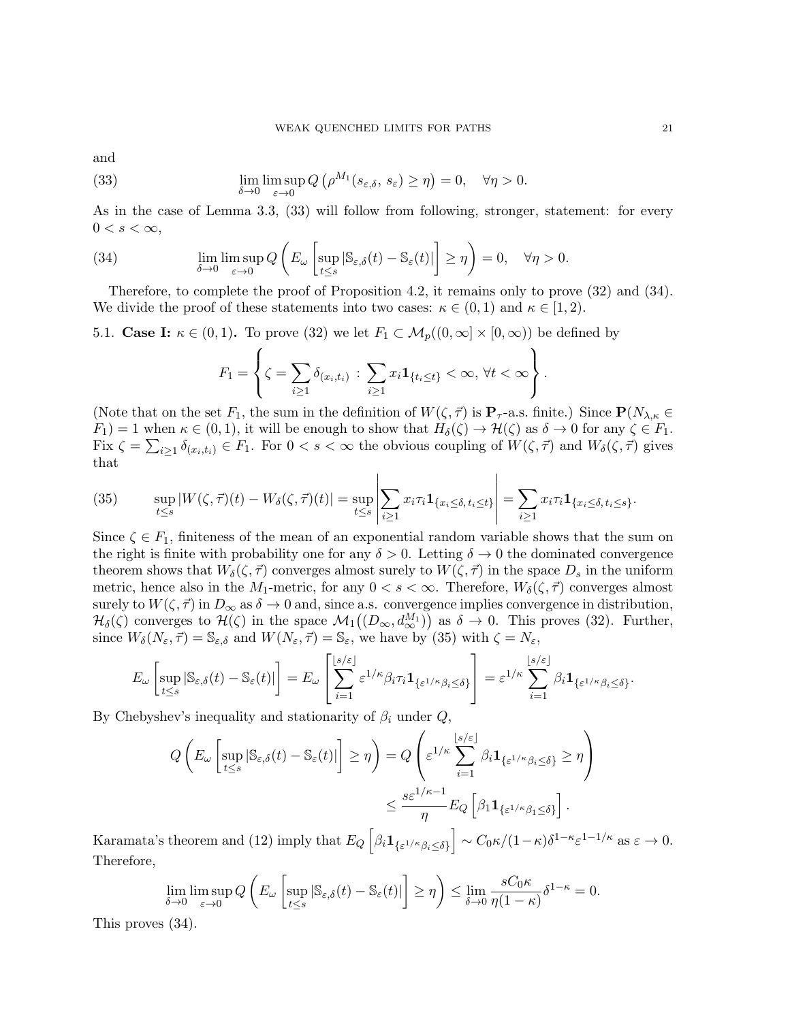and

(33) 
$$
\lim_{\delta \to 0} \limsup_{\varepsilon \to 0} Q\left(\rho^{M_1}(s_{\varepsilon,\delta}, s_{\varepsilon}) \ge \eta\right) = 0, \quad \forall \eta > 0.
$$

As in the case of Lemma 3.3, (33) will follow from following, stronger, statement: for every  $0 < s < \infty$ ,

(34) 
$$
\lim_{\delta \to 0} \limsup_{\varepsilon \to 0} Q\left(E_{\omega}\left[\sup_{t \le s} |\mathbb{S}_{\varepsilon,\delta}(t) - \mathbb{S}_{\varepsilon}(t)|\right] \ge \eta\right) = 0, \quad \forall \eta > 0.
$$

Therefore, to complete the proof of Proposition 4.2, it remains only to prove (32) and (34). We divide the proof of these statements into two cases:  $\kappa \in (0,1)$  and  $\kappa \in [1,2)$ .

5.1. Case I:  $\kappa \in (0,1)$ . To prove (32) we let  $F_1 \subset \mathcal{M}_p((0,\infty) \times [0,\infty))$  be defined by  $\epsilon$ 

$$
F_1 = \left\{ \zeta = \sum_{i \ge 1} \delta_{(x_i, t_i)} : \sum_{i \ge 1} x_i \mathbf{1}_{\{t_i \le t\}} < \infty, \forall t < \infty \right\}.
$$

(Note that on the set  $F_1$ , the sum in the definition of  $W(\zeta, \vec{\tau})$  is  $\mathbf{P}_{\tau}$ -a.s. finite.) Since  $\mathbf{P}(N_{\lambda,\kappa})$  $F_1$ ) = 1 when  $\kappa \in (0,1)$ , it will be enough to show that  $H_\delta(\zeta) \to \mathcal{H}(\zeta)$  as  $\delta \to 0$  for any  $\zeta \in F_1$ . Fix  $\zeta = \sum_{i\geq 1} \delta_{(x_i,t_i)} \in F_1$ . For  $0 < s < \infty$  the obvious coupling of  $W(\zeta, \vec{\tau})$  and  $W_{\delta}(\zeta, \vec{\tau})$  gives that

(35) 
$$
\sup_{t\leq s}|W(\zeta,\vec{\tau})(t)-W_{\delta}(\zeta,\vec{\tau})(t)|=\sup_{t\leq s}\left|\sum_{i\geq 1}x_{i}\tau_{i}\mathbf{1}_{\{x_{i}\leq\delta,\,t_{i}\leq t\}}\right|=\sum_{i\geq 1}x_{i}\tau_{i}\mathbf{1}_{\{x_{i}\leq\delta,\,t_{i}\leq s\}}.
$$

Since  $\zeta \in F_1$ , finiteness of the mean of an exponential random variable shows that the sum on the right is finite with probability one for any  $\delta > 0$ . Letting  $\delta \to 0$  the dominated convergence theorem shows that  $W_{\delta}(\zeta, \vec{\tau})$  converges almost surely to  $W(\zeta, \vec{\tau})$  in the space  $D_s$  in the uniform metric, hence also in the M<sub>1</sub>-metric, for any  $0 < s < \infty$ . Therefore,  $W_{\delta}(\zeta, \vec{\tau})$  converges almost surely to  $W(\zeta, \vec{\tau})$  in  $D_{\infty}$  as  $\delta \to 0$  and, since a.s. convergence implies convergence in distribution,  $\mathcal{H}_{\delta}(\zeta)$  converges to  $\mathcal{H}(\zeta)$  in the space  $\mathcal{M}_1((D_{\infty}, d_{\infty}^{M_1}))$  as  $\delta \to 0$ . This proves (32). Further, since  $W_{\delta}(N_{\varepsilon}, \vec{\tau}) = \mathbb{S}_{\varepsilon,\delta}$  and  $W(N_{\varepsilon}, \vec{\tau}) = \mathbb{S}_{\varepsilon}$ , we have by (35) with  $\zeta = N_{\varepsilon}$ ,

$$
E_{\omega}\left[\sup_{t\leq s}|\mathbb{S}_{\varepsilon,\delta}(t)-\mathbb{S}_{\varepsilon}(t)|\right]=E_{\omega}\left[\sum_{i=1}^{\lfloor s/\varepsilon\rfloor}\varepsilon^{1/\kappa}\beta_i\tau_i\mathbf{1}_{\{\varepsilon^{1/\kappa}\beta_i\leq\delta\}}\right]=\varepsilon^{1/\kappa}\sum_{i=1}^{\lfloor s/\varepsilon\rfloor}\beta_i\mathbf{1}_{\{\varepsilon^{1/\kappa}\beta_i\leq\delta\}}.
$$

By Chebyshev's inequality and stationarity of  $\beta_i$  under  $Q$ ,

$$
Q\left(E_{\omega}\left[\sup_{t\leq s}|\mathbb{S}_{\varepsilon,\delta}(t)-\mathbb{S}_{\varepsilon}(t)|\right]\geq\eta\right)=Q\left(\varepsilon^{1/\kappa}\sum_{i=1}^{\lfloor s/\varepsilon\rfloor}\beta_{i}\mathbf{1}_{\{\varepsilon^{1/\kappa}\beta_{i}\leq\delta\}}\geq\eta\right)
$$

$$
\leq\frac{s\varepsilon^{1/\kappa-1}}{\eta}E_{Q}\left[\beta_{1}\mathbf{1}_{\{\varepsilon^{1/\kappa}\beta_{1}\leq\delta\}}\right].
$$

Karamata's theorem and (12) imply that  $E_Q\left[\beta_i \mathbf{1}_{\{\varepsilon^{1/\kappa}\beta_i \leq \delta\}}\right] \sim C_0\kappa/(1-\kappa)\delta^{1-\kappa}\varepsilon^{1-1/\kappa}$  as  $\varepsilon \to 0$ . Therefore,

$$
\lim_{\delta \to 0} \limsup_{\varepsilon \to 0} Q\left(E_{\omega}\left[\sup_{t \le s} |\mathbb{S}_{\varepsilon,\delta}(t) - \mathbb{S}_{\varepsilon}(t)|\right] \ge \eta\right) \le \lim_{\delta \to 0} \frac{sC_0 \kappa}{\eta(1-\kappa)} \delta^{1-\kappa} = 0.
$$

This proves (34).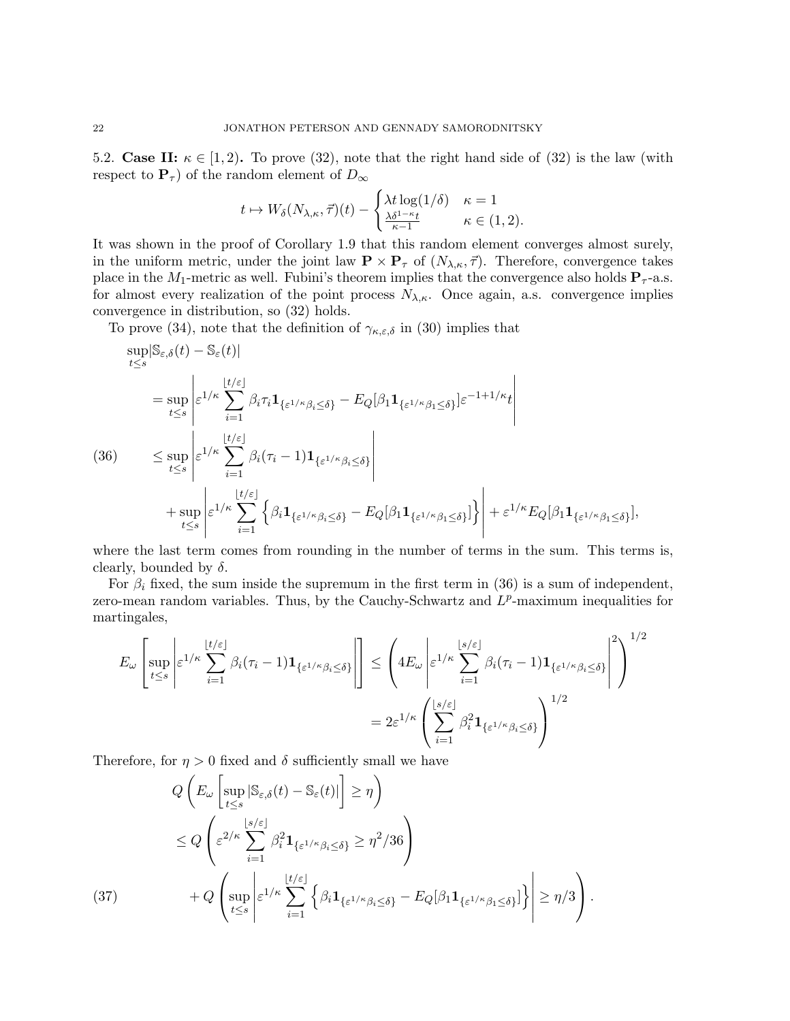5.2. Case II:  $\kappa \in [1, 2)$ . To prove (32), note that the right hand side of (32) is the law (with respect to  $\mathbf{P}_{\tau}$  of the random element of  $D_{\infty}$ 

$$
t \mapsto W_{\delta}(N_{\lambda,\kappa},\vec{\tau})(t) - \begin{cases} \lambda t \log(1/\delta) & \kappa = 1\\ \frac{\lambda \delta^{1-\kappa} t}{\kappa-1} & \kappa \in (1,2). \end{cases}
$$

It was shown in the proof of Corollary 1.9 that this random element converges almost surely, in the uniform metric, under the joint law  $\mathbf{P} \times \mathbf{P}_{\tau}$  of  $(N_{\lambda,\kappa},\vec{\tau})$ . Therefore, convergence takes place in the M<sub>1</sub>-metric as well. Fubini's theorem implies that the convergence also holds  $P_{\tau}$ -a.s. for almost every realization of the point process  $N_{\lambda,\kappa}$ . Once again, a.s. convergence implies convergence in distribution, so (32) holds.

To prove (34), note that the definition of  $\gamma_{\kappa,\varepsilon,\delta}$  in (30) implies that

$$
\sup_{t\leq s} |\mathbb{S}_{\varepsilon,\delta}(t) - \mathbb{S}_{\varepsilon}(t)|
$$
\n
$$
= \sup_{t\leq s} \left| \varepsilon^{1/\kappa} \sum_{i=1}^{\lfloor t/\varepsilon \rfloor} \beta_i \tau_i \mathbf{1}_{\{\varepsilon^{1/\kappa}\beta_i \leq \delta\}} - E_Q[\beta_1 \mathbf{1}_{\{\varepsilon^{1/\kappa}\beta_1 \leq \delta\}}] \varepsilon^{-1+1/\kappa} t \right|
$$
\n(36)\n
$$
\leq \sup_{t\leq s} \left| \varepsilon^{1/\kappa} \sum_{i=1}^{\lfloor t/\varepsilon \rfloor} \beta_i (\tau_i - 1) \mathbf{1}_{\{\varepsilon^{1/\kappa}\beta_i \leq \delta\}} \right|
$$
\n
$$
+ \sup_{t\leq s} \left| \varepsilon^{1/\kappa} \sum_{i=1}^{\lfloor t/\varepsilon \rfloor} \left\{ \beta_i \mathbf{1}_{\{\varepsilon^{1/\kappa}\beta_i \leq \delta\}} - E_Q[\beta_1 \mathbf{1}_{\{\varepsilon^{1/\kappa}\beta_1 \leq \delta\}}] \right\} \right| + \varepsilon^{1/\kappa} E_Q[\beta_1 \mathbf{1}_{\{\varepsilon^{1/\kappa}\beta_1 \leq \delta\}}],
$$

where the last term comes from rounding in the number of terms in the sum. This terms is, clearly, bounded by  $\delta$ .

For  $\beta_i$  fixed, the sum inside the supremum in the first term in (36) is a sum of independent, zero-mean random variables. Thus, by the Cauchy-Schwartz and  $L^p$ -maximum inequalities for martingales,

$$
E_{\omega} \left[ \sup_{t \le s} \left| \varepsilon^{1/\kappa} \sum_{i=1}^{\lfloor t/\varepsilon \rfloor} \beta_i (\tau_i - 1) \mathbf{1}_{\{\varepsilon^{1/\kappa} \beta_i \le \delta\}} \right| \right] \le \left( 4E_{\omega} \left| \varepsilon^{1/\kappa} \sum_{i=1}^{\lfloor s/\varepsilon \rfloor} \beta_i (\tau_i - 1) \mathbf{1}_{\{\varepsilon^{1/\kappa} \beta_i \le \delta\}} \right|^{2} \right)^{1/2}
$$

$$
= 2\varepsilon^{1/\kappa} \left( \sum_{i=1}^{\lfloor s/\varepsilon \rfloor} \beta_i^{2} \mathbf{1}_{\{\varepsilon^{1/\kappa} \beta_i \le \delta\}} \right)^{1/2}
$$

Therefore, for  $\eta > 0$  fixed and  $\delta$  sufficiently small we have

$$
Q\left(E_{\omega}\left[\sup_{t\leq s}|\mathbb{S}_{\varepsilon,\delta}(t)-\mathbb{S}_{\varepsilon}(t)|\right]\geq\eta\right)
$$
  
\n
$$
\leq Q\left(\varepsilon^{2/\kappa}\sum_{i=1}^{\lfloor s/\varepsilon\rfloor}\beta_i^2\mathbf{1}_{\{\varepsilon^{1/\kappa}\beta_i\leq\delta\}}\geq\eta^2/36\right)
$$
  
\n(37)  
\n
$$
+Q\left(\sup_{t\leq s}\left|\varepsilon^{1/\kappa}\sum_{i=1}^{\lfloor t/\varepsilon\rfloor}\left\{\beta_i\mathbf{1}_{\{\varepsilon^{1/\kappa}\beta_i\leq\delta\}}-E_Q[\beta_1\mathbf{1}_{\{\varepsilon^{1/\kappa}\beta_1\leq\delta\}}]\right\}\right|\geq\eta/3\right).
$$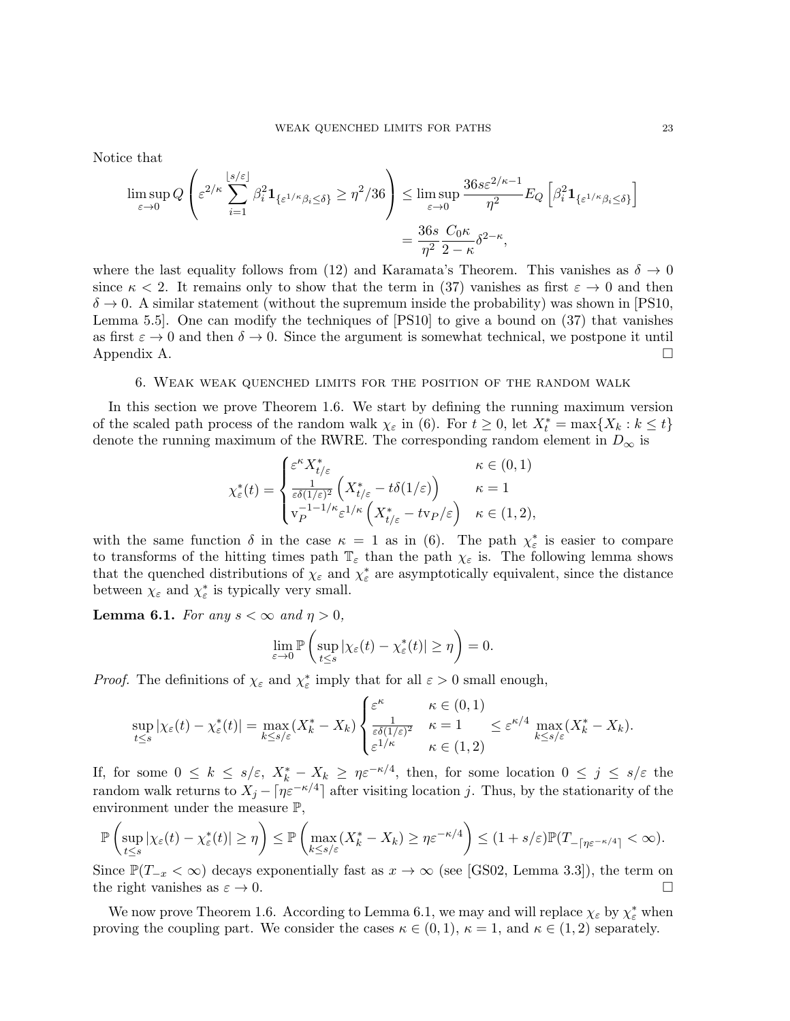Notice that

$$
\limsup_{\varepsilon \to 0} Q\left(\varepsilon^{2/\kappa} \sum_{i=1}^{\lfloor s/\varepsilon \rfloor} \beta_i^2 \mathbf{1}_{\{\varepsilon^{1/\kappa}\beta_i \le \delta\}} \ge \eta^2/36\right) \le \limsup_{\varepsilon \to 0} \frac{36s \varepsilon^{2/\kappa - 1}}{\eta^2} E_Q\left[\beta_i^2 \mathbf{1}_{\{\varepsilon^{1/\kappa}\beta_i \le \delta\}}\right]
$$

$$
= \frac{36s}{\eta^2} \frac{C_0 \kappa}{2 - \kappa} \delta^{2 - \kappa},
$$

where the last equality follows from (12) and Karamata's Theorem. This vanishes as  $\delta \to 0$ since  $\kappa < 2$ . It remains only to show that the term in (37) vanishes as first  $\varepsilon \to 0$  and then  $\delta \rightarrow 0$ . A similar statement (without the supremum inside the probability) was shown in [PS10, Lemma 5.5]. One can modify the techniques of [PS10] to give a bound on (37) that vanishes as first  $\varepsilon \to 0$  and then  $\delta \to 0$ . Since the argument is somewhat technical, we postpone it until Appendix A. Appendix A.

### 6. Weak weak quenched limits for the position of the random walk

In this section we prove Theorem 1.6. We start by defining the running maximum version of the scaled path process of the random walk  $\chi_{\varepsilon}$  in (6). For  $t \geq 0$ , let  $X_t^* = \max\{X_k : k \leq t\}$ denote the running maximum of the RWRE. The corresponding random element in  $D_{\infty}$  is

$$
\chi_{\varepsilon}^*(t) = \begin{cases} \varepsilon^{\kappa} X_{t/\varepsilon}^* & \kappa \in (0,1) \\ \frac{1}{\varepsilon \delta(1/\varepsilon)^2} \left( X_{t/\varepsilon}^* - t \delta(1/\varepsilon) \right) & \kappa = 1 \\ v_P^{-1 - 1/\kappa} \varepsilon^{1/\kappa} \left( X_{t/\varepsilon}^* - t v_P/\varepsilon \right) & \kappa \in (1,2), \end{cases}
$$

with the same function  $\delta$  in the case  $\kappa = 1$  as in (6). The path  $\chi_{\varepsilon}^*$  is easier to compare to transforms of the hitting times path  $\mathbb{T}_{\varepsilon}$  than the path  $\chi_{\varepsilon}$  is. The following lemma shows that the quenched distributions of  $\chi_{\varepsilon}$  and  $\chi_{\varepsilon}^{*}$  are asymptotically equivalent, since the distance between  $\chi_{\varepsilon}$  and  $\chi_{\varepsilon}^*$  is typically very small.

**Lemma 6.1.** For any  $s < \infty$  and  $\eta > 0$ ,

$$
\lim_{\varepsilon \to 0} \mathbb{P}\left(\sup_{t \le s} |\chi_{\varepsilon}(t) - \chi_{\varepsilon}^*(t)| \ge \eta\right) = 0.
$$

*Proof.* The definitions of  $\chi_{\varepsilon}$  and  $\chi_{\varepsilon}^*$  imply that for all  $\varepsilon > 0$  small enough,

$$
\sup_{t\leq s}|\chi_{\varepsilon}(t)-\chi_{\varepsilon}^*(t)|=\max_{k\leq s/\varepsilon}(X_k^*-X_k)\begin{cases} \varepsilon^{\kappa} & \kappa\in(0,1) \\ \frac{1}{\varepsilon\delta(1/\varepsilon)^2} & \kappa=1 \\ \varepsilon^{1/\kappa} & \kappa\in(1,2) \end{cases}\leq \varepsilon^{\kappa/4}\max_{k\leq s/\varepsilon}(X_k^*-X_k).
$$

If, for some  $0 \leq k \leq s/\varepsilon$ ,  $X_k^* - X_k \geq \eta \varepsilon^{-\kappa/4}$ , then, for some location  $0 \leq j \leq s/\varepsilon$  the random walk returns to  $X_j - \lceil \eta \varepsilon^{-\kappa/4} \rceil$  after visiting location j. Thus, by the stationarity of the environment under the measure  $\mathbb{P}$ ,

$$
\mathbb{P}\left(\sup_{t\leq s}|\chi_{\varepsilon}(t)-\chi_{\varepsilon}^*(t)|\geq \eta\right)\leq \mathbb{P}\left(\max_{k\leq s/\varepsilon}(X_k^*-X_k)\geq \eta \varepsilon^{-\kappa/4}\right)\leq (1+s/\varepsilon)\mathbb{P}(T_{-\lceil \eta \varepsilon^{-\kappa/4}\rceil}<\infty).
$$

Since  $\mathbb{P}(T_{-x} < \infty)$  decays exponentially fast as  $x \to \infty$  (see [GS02, Lemma 3.3]), the term on the right vanishes as  $\varepsilon \to 0$ .

We now prove Theorem 1.6. According to Lemma 6.1, we may and will replace  $\chi_{\varepsilon}$  by  $\chi_{\varepsilon}^*$  when proving the coupling part. We consider the cases  $\kappa \in (0,1)$ ,  $\kappa = 1$ , and  $\kappa \in (1,2)$  separately.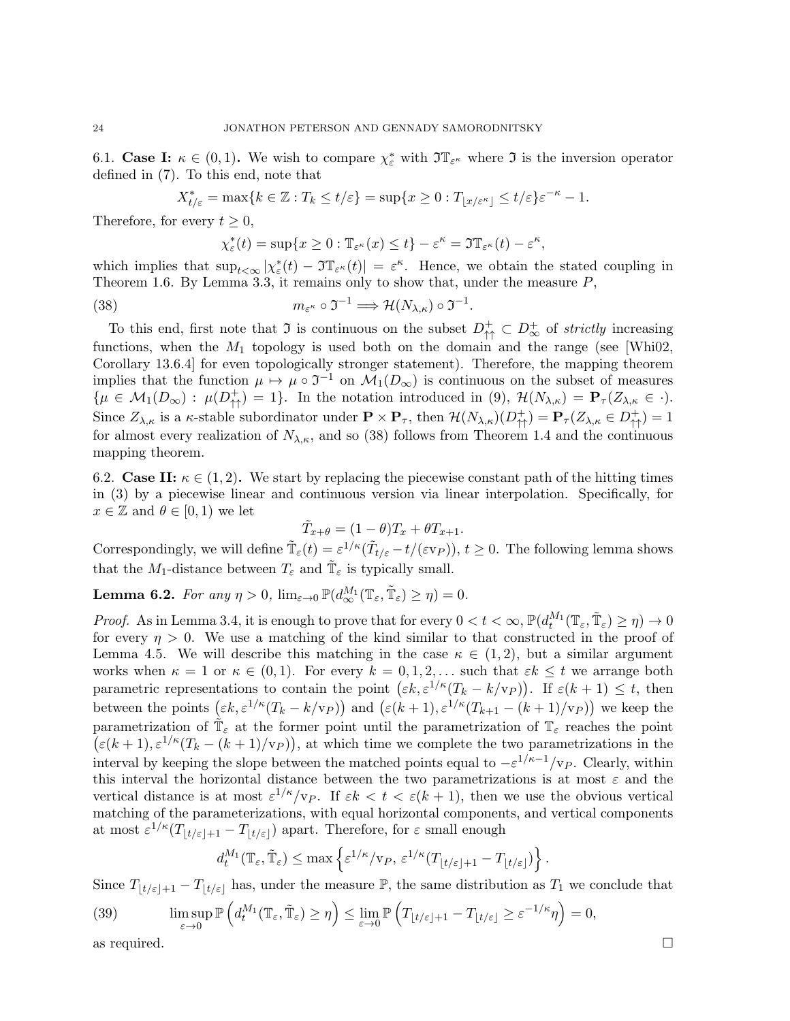6.1. Case I:  $\kappa \in (0,1)$ . We wish to compare  $\chi_{\varepsilon}^*$  with  $\mathfrak{I} \mathbb{T}_{\varepsilon}$  where  $\mathfrak{I}$  is the inversion operator defined in (7). To this end, note that

$$
X^*_{t/\varepsilon}=\max\{k\in\mathbb{Z}: T_k\leq t/\varepsilon\}=\sup\{x\geq 0: T_{\lfloor x/\varepsilon^\kappa\rfloor}\leq t/\varepsilon\}\varepsilon^{-\kappa}-1.
$$

Therefore, for every  $t \geq 0$ ,

$$
\chi_{\varepsilon}^*(t) = \sup\{x \ge 0 : \mathbb{T}_{\varepsilon}(\kappa) \le t\} - \varepsilon^{\kappa} = \Im \mathbb{T}_{\varepsilon}(\kappa) - \varepsilon^{\kappa},
$$

which implies that  $\sup_{t<\infty} |\chi_{\varepsilon}^*(t) - \Im \mathbb{T}_{\varepsilon}^{\kappa}(t)| = \varepsilon^{\kappa}$ . Hence, we obtain the stated coupling in Theorem 1.6. By Lemma 3.3, it remains only to show that, under the measure  $P$ ,

(38) 
$$
m_{\varepsilon^{\kappa}} \circ \mathfrak{I}^{-1} \Longrightarrow \mathcal{H}(N_{\lambda,\kappa}) \circ \mathfrak{I}^{-1}.
$$

To this end, first note that  $\mathfrak I$  is continuous on the subset  $D_{\uparrow\uparrow}^+ \subset D_{\infty}^+$  of strictly increasing functions, when the  $M_1$  topology is used both on the domain and the range (see [Whi02, Corollary 13.6.4] for even topologically stronger statement). Therefore, the mapping theorem implies that the function  $\mu \mapsto \mu \circ \mathfrak{I}^{-1}$  on  $\mathcal{M}_1(D_\infty)$  is continuous on the subset of measures  $\{\mu \in \mathcal{M}_1(D_\infty) : \mu(D_{\uparrow\uparrow}^+) = 1\}.$  In the notation introduced in (9),  $\mathcal{H}(N_{\lambda,\kappa}) = \mathbf{P}_{\tau}(Z_{\lambda,\kappa} \in \cdot).$ Since  $Z_{\lambda,\kappa}$  is a  $\kappa$ -stable subordinator under  $\mathbf{P} \times \mathbf{P}_{\tau}$ , then  $\mathcal{H}(N_{\lambda,\kappa})(D_{\uparrow\uparrow}^+) = \mathbf{P}_{\tau}(Z_{\lambda,\kappa} \in D_{\uparrow\uparrow}^+) = 1$ for almost every realization of  $N_{\lambda,\kappa}$ , and so (38) follows from Theorem 1.4 and the continuous mapping theorem.

6.2. Case II:  $\kappa \in (1,2)$ . We start by replacing the piecewise constant path of the hitting times in (3) by a piecewise linear and continuous version via linear interpolation. Specifically, for  $x \in \mathbb{Z}$  and  $\theta \in [0,1)$  we let

$$
\tilde{T}_{x+\theta} = (1-\theta)T_x + \theta T_{x+1}.
$$

Correspondingly, we will define  $\tilde{\mathbb{T}}_{\varepsilon}(t) = \varepsilon^{1/\kappa}(\tilde{T}_{t/\varepsilon} - t/(\varepsilon v_P)), t \ge 0$ . The following lemma shows that the  $M_1$ -distance between  $T_\varepsilon$  and  $\tilde{\mathbb{T}}_\varepsilon$  is typically small.

**Lemma 6.2.** For any  $\eta > 0$ ,  $\lim_{\varepsilon \to 0} \mathbb{P}(d_{\infty}^{M_1}(\mathbb{T}_{\varepsilon}, \tilde{\mathbb{T}}_{\varepsilon}) \ge \eta) = 0$ .

*Proof.* As in Lemma 3.4, it is enough to prove that for every  $0 < t < \infty$ ,  $\mathbb{P}(d_t^{M_1}(\mathbb{T}_{\varepsilon}, \tilde{\mathbb{T}}_{\varepsilon}) \ge \eta) \to 0$ for every  $\eta > 0$ . We use a matching of the kind similar to that constructed in the proof of Lemma 4.5. We will describe this matching in the case  $\kappa \in (1,2)$ , but a similar argument works when  $\kappa = 1$  or  $\kappa \in (0, 1)$ . For every  $k = 0, 1, 2, \ldots$  such that  $\varepsilon k \leq t$  we arrange both parametric representations to contain the point  $(\varepsilon k, \varepsilon^{1/\kappa} (T_k - k/v_P))$ . If  $\varepsilon (k+1) \leq t$ , then between the points  $(\varepsilon k, \varepsilon^{1/\kappa} (T_k - k/v_P))$  and  $(\varepsilon (k+1), \varepsilon^{1/\kappa} (T_{k+1} - (k+1)/v_P))$  we keep the parametrization of  $\tilde{\mathbb{T}}_{\varepsilon}$  at the former point until the parametrization of  $\mathbb{T}_{\varepsilon}$  reaches the point  $(\varepsilon(k+1), \varepsilon^{1/\kappa}(T_k - (k+1)/v_P)),$  at which time we complete the two parametrizations in the interval by keeping the slope between the matched points equal to  $-\varepsilon^{1/\kappa-1}/v_P$ . Clearly, within this interval the horizontal distance between the two parametrizations is at most  $\varepsilon$  and the vertical distance is at most  $\varepsilon^{1/\kappa}/v_P$ . If  $\varepsilon k < t < \varepsilon(k+1)$ , then we use the obvious vertical matching of the parameterizations, with equal horizontal components, and vertical components at most  $\varepsilon^{1/\kappa} (T_{\lfloor t/\varepsilon \rfloor+1} - T_{\lfloor t/\varepsilon \rfloor})$  apart. Therefore, for  $\varepsilon$  small enough

$$
d_t^{M_1}(\mathbb{T}_{\varepsilon}, \tilde{\mathbb{T}}_{\varepsilon}) \le \max \left\{ \varepsilon^{1/\kappa} / v_P, \, \varepsilon^{1/\kappa} (T_{\lfloor t/\varepsilon \rfloor + 1} - T_{\lfloor t/\varepsilon \rfloor}) \right\}.
$$

Since  $T_{|t/\varepsilon|+1} - T_{|t/\varepsilon|}$  has, under the measure  $\mathbb{P}$ , the same distribution as  $T_1$  we conclude that

(39) 
$$
\limsup_{\varepsilon \to 0} \mathbb{P}\left(d_t^{M_1}(\mathbb{T}_{\varepsilon}, \tilde{\mathbb{T}}_{\varepsilon}) \ge \eta\right) \le \lim_{\varepsilon \to 0} \mathbb{P}\left(T_{\lfloor t/\varepsilon \rfloor + 1} - T_{\lfloor t/\varepsilon \rfloor} \ge \varepsilon^{-1/\kappa} \eta\right) = 0,
$$
as required.

$$
\Box
$$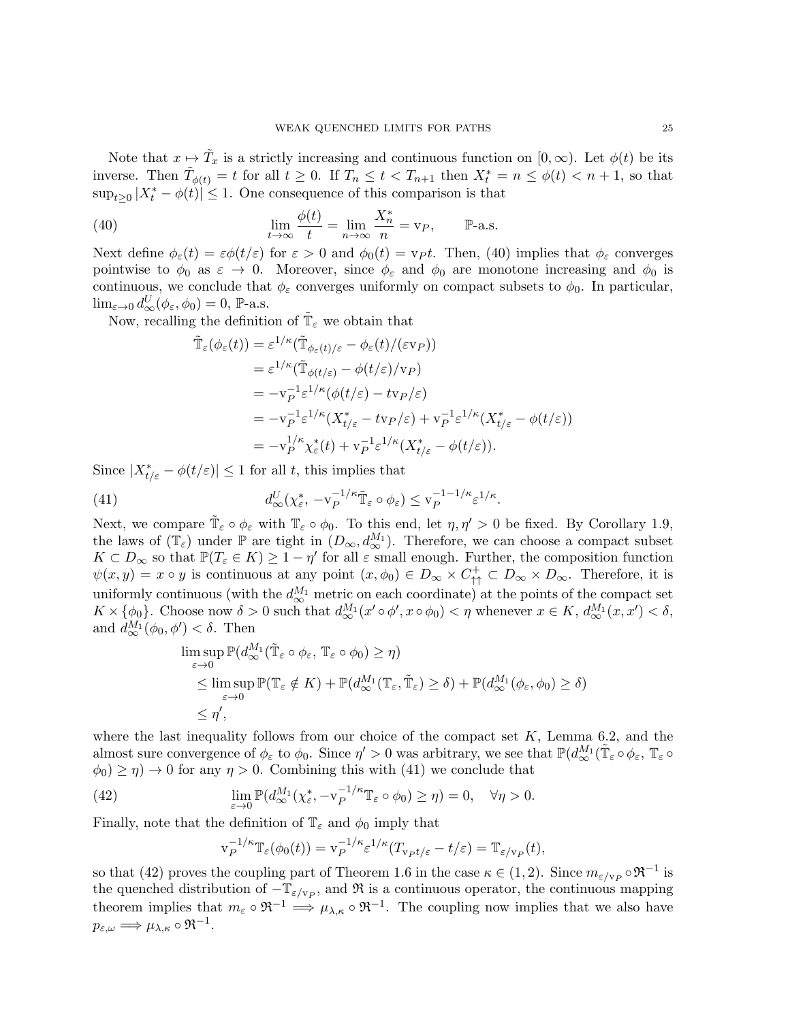Note that  $x \to \tilde{T}_x$  is a strictly increasing and continuous function on  $[0, \infty)$ . Let  $\phi(t)$  be its inverse. Then  $\tilde{T}_{\phi(t)} = t$  for all  $t \geq 0$ . If  $T_n \leq t < T_{n+1}$  then  $X_t^* = n \leq \phi(t) < n+1$ , so that  $\sup_{t\geq 0} |X_t^* - \phi(t)| \leq 1$ . One consequence of this comparison is that

(40) 
$$
\lim_{t \to \infty} \frac{\phi(t)}{t} = \lim_{n \to \infty} \frac{X_n^*}{n} = v_P, \quad \mathbb{P}\text{-a.s.}
$$

Next define  $\phi_{\varepsilon}(t) = \varepsilon \phi(t/\varepsilon)$  for  $\varepsilon > 0$  and  $\phi_0(t) = \text{v}_P t$ . Then, (40) implies that  $\phi_{\varepsilon}$  converges pointwise to  $\phi_0$  as  $\varepsilon \to 0$ . Moreover, since  $\phi_{\varepsilon}$  and  $\phi_0$  are monotone increasing and  $\phi_0$  is continuous, we conclude that  $\phi_{\varepsilon}$  converges uniformly on compact subsets to  $\phi_0$ . In particular,  $\lim_{\varepsilon \to 0} d_{\infty}^U(\phi_{\varepsilon}, \phi_0) = 0$ , P-a.s.

Now, recalling the definition of  $\tilde{\mathbb{T}}_{\varepsilon}$  we obtain that

$$
\tilde{\mathbb{T}}_{\varepsilon}(\phi_{\varepsilon}(t)) = \varepsilon^{1/\kappa} (\tilde{\mathbb{T}}_{\phi_{\varepsilon}(t)/\varepsilon} - \phi_{\varepsilon}(t)/(\varepsilon v_P))
$$
\n
$$
= \varepsilon^{1/\kappa} (\tilde{\mathbb{T}}_{\phi(t/\varepsilon)} - \phi(t/\varepsilon)/v_P)
$$
\n
$$
= -v_P^{-1} \varepsilon^{1/\kappa} (\phi(t/\varepsilon) - tv_P/\varepsilon)
$$
\n
$$
= -v_P^{-1} \varepsilon^{1/\kappa} (X_{t/\varepsilon}^* - tv_P/\varepsilon) + v_P^{-1} \varepsilon^{1/\kappa} (X_{t/\varepsilon}^* - \phi(t/\varepsilon))
$$
\n
$$
= -v_P^{1/\kappa} \chi_{\varepsilon}^*(t) + v_P^{-1} \varepsilon^{1/\kappa} (X_{t/\varepsilon}^* - \phi(t/\varepsilon)).
$$

Since  $|X^*_{t/\varepsilon} - \phi(t/\varepsilon)| \leq 1$  for all t, this implies that

(41) 
$$
d_{\infty}^U(\chi_{\varepsilon}^*, -v_P^{-1/\kappa}\tilde{\mathbb{T}}_{\varepsilon}\circ\phi_{\varepsilon})\leq v_P^{-1-1/\kappa}\varepsilon^{1/\kappa}.
$$

Next, we compare  $\tilde{\mathbb{T}}_{\varepsilon} \circ \phi_{\varepsilon}$  with  $\mathbb{T}_{\varepsilon} \circ \phi_0$ . To this end, let  $\eta, \eta' > 0$  be fixed. By Corollary 1.9, the laws of  $(\mathbb{T}_{\varepsilon})$  under  $\mathbb{P}$  are tight in  $(D_{\infty}, d_{\infty}^{M_1})$ . Therefore, we can choose a compact subset  $K \subset D_{\infty}$  so that  $\mathbb{P}(T_{\varepsilon} \in K) \geq 1 - \eta'$  for all  $\varepsilon$  small enough. Further, the composition function  $\psi(x,y) = x \circ y$  is continuous at any point  $(x, \phi_0) \in D_{\infty} \times C_{\uparrow}^+ \subset D_{\infty} \times D_{\infty}$ . Therefore, it is uniformly continuous (with the  $d_{\infty}^{M_1}$  metric on each coordinate) at the points of the compact set  $K \times \{\phi_0\}$ . Choose now  $\delta > 0$  such that  $d_{\infty}^{M_1}(x' \circ \phi', x \circ \phi_0) < \eta$  whenever  $x \in K$ ,  $d_{\infty}^{M_1}(x, x') < \delta$ , and  $d_{\infty}^{M_1}(\phi_0, \phi') < \delta$ . Then

$$
\limsup_{\varepsilon \to 0} \mathbb{P}(d_{\infty}^{M_1}(\tilde{\mathbb{T}}_{\varepsilon} \circ \phi_{\varepsilon}, \mathbb{T}_{\varepsilon} \circ \phi_0) \ge \eta)
$$
\n
$$
\le \limsup_{\varepsilon \to 0} \mathbb{P}(\mathbb{T}_{\varepsilon} \notin K) + \mathbb{P}(d_{\infty}^{M_1}(\mathbb{T}_{\varepsilon}, \tilde{\mathbb{T}}_{\varepsilon}) \ge \delta) + \mathbb{P}(d_{\infty}^{M_1}(\phi_{\varepsilon}, \phi_0) \ge \delta)
$$
\n
$$
\le \eta',
$$

where the last inequality follows from our choice of the compact set  $K$ , Lemma 6.2, and the almost sure convergence of  $\phi_{\varepsilon}$  to  $\phi_0$ . Since  $\eta' > 0$  was arbitrary, we see that  $\mathbb{P}(d_{\infty}^{M_1}(\tilde{\mathbb{T}}_{\varepsilon} \circ \phi_{\varepsilon}, \mathbb{T}_{\varepsilon} \circ$  $\phi_0 \geq \eta$   $\to 0$  for any  $\eta > 0$ . Combining this with (41) we conclude that

(42) 
$$
\lim_{\varepsilon \to 0} \mathbb{P}(d_{\infty}^{M_1}(\chi_{\varepsilon}^*, -v_P^{-1/\kappa} \mathbb{T}_{\varepsilon} \circ \phi_0) \ge \eta) = 0, \quad \forall \eta > 0.
$$

Finally, note that the definition of  $\mathbb{T}_{\varepsilon}$  and  $\phi_0$  imply that

$$
\mathbf{v}_P^{-1/\kappa} \mathbb{T}_{\varepsilon}(\phi_0(t)) = \mathbf{v}_P^{-1/\kappa} \varepsilon^{1/\kappa} (T_{\mathbf{v}_P t/\varepsilon} - t/\varepsilon) = \mathbb{T}_{\varepsilon/\mathbf{v}_P}(t),
$$

so that (42) proves the coupling part of Theorem 1.6 in the case  $\kappa \in (1, 2)$ . Since  $m_{\varepsilon/\nu_P} \circ \mathfrak{R}^{-1}$  is the quenched distribution of  $-\mathbb{T}_{\varepsilon/\nu_P}$ , and  $\Re$  is a continuous operator, the continuous mapping theorem implies that  $m_{\varepsilon} \circ \mathfrak{R}^{-1} \Longrightarrow \mu_{\lambda,\kappa} \circ \mathfrak{R}^{-1}$ . The coupling now implies that we also have  $p_{\varepsilon,\omega} \Longrightarrow \mu_{\lambda,\kappa} \circ \Re^{-1}.$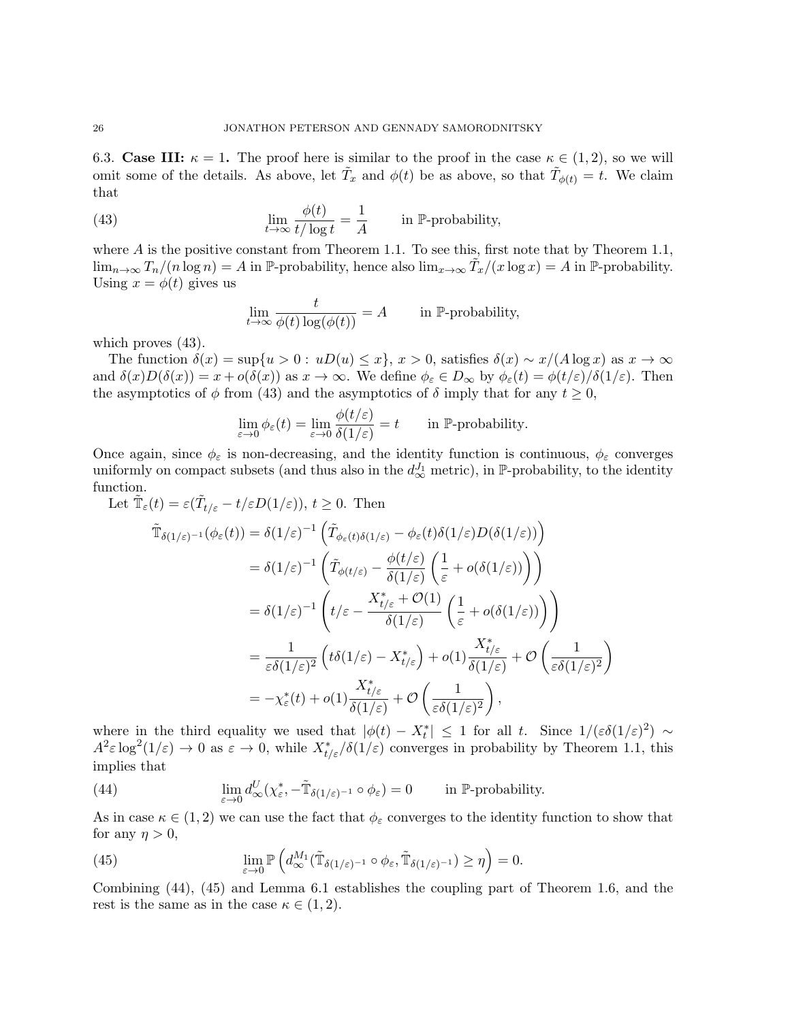6.3. Case III:  $\kappa = 1$ . The proof here is similar to the proof in the case  $\kappa \in (1, 2)$ , so we will omit some of the details. As above, let  $\tilde{T}_x$  and  $\phi(t)$  be as above, so that  $\tilde{T}_{\phi(t)} = t$ . We claim that

(43) 
$$
\lim_{t \to \infty} \frac{\phi(t)}{t/\log t} = \frac{1}{A} \quad \text{in } \mathbb{P}\text{-probability},
$$

where  $A$  is the positive constant from Theorem 1.1. To see this, first note that by Theorem 1.1,  $\lim_{n\to\infty} T_n/(n\log n) = A$  in P-probability, hence also  $\lim_{x\to\infty} \tilde{T}_x/(x\log x) = A$  in P-probability. Using  $x = \phi(t)$  gives us

$$
\lim_{t \to \infty} \frac{t}{\phi(t) \log(\phi(t))} = A \quad \text{in } \mathbb{P}\text{-probability,}
$$

which proves (43).

The function  $\delta(x) = \sup\{u > 0 : uD(u) \le x\}, x > 0$ , satisfies  $\delta(x) \sim x/(A \log x)$  as  $x \to \infty$ and  $\delta(x)D(\delta(x)) = x + o(\delta(x))$  as  $x \to \infty$ . We define  $\phi_{\varepsilon} \in D_{\infty}$  by  $\phi_{\varepsilon}(t) = \phi(t/\varepsilon)/\delta(1/\varepsilon)$ . Then the asymptotics of  $\phi$  from (43) and the asymptotics of  $\delta$  imply that for any  $t \geq 0$ ,

$$
\lim_{\varepsilon \to 0} \phi_{\varepsilon}(t) = \lim_{\varepsilon \to 0} \frac{\phi(t/\varepsilon)}{\delta(1/\varepsilon)} = t \quad \text{in } \mathbb{P}\text{-probability.}
$$

Once again, since  $\phi_{\varepsilon}$  is non-decreasing, and the identity function is continuous,  $\phi_{\varepsilon}$  converges uniformly on compact subsets (and thus also in the  $d_{\infty}^{J_1}$  metric), in P-probability, to the identity function.

Let  $\tilde{\mathbb{T}}_{\varepsilon}(t) = \varepsilon(\tilde{T}_{t/\varepsilon} - t/\varepsilon D(1/\varepsilon)), t \ge 0$ . Then  $\tilde{\mathbb{T}}_{\delta(1/\varepsilon)^{-1}}(\phi_{\varepsilon}(t))=\delta(1/\varepsilon)^{-1}\left(\tilde{T}_{\phi_{\varepsilon}(t)\delta(1/\varepsilon)}-\phi_{\varepsilon}(t)\delta(1/\varepsilon)D(\delta(1/\varepsilon))\right)$  $= \delta (1/\varepsilon)^{-1} \left( \tilde{T}_{\phi(t/\varepsilon)} - \right.$  $\phi(t/\varepsilon)$  $\delta(1/\varepsilon)$  $\sqrt{1}$ 

$$
= \delta(1/\varepsilon)^{-1} \left( \tilde{T}_{\phi(t/\varepsilon)} - \frac{\phi(t/\varepsilon)}{\delta(1/\varepsilon)} \left( \frac{1}{\varepsilon} + o(\delta(1/\varepsilon)) \right) \right)
$$
  
\n
$$
= \delta(1/\varepsilon)^{-1} \left( t/\varepsilon - \frac{X_{t/\varepsilon}^* + \mathcal{O}(1)}{\delta(1/\varepsilon)} \left( \frac{1}{\varepsilon} + o(\delta(1/\varepsilon)) \right) \right)
$$
  
\n
$$
= \frac{1}{\varepsilon \delta(1/\varepsilon)^2} \left( t\delta(1/\varepsilon) - X_{t/\varepsilon}^* \right) + o(1) \frac{X_{t/\varepsilon}^*}{\delta(1/\varepsilon)} + \mathcal{O}\left( \frac{1}{\varepsilon \delta(1/\varepsilon)^2} \right)
$$
  
\n
$$
= -\chi_{\varepsilon}^*(t) + o(1) \frac{X_{t/\varepsilon}^*}{\delta(1/\varepsilon)} + \mathcal{O}\left( \frac{1}{\varepsilon \delta(1/\varepsilon)^2} \right),
$$

where in the third equality we used that  $|\phi(t) - X_t^*| \leq 1$  for all t. Since  $1/(\varepsilon \delta(1/\varepsilon)^2) \sim$  $A^2 \varepsilon \log^2(1/\varepsilon) \to 0$  as  $\varepsilon \to 0$ , while  $X^*_{t/\varepsilon}/\delta(1/\varepsilon)$  converges in probability by Theorem 1.1, this implies that

(44) 
$$
\lim_{\varepsilon \to 0} d_{\infty}^U(\chi_{\varepsilon}^*, -\tilde{\mathbb{T}}_{\delta(1/\varepsilon)^{-1}} \circ \phi_{\varepsilon}) = 0 \quad \text{in $\mathbb{P}$-probability.}
$$

As in case  $\kappa \in (1,2)$  we can use the fact that  $\phi_{\varepsilon}$  converges to the identity function to show that for any  $\eta > 0$ ,

(45) 
$$
\lim_{\varepsilon \to 0} \mathbb{P}\left( d_{\infty}^{M_1}(\tilde{\mathbb{T}}_{\delta(1/\varepsilon)^{-1}} \circ \phi_{\varepsilon}, \tilde{\mathbb{T}}_{\delta(1/\varepsilon)^{-1}}) \ge \eta \right) = 0.
$$

Combining (44), (45) and Lemma 6.1 establishes the coupling part of Theorem 1.6, and the rest is the same as in the case  $\kappa \in (1, 2)$ .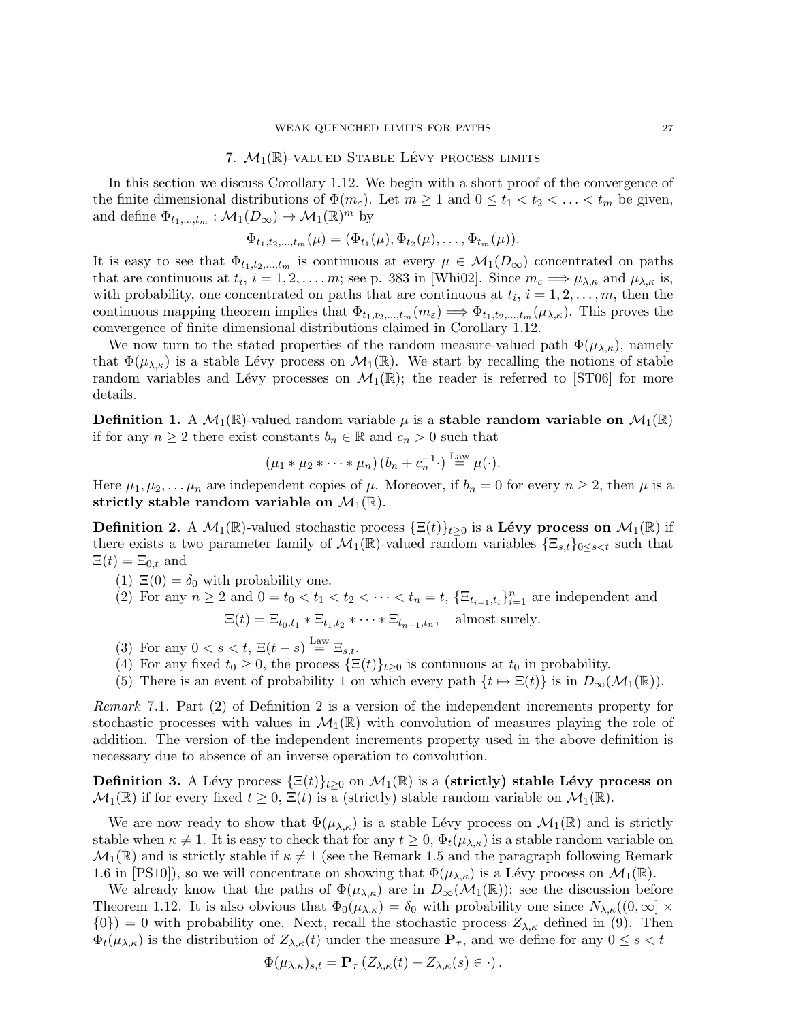## 7.  $M_1(\mathbb{R})$ -valued Stable Lévy process limits

In this section we discuss Corollary 1.12. We begin with a short proof of the convergence of the finite dimensional distributions of  $\Phi(m_{\varepsilon})$ . Let  $m \geq 1$  and  $0 \leq t_1 < t_2 < \ldots < t_m$  be given, and define  $\Phi_{t_1,\dots,t_m}: \mathcal{M}_1(D_\infty) \to \mathcal{M}_1(\mathbb{R})^m$  by

$$
\Phi_{t_1,t_2,...,t_m}(\mu)=(\Phi_{t_1}(\mu),\Phi_{t_2}(\mu),\ldots,\Phi_{t_m}(\mu)).
$$

It is easy to see that  $\Phi_{t_1,t_2,...,t_m}$  is continuous at every  $\mu \in \mathcal{M}_1(D_\infty)$  concentrated on paths that are continuous at  $t_i$ ,  $i = 1, 2, ..., m$ ; see p. 383 in [Whi02]. Since  $m_{\varepsilon} \Longrightarrow \mu_{\lambda,\kappa}$  and  $\mu_{\lambda,\kappa}$  is, with probability, one concentrated on paths that are continuous at  $t_i$ ,  $i = 1, 2, \ldots, m$ , then the continuous mapping theorem implies that  $\Phi_{t_1,t_2,\dots,t_m}(m_{\varepsilon}) \Longrightarrow \Phi_{t_1,t_2,\dots,t_m}(\mu_{\lambda,\kappa})$ . This proves the convergence of finite dimensional distributions claimed in Corollary 1.12.

We now turn to the stated properties of the random measure-valued path  $\Phi(\mu_{\lambda,\kappa})$ , namely that  $\Phi(\mu_{\lambda,\kappa})$  is a stable Lévy process on  $\mathcal{M}_1(\mathbb{R})$ . We start by recalling the notions of stable random variables and Lévy processes on  $\mathcal{M}_1(\mathbb{R})$ ; the reader is referred to [ST06] for more details.

**Definition 1.** A  $\mathcal{M}_1(\mathbb{R})$ -valued random variable  $\mu$  is a stable random variable on  $\mathcal{M}_1(\mathbb{R})$ if for any  $n \geq 2$  there exist constants  $b_n \in \mathbb{R}$  and  $c_n > 0$  such that

$$
(\mu_1 * \mu_2 * \cdots * \mu_n) (b_n + c_n^{-1} \cdot) \stackrel{\text{Law}}{=} \mu(\cdot).
$$

Here  $\mu_1, \mu_2, \ldots, \mu_n$  are independent copies of  $\mu$ . Moreover, if  $b_n = 0$  for every  $n \geq 2$ , then  $\mu$  is a strictly stable random variable on  $\mathcal{M}_1(\mathbb{R})$ .

**Definition 2.** A  $\mathcal{M}_1(\mathbb{R})$ -valued stochastic process  $\{\Xi(t)\}_{t\geq0}$  is a **Lévy process on**  $\mathcal{M}_1(\mathbb{R})$  if there exists a two parameter family of  $\mathcal{M}_1(\mathbb{R})$ -valued random variables  $\{\Xi_{s,t}\}_{0\leq s\leq t}$  such that  $\Xi(t) = \Xi_{0,t}$  and

- (1)  $\Xi(0) = \delta_0$  with probability one.
- (2) For any  $n \ge 2$  and  $0 = t_0 < t_1 < t_2 < \cdots < t_n = t$ ,  $\{\Xi_{t_{i-1},t_i}\}_{i=1}^n$  are independent and  $\Xi(t) = \Xi_{t_0,t_1} * \Xi_{t_1,t_2} * \cdots * \Xi_{t_{n-1},t_n}$ , almost surely.
- (3) For any  $0 < s < t$ ,  $\Xi(t-s) \stackrel{\text{Law}}{=} \Xi_{s,t}$ .
- (4) For any fixed  $t_0 \geq 0$ , the process  $\{\Xi(t)\}_{t>0}$  is continuous at  $t_0$  in probability.
- (5) There is an event of probability 1 on which every path  $\{t \mapsto \Xi(t)\}\$ is in  $D_{\infty}(\mathcal{M}_1(\mathbb{R}))$ .

Remark 7.1. Part (2) of Definition 2 is a version of the independent increments property for stochastic processes with values in  $\mathcal{M}_1(\mathbb{R})$  with convolution of measures playing the role of addition. The version of the independent increments property used in the above definition is necessary due to absence of an inverse operation to convolution.

**Definition 3.** A Lévy process  $\{\Xi(t)\}_{t>0}$  on  $\mathcal{M}_1(\mathbb{R})$  is a (strictly) stable Lévy process on  $\mathcal{M}_1(\mathbb{R})$  if for every fixed  $t \geq 0$ ,  $\Xi(t)$  is a (strictly) stable random variable on  $\mathcal{M}_1(\mathbb{R})$ .

We are now ready to show that  $\Phi(\mu_{\lambda,\kappa})$  is a stable Lévy process on  $\mathcal{M}_1(\mathbb{R})$  and is strictly stable when  $\kappa \neq 1$ . It is easy to check that for any  $t \geq 0$ ,  $\Phi_t(\mu_{\lambda,\kappa})$  is a stable random variable on  $\mathcal{M}_1(\mathbb{R})$  and is strictly stable if  $\kappa \neq 1$  (see the Remark 1.5 and the paragraph following Remark 1.6 in [PS10]), so we will concentrate on showing that  $\Phi(\mu_{\lambda,\kappa})$  is a Lévy process on  $\mathcal{M}_1(\mathbb{R})$ .

We already know that the paths of  $\Phi(\mu_{\lambda,\kappa})$  are in  $D_{\infty}(\mathcal{M}_1(\mathbb{R}))$ ; see the discussion before Theorem 1.12. It is also obvious that  $\Phi_0(\mu_{\lambda,\kappa}) = \delta_0$  with probability one since  $N_{\lambda,\kappa}((0,\infty] \times$  ${0}$ ) = 0 with probability one. Next, recall the stochastic process  $Z_{\lambda,\kappa}$  defined in (9). Then  $\Phi_t(\mu_{\lambda,\kappa})$  is the distribution of  $Z_{\lambda,\kappa}(t)$  under the measure  $\mathbf{P}_{\tau}$ , and we define for any  $0 \leq s < t$ 

$$
\Phi(\mu_{\lambda,\kappa})_{s,t} = \mathbf{P}_{\tau} \left( Z_{\lambda,\kappa}(t) - Z_{\lambda,\kappa}(s) \in \cdot \right).
$$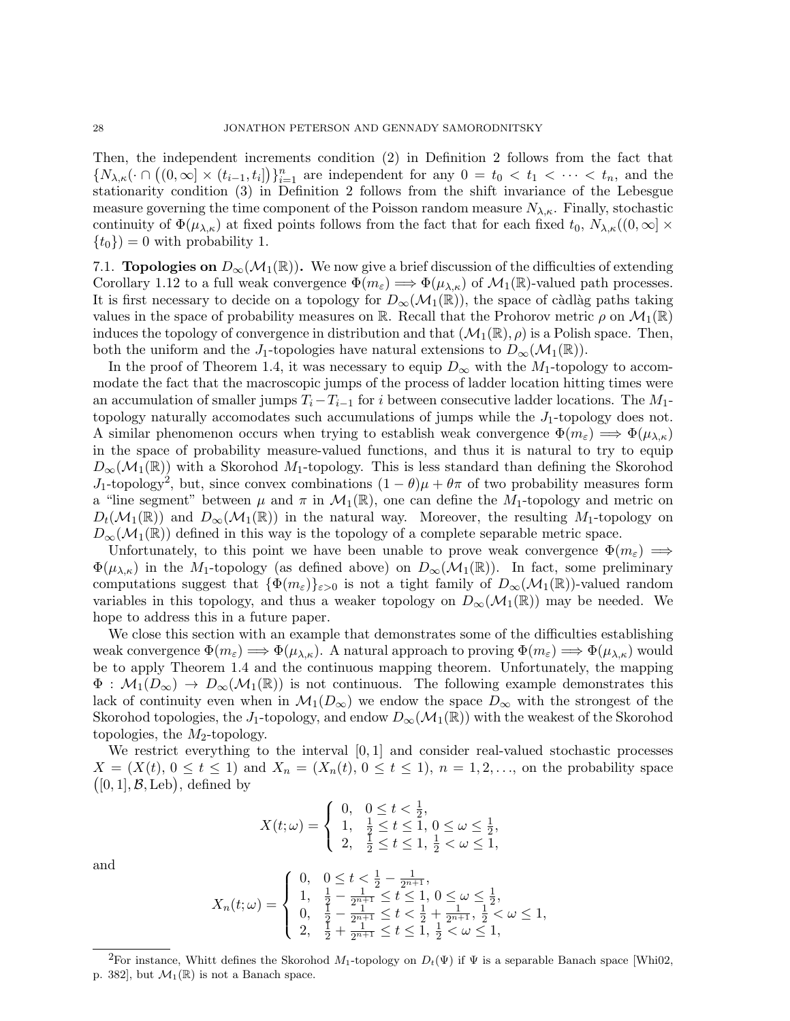Then, the independent increments condition (2) in Definition 2 follows from the fact that  ${N_{\lambda,\kappa}}(\cdot \cap ((0,\infty] \times (t_{i-1},t_i]))_{i=1}^n$  are independent for any  $0=t_0 < t_1 < \cdots < t_n$ , and the stationarity condition (3) in Definition 2 follows from the shift invariance of the Lebesgue measure governing the time component of the Poisson random measure  $N_{\lambda,\kappa}$ . Finally, stochastic continuity of  $\Phi(\mu_{\lambda,\kappa})$  at fixed points follows from the fact that for each fixed  $t_0$ ,  $N_{\lambda,\kappa}((0,\infty] \times$  ${t_0} = 0$  with probability 1.

7.1. **Topologies on**  $D_{\infty}(\mathcal{M}_1(\mathbb{R}))$ . We now give a brief discussion of the difficulties of extending Corollary 1.12 to a full weak convergence  $\Phi(m_{\varepsilon}) \Longrightarrow \Phi(\mu_{\lambda,\kappa})$  of  $\mathcal{M}_1(\mathbb{R})$ -valued path processes. It is first necessary to decide on a topology for  $D_{\infty}(\mathcal{M}_1(\mathbb{R}))$ , the space of càdlàg paths taking values in the space of probability measures on R. Recall that the Prohorov metric  $\rho$  on  $\mathcal{M}_1(\mathbb{R})$ induces the topology of convergence in distribution and that  $(\mathcal{M}_1(\mathbb{R}), \rho)$  is a Polish space. Then, both the uniform and the J<sub>1</sub>-topologies have natural extensions to  $D_{\infty}(\mathcal{M}_1(\mathbb{R}))$ .

In the proof of Theorem 1.4, it was necessary to equip  $D_{\infty}$  with the M<sub>1</sub>-topology to accommodate the fact that the macroscopic jumps of the process of ladder location hitting times were an accumulation of smaller jumps  $T_i-T_{i-1}$  for i between consecutive ladder locations. The  $M_1$ topology naturally accomodates such accumulations of jumps while the  $J_1$ -topology does not. A similar phenomenon occurs when trying to establish weak convergence  $\Phi(m_{\varepsilon}) \Longrightarrow \Phi(\mu_{\lambda,\kappa})$ in the space of probability measure-valued functions, and thus it is natural to try to equip  $D_{\infty}(\mathcal{M}_1(\mathbb{R}))$  with a Skorohod  $M_1$ -topology. This is less standard than defining the Skorohod J<sub>1</sub>-topology<sup>2</sup>, but, since convex combinations  $(1 - \theta)\mu + \theta\pi$  of two probability measures form a "line segment" between  $\mu$  and  $\pi$  in  $\mathcal{M}_1(\mathbb{R})$ , one can define the  $M_1$ -topology and metric on  $D_t(\mathcal{M}_1(\mathbb{R}))$  and  $D_\infty(\mathcal{M}_1(\mathbb{R}))$  in the natural way. Moreover, the resulting  $M_1$ -topology on  $D_{\infty}(\mathcal{M}_1(\mathbb{R}))$  defined in this way is the topology of a complete separable metric space.

Unfortunately, to this point we have been unable to prove weak convergence  $\Phi(m_{\varepsilon}) \implies$  $\Phi(\mu_{\lambda,\kappa})$  in the M<sub>1</sub>-topology (as defined above) on  $D_{\infty}(\mathcal{M}_1(\mathbb{R}))$ . In fact, some preliminary computations suggest that  $\{\Phi(m_{\varepsilon})\}_{{\varepsilon}>0}$  is not a tight family of  $D_{\infty}(\mathcal{M}_1(\mathbb{R}))$ -valued random variables in this topology, and thus a weaker topology on  $D_{\infty}(\mathcal{M}_1(\mathbb{R}))$  may be needed. We hope to address this in a future paper.

We close this section with an example that demonstrates some of the difficulties establishing weak convergence  $\Phi(m_{\varepsilon}) \Longrightarrow \Phi(\mu_{\lambda,\kappa})$ . A natural approach to proving  $\Phi(m_{\varepsilon}) \Longrightarrow \Phi(\mu_{\lambda,\kappa})$  would be to apply Theorem 1.4 and the continuous mapping theorem. Unfortunately, the mapping  $\Phi : \mathcal{M}_1(D_\infty) \to D_\infty(\mathcal{M}_1(\mathbb{R}))$  is not continuous. The following example demonstrates this lack of continuity even when in  $\mathcal{M}_1(D_\infty)$  we endow the space  $D_\infty$  with the strongest of the Skorohod topologies, the J<sub>1</sub>-topology, and endow  $D_{\infty}(\mathcal{M}_1(\mathbb{R}))$  with the weakest of the Skorohod topologies, the  $M_2$ -topology.

We restrict everything to the interval  $[0, 1]$  and consider real-valued stochastic processes  $X = (X(t), 0 \le t \le 1)$  and  $X_n = (X_n(t), 0 \le t \le 1)$ ,  $n = 1, 2, \ldots$ , on the probability space  $([0, 1], \mathcal{B}, \text{Leb})$ , defined by

$$
X(t; \omega) = \begin{cases} 0, & 0 \le t < \frac{1}{2}, \\ 1, & \frac{1}{2} \le t \le 1, 0 \le \omega \le \frac{1}{2}, \\ 2, & \frac{1}{2} \le t \le 1, \frac{1}{2} < \omega \le 1, \end{cases}
$$

and

$$
X_n(t; \omega) = \begin{cases} 0, & 0 \le t < \frac{1}{2} - \frac{1}{2^{n+1}}, \\ 1, & \frac{1}{2} - \frac{1}{2^{n+1}} \le t \le 1, 0 \le \omega \le \frac{1}{2}, \\ 0, & \frac{1}{2} - \frac{1}{2^{n+1}} \le t < \frac{1}{2} + \frac{1}{2^{n+1}}, \frac{1}{2} < \omega \le 1, \\ 2, & \frac{1}{2} + \frac{1}{2^{n+1}} \le t \le 1, \frac{1}{2} < \omega \le 1, \end{cases}
$$

<sup>&</sup>lt;sup>2</sup>For instance, Whitt defines the Skorohod M<sub>1</sub>-topology on  $D_t(\Psi)$  if  $\Psi$  is a separable Banach space [Whi02, p. 382], but  $\mathcal{M}_1(\mathbb{R})$  is not a Banach space.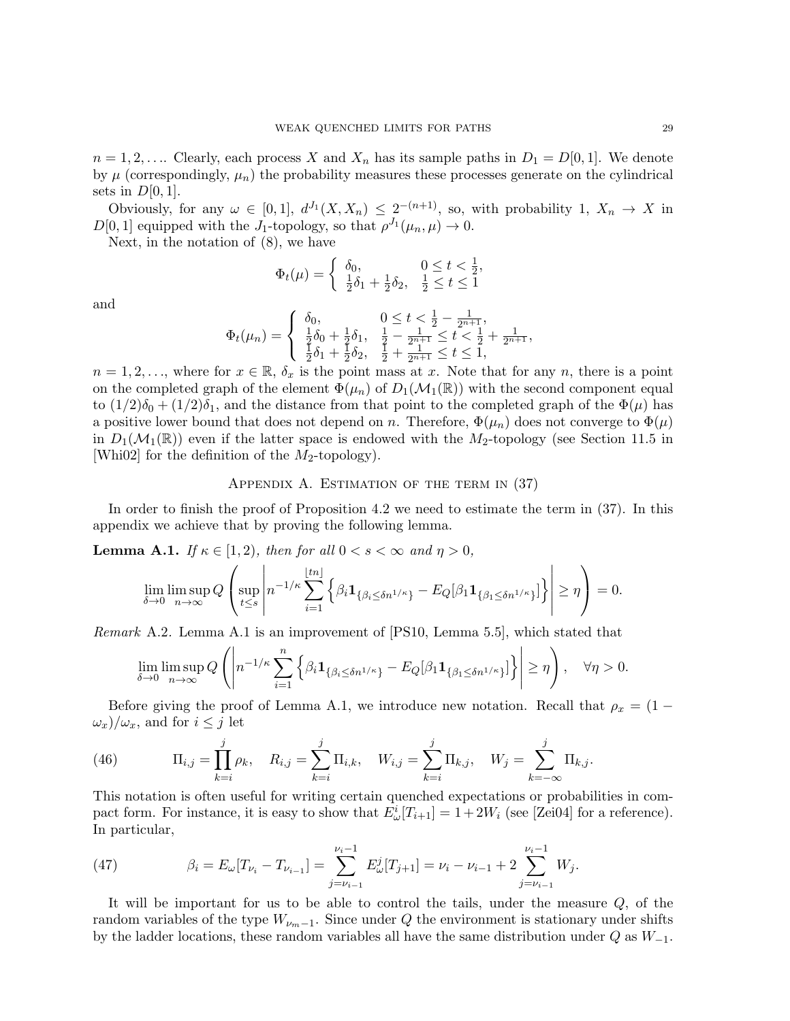$n = 1, 2, \ldots$  Clearly, each process X and  $X_n$  has its sample paths in  $D_1 = D[0, 1]$ . We denote by  $\mu$  (correspondingly,  $\mu_n$ ) the probability measures these processes generate on the cylindrical sets in  $D[0,1]$ .

Obviously, for any  $\omega \in [0,1], d^{J_1}(X,X_n) \leq 2^{-(n+1)}$ , so, with probability 1,  $X_n \to X$  in  $D[0, 1]$  equipped with the  $J_1$ -topology, so that  $\rho^{J_1}(\mu_n, \mu) \to 0$ .

Next, in the notation of (8), we have

$$
\Phi_t(\mu) = \begin{cases} \delta_0, & 0 \le t < \frac{1}{2}, \\ \frac{1}{2}\delta_1 + \frac{1}{2}\delta_2, & \frac{1}{2} \le t \le 1 \end{cases}
$$

and

$$
\Phi_t(\mu_n) = \begin{cases} \delta_0, & 0 \leq t < \frac{1}{2} - \frac{1}{2^{n+1}}, \\ \frac{1}{2}\delta_0 + \frac{1}{2}\delta_1, & \frac{1}{2} - \frac{1}{2^{n+1}} \leq t < \frac{1}{2} + \frac{1}{2^{n+1}}, \\ \frac{1}{2}\delta_1 + \frac{1}{2}\delta_2, & \frac{1}{2} + \frac{1}{2^{n+1}} \leq t \leq 1, \end{cases}
$$

 $n = 1, 2, \ldots$ , where for  $x \in \mathbb{R}$ ,  $\delta_x$  is the point mass at x. Note that for any n, there is a point on the completed graph of the element  $\Phi(\mu_n)$  of  $D_1(\mathcal{M}_1(\mathbb{R}))$  with the second component equal to  $(1/2)\delta_0 + (1/2)\delta_1$ , and the distance from that point to the completed graph of the  $\Phi(\mu)$  has a positive lower bound that does not depend on n. Therefore,  $\Phi(\mu_n)$  does not converge to  $\Phi(\mu)$ in  $D_1(\mathcal{M}_1(\mathbb{R}))$  even if the latter space is endowed with the  $M_2$ -topology (see Section 11.5 in [Whi02] for the definition of the  $M_2$ -topology).

# APPENDIX A. ESTIMATION OF THE TERM IN (37)

In order to finish the proof of Proposition 4.2 we need to estimate the term in (37). In this appendix we achieve that by proving the following lemma.

**Lemma A.1.** If  $\kappa \in [1,2)$ , then for all  $0 < s < \infty$  and  $\eta > 0$ ,

$$
\lim_{\delta \to 0} \limsup_{n \to \infty} Q\left(\sup_{t \le s} \left| n^{-1/\kappa} \sum_{i=1}^{\lfloor tn \rfloor} \left\{ \beta_i \mathbf{1}_{\{\beta_i \le \delta n^{1/\kappa}\}} - E_Q[\beta_1 \mathbf{1}_{\{\beta_1 \le \delta n^{1/\kappa}\}}] \right\} \right| \ge \eta \right) = 0.
$$

Remark A.2. Lemma A.1 is an improvement of [PS10, Lemma 5.5], which stated that

$$
\lim_{\delta \to 0} \limsup_{n \to \infty} Q\left(\left|n^{-1/\kappa} \sum_{i=1}^n \left\{\beta_i \mathbf{1}_{\{\beta_i \le \delta n^{1/\kappa}\}} - E_Q[\beta_1 \mathbf{1}_{\{\beta_1 \le \delta n^{1/\kappa}\}}]\right\}\right| \ge \eta\right), \quad \forall \eta > 0.
$$

Before giving the proof of Lemma A.1, we introduce new notation. Recall that  $\rho_x = (1 (\omega_x)/\omega_x$ , and for  $i \leq j$  let

(46) 
$$
\Pi_{i,j} = \prod_{k=i}^{j} \rho_k, \quad R_{i,j} = \sum_{k=i}^{j} \Pi_{i,k}, \quad W_{i,j} = \sum_{k=i}^{j} \Pi_{k,j}, \quad W_j = \sum_{k=-\infty}^{j} \Pi_{k,j}.
$$

This notation is often useful for writing certain quenched expectations or probabilities in compact form. For instance, it is easy to show that  $E^i_\omega[T_{i+1}] = 1 + 2W_i$  (see [Zei04] for a reference). In particular,

(47) 
$$
\beta_i = E_{\omega}[T_{\nu_i} - T_{\nu_{i-1}}] = \sum_{j=\nu_{i-1}}^{\nu_i-1} E_{\omega}^j[T_{j+1}] = \nu_i - \nu_{i-1} + 2 \sum_{j=\nu_{i-1}}^{\nu_i-1} W_j.
$$

It will be important for us to be able to control the tails, under the measure  $Q$ , of the random variables of the type  $W_{\nu_m-1}$ . Since under Q the environment is stationary under shifts by the ladder locations, these random variables all have the same distribution under  $Q$  as  $W_{-1}$ .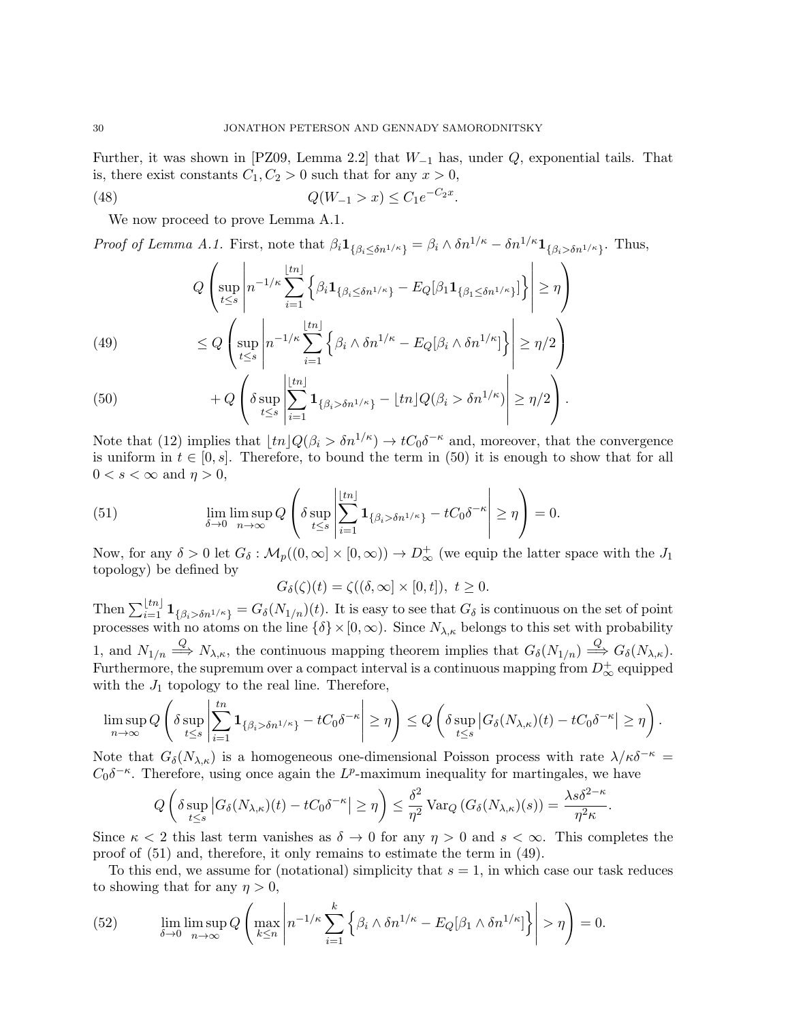Further, it was shown in [PZ09, Lemma 2.2] that  $W_{-1}$  has, under  $Q$ , exponential tails. That is, there exist constants  $C_1, C_2 > 0$  such that for any  $x > 0$ ,

(48) 
$$
Q(W_{-1} > x) \le C_1 e^{-C_2 x}.
$$

We now proceed to prove Lemma A.1.

Proof of Lemma A.1. First, note that  $\beta_i \mathbf{1}_{\{\beta_i \leq \delta n^{1/\kappa}\}} = \beta_i \wedge \delta n^{1/\kappa} - \delta n^{1/\kappa} \mathbf{1}_{\{\beta_i > \delta n^{1/\kappa}\}}$ . Thus,

$$
Q\left(\sup_{t\leq s} \left| n^{-1/\kappa} \sum_{i=1}^{\lfloor tn \rfloor} \left\{ \beta_i \mathbf{1}_{\{\beta_i \leq \delta n^{1/\kappa}\}} - E_Q[\beta_1 \mathbf{1}_{\{\beta_1 \leq \delta n^{1/\kappa}\}}] \right\} \right| \geq \eta \right)
$$
\n
$$
\leq Q\left(\sup_{t\leq s} \left| n^{-1/\kappa} \sum_{i=1}^{\lfloor tn \rfloor} \left\{ \beta_i \wedge \delta n^{1/\kappa} - E_Q[\beta_i \wedge \delta n^{1/\kappa}] \right\} \right| \geq \eta/2 \right)
$$
\n
$$
(50)
$$

(50) 
$$
+Q\left(\delta \sup_{t\leq s}\left|\sum_{i=1}^{\lfloor \frac{\ell}{2}\rfloor}1_{\{\beta_i>\delta n^{1/\kappa}\}}-\lfloor tn\rfloor Q(\beta_i>\delta n^{1/\kappa})\right|\geq \eta/2\right).
$$

Note that (12) implies that  $\lfloor tn\rfloor Q(\beta_i > \delta n^{1/\kappa}) \to tC_0\delta^{-\kappa}$  and, moreover, that the convergence is uniform in  $t \in [0, s]$ . Therefore, to bound the term in (50) it is enough to show that for all  $0 < s < \infty$  and  $\eta > 0$ ,

(51) 
$$
\lim_{\delta \to 0} \limsup_{n \to \infty} Q\left(\delta \sup_{t \le s} \left| \sum_{i=1}^{\lfloor tn \rfloor} \mathbf{1}_{\{\beta_i > \delta n^{1/\kappa}\}} - tC_0 \delta^{-\kappa} \right| \ge \eta \right) = 0.
$$

Now, for any  $\delta > 0$  let  $G_{\delta} : \mathcal{M}_p((0,\infty] \times [0,\infty)) \to D^+_{\infty}$  (we equip the latter space with the  $J_1$ topology) be defined by

$$
G_{\delta}(\zeta)(t) = \zeta((\delta, \infty] \times [0, t]), \ t \ge 0.
$$

Then  $\sum_{i=1}^{\lfloor tn\rfloor} \mathbf{1}_{\{\beta_i > \delta n^{1/\kappa}\}} = G_{\delta}(N_{1/n})(t)$ . It is easy to see that  $G_{\delta}$  is continuous on the set of point processes with no atoms on the line  $\{\delta\} \times [0, \infty)$ . Since  $N_{\lambda,\kappa}$  belongs to this set with probability 1, and  $N_{1/n} \stackrel{Q}{\Longrightarrow} N_{\lambda,\kappa}$ , the continuous mapping theorem implies that  $G_{\delta}(N_{1/n}) \stackrel{Q}{\Longrightarrow} G_{\delta}(N_{\lambda,\kappa})$ . Furthermore, the supremum over a compact interval is a continuous mapping from  $D_\infty^+$  equipped with the  $J_1$  topology to the real line. Therefore,

$$
\limsup_{n\to\infty} Q\left(\delta \sup_{t\leq s} \left|\sum_{i=1}^{tn} \mathbf{1}_{\{\beta_i > \delta n^{1/\kappa}\}} - tC_0\delta^{-\kappa}\right| \geq \eta\right) \leq Q\left(\delta \sup_{t\leq s} |G_{\delta}(N_{\lambda,\kappa})(t) - tC_0\delta^{-\kappa}| \geq \eta\right).
$$

Note that  $G_{\delta}(N_{\lambda,\kappa})$  is a homogeneous one-dimensional Poisson process with rate  $\lambda/\kappa\delta^{-\kappa}$  =  $C_0 \delta^{-\kappa}$ . Therefore, using once again the L<sup>p</sup>-maximum inequality for martingales, we have

$$
Q\left(\delta \sup_{t\leq s} |G_{\delta}(N_{\lambda,\kappa})(t) - t C_0 \delta^{-\kappa}| \geq \eta\right) \leq \frac{\delta^2}{\eta^2} \operatorname{Var}_Q\left(G_{\delta}(N_{\lambda,\kappa})(s)\right) = \frac{\lambda s \delta^{2-\kappa}}{\eta^2 \kappa}.
$$

Since  $\kappa < 2$  this last term vanishes as  $\delta \to 0$  for any  $\eta > 0$  and  $s < \infty$ . This completes the proof of (51) and, therefore, it only remains to estimate the term in (49).

To this end, we assume for (notational) simplicity that  $s = 1$ , in which case our task reduces to showing that for any  $\eta > 0$ ,

(52) 
$$
\lim_{\delta \to 0} \limsup_{n \to \infty} Q\left(\max_{k \le n} \left| n^{-1/\kappa} \sum_{i=1}^k \left\{ \beta_i \wedge \delta n^{1/\kappa} - E_Q[\beta_1 \wedge \delta n^{1/\kappa}] \right\} \right| > \eta \right) = 0.
$$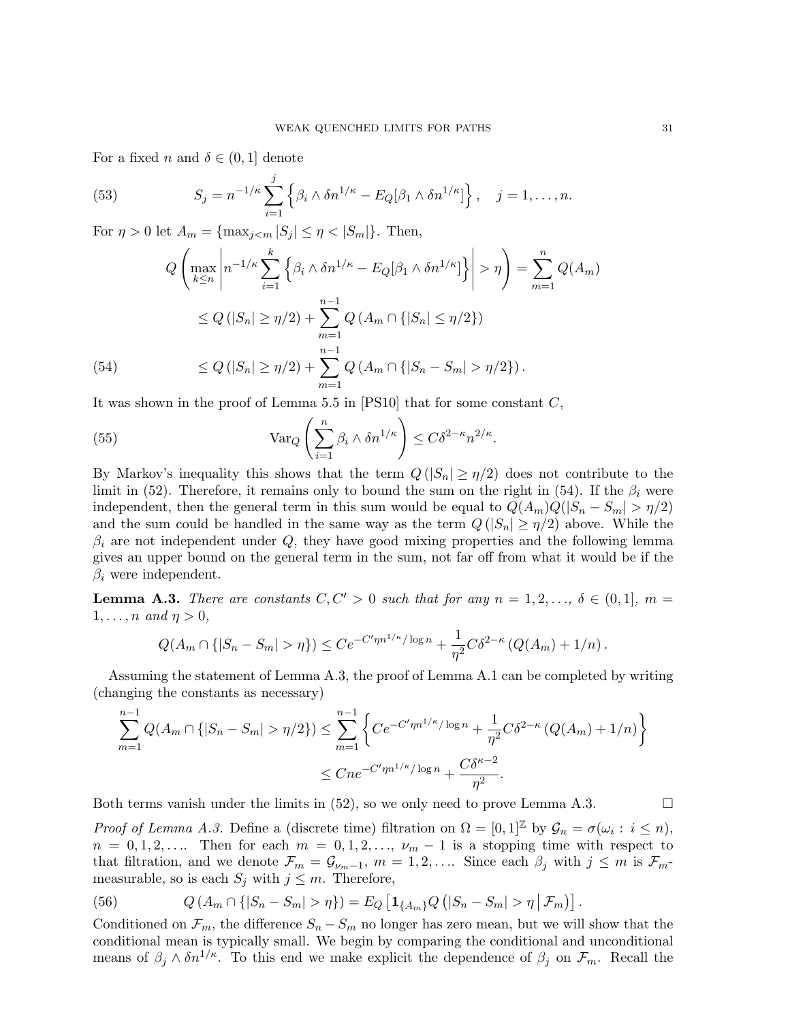For a fixed n and  $\delta \in (0,1]$  denote

(53) 
$$
S_j = n^{-1/\kappa} \sum_{i=1}^j \left\{ \beta_i \wedge \delta n^{1/\kappa} - E_Q[\beta_1 \wedge \delta n^{1/\kappa}] \right\}, \quad j = 1, \ldots, n.
$$

For  $\eta > 0$  let  $A_m = \{ \max_{j \le m} |S_j| \le \eta < |S_m| \}.$  Then,

$$
Q\left(\max_{k\leq n} \left| n^{-1/\kappa} \sum_{i=1}^k \left\{ \beta_i \wedge \delta n^{1/\kappa} - E_Q[\beta_1 \wedge \delta n^{1/\kappa}] \right\} \right| > \eta \right) = \sum_{m=1}^n Q(A_m)
$$
  

$$
\leq Q(|S_n| \geq \eta/2) + \sum_{m=1}^{n-1} Q(A_m \cap \{|S_n| \leq \eta/2\})
$$
  

$$
\leq Q(|S_n| \geq \eta/2) + \sum_{m=1}^{n-1} Q(A_m \cap \{|S_n - S_m| > \eta/2\}).
$$

It was shown in the proof of Lemma 5.5 in  $[PS10]$  that for some constant  $C$ ,

(55) 
$$
\operatorname{Var}_Q\left(\sum_{i=1}^n \beta_i \wedge \delta n^{1/\kappa}\right) \leq C\delta^{2-\kappa} n^{2/\kappa}.
$$

By Markov's inequality this shows that the term  $Q(|S_n| \geq \eta/2)$  does not contribute to the limit in (52). Therefore, it remains only to bound the sum on the right in (54). If the  $\beta_i$  were independent, then the general term in this sum would be equal to  $Q(A_m)Q(|S_n - S_m| > \eta/2)$ and the sum could be handled in the same way as the term  $Q(|S_n| \geq \eta/2)$  above. While the  $\beta_i$  are not independent under Q, they have good mixing properties and the following lemma gives an upper bound on the general term in the sum, not far off from what it would be if the  $\beta_i$  were independent.

**Lemma A.3.** There are constants  $C, C' > 0$  such that for any  $n = 1, 2, \ldots, \delta \in (0, 1], m =$  $1, \ldots, n$  and  $\eta > 0$ ,

$$
Q(A_m \cap \{|S_n - S_m| > \eta\}) \le Ce^{-C'\eta n^{1/\kappa} / \log n} + \frac{1}{\eta^2} C\delta^{2-\kappa} (Q(A_m) + 1/n).
$$

Assuming the statement of Lemma A.3, the proof of Lemma A.1 can be completed by writing (changing the constants as necessary)

$$
\sum_{m=1}^{n-1} Q(A_m \cap \{|S_n - S_m| > \eta/2\}) \le \sum_{m=1}^{n-1} \left\{ C e^{-C' \eta n^{1/\kappa} / \log n} + \frac{1}{\eta^2} C \delta^{2-\kappa} (Q(A_m) + 1/n) \right\}
$$
  

$$
\le C n e^{-C' \eta n^{1/\kappa} / \log n} + \frac{C \delta^{\kappa - 2}}{\eta^2}.
$$

Both terms vanish under the limits in  $(52)$ , so we only need to prove Lemma A.3.

Proof of Lemma A.3. Define a (discrete time) filtration on  $\Omega = [0,1]^{\mathbb{Z}}$  by  $\mathcal{G}_n = \sigma(\omega_i : i \leq n)$ ,  $n = 0, 1, 2, \ldots$  Then for each  $m = 0, 1, 2, \ldots, \nu_m - 1$  is a stopping time with respect to that filtration, and we denote  $\mathcal{F}_m = \mathcal{G}_{\nu_m-1}$ ,  $m = 1, 2, \ldots$  Since each  $\beta_j$  with  $j \leq m$  is  $\mathcal{F}_m$ measurable, so is each  $S_i$  with  $j \leq m$ . Therefore,

(56) 
$$
Q(A_m \cap \{|S_n - S_m| > \eta\}) = E_Q \left[ \mathbf{1}_{\{A_m\}} Q \left( |S_n - S_m| > \eta \, | \, \mathcal{F}_m \right) \right].
$$

Conditioned on  $\mathcal{F}_m$ , the difference  $S_n - S_m$  no longer has zero mean, but we will show that the conditional mean is typically small. We begin by comparing the conditional and unconditional means of  $\beta_j \wedge \delta n^{1/\kappa}$ . To this end we make explicit the dependence of  $\beta_j$  on  $\mathcal{F}_m$ . Recall the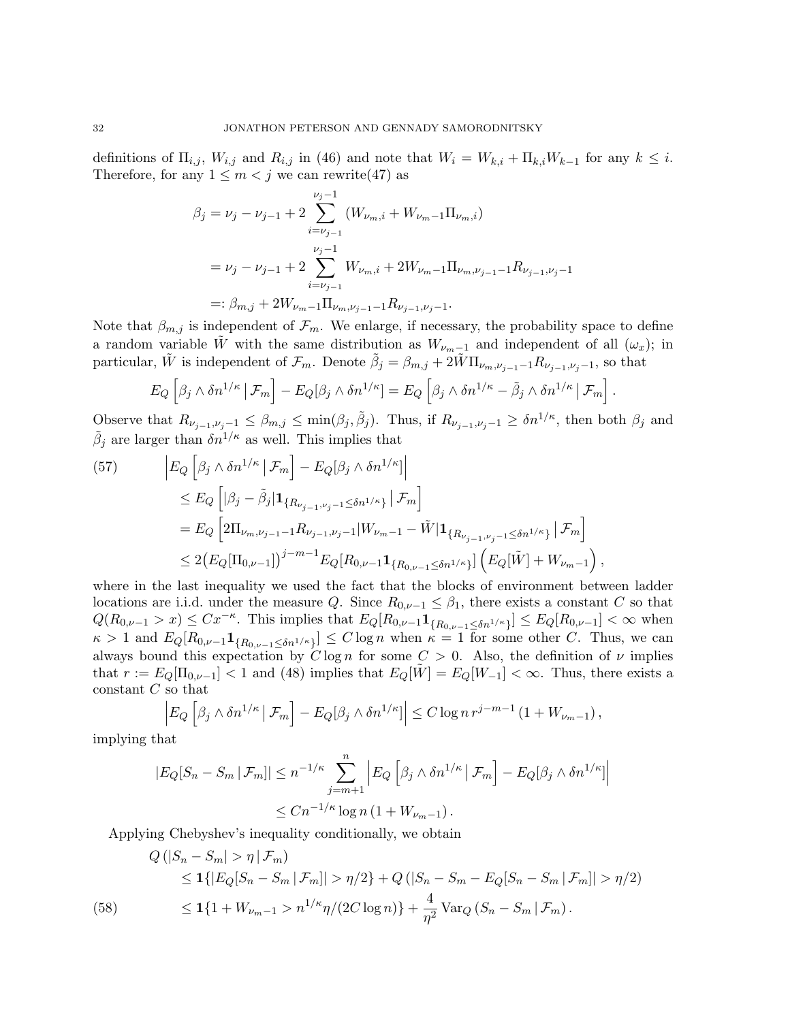definitions of  $\Pi_{i,j}$ ,  $W_{i,j}$  and  $R_{i,j}$  in (46) and note that  $W_i = W_{k,i} + \Pi_{k,i} W_{k-1}$  for any  $k \leq i$ . Therefore, for any  $1 \leq m < j$  we can rewrite (47) as

$$
\beta_j = \nu_j - \nu_{j-1} + 2 \sum_{i=\nu_{j-1}}^{\nu_j - 1} (W_{\nu_m, i} + W_{\nu_m - 1} \Pi_{\nu_m, i})
$$
  
=  $\nu_j - \nu_{j-1} + 2 \sum_{i=\nu_{j-1}}^{\nu_j - 1} W_{\nu_m, i} + 2W_{\nu_m - 1} \Pi_{\nu_m, \nu_{j-1} - 1} R_{\nu_{j-1}, \nu_j - 1}$   
=:  $\beta_{m,j} + 2W_{\nu_m - 1} \Pi_{\nu_m, \nu_{j-1} - 1} R_{\nu_{j-1}, \nu_j - 1}.$ 

Note that  $\beta_{m,j}$  is independent of  $\mathcal{F}_m$ . We enlarge, if necessary, the probability space to define a random variable W with the same distribution as  $W_{\nu_m-1}$  and independent of all  $(\omega_x)$ ; in particular,  $\tilde{W}$  is independent of  $\mathcal{F}_m$ . Denote  $\tilde{\beta}_j = \beta_{m,j} + 2\tilde{W}\Pi_{\nu_m,\nu_{j-1}-1}R_{\nu_{j-1},\nu_j-1}$ , so that

$$
E_Q\left[\beta_j\wedge \delta n^{1/\kappa} \,|\, \mathcal{F}_m\right] - E_Q[\beta_j\wedge \delta n^{1/\kappa}] = E_Q\left[\beta_j\wedge \delta n^{1/\kappa} - \tilde{\beta}_j\wedge \delta n^{1/\kappa} \,|\, \mathcal{F}_m\right].
$$

Observe that  $R_{\nu_{j-1},\nu_j-1} \leq \beta_{m,j} \leq \min(\beta_j,\tilde{\beta}_j)$ . Thus, if  $R_{\nu_{j-1},\nu_j-1} \geq \delta n^{1/\kappa}$ , then both  $\beta_j$  and  $\tilde{\beta}_j$  are larger than  $\delta n^{1/\kappa}$  as well. This implies that

(57) 
$$
\begin{split} \left| E_{Q} \left[ \beta_{j} \wedge \delta n^{1/\kappa} \, \big| \, \mathcal{F}_{m} \right] - E_{Q} [\beta_{j} \wedge \delta n^{1/\kappa}] \right| \\ &\leq E_{Q} \left[ |\beta_{j} - \tilde{\beta}_{j}| \mathbf{1}_{\{R_{\nu_{j-1}, \nu_{j}-1} \leq \delta n^{1/\kappa} \}} \, \big| \, \mathcal{F}_{m} \right] \\ &= E_{Q} \left[ 2\Pi_{\nu_{m}, \nu_{j-1}-1} R_{\nu_{j-1}, \nu_{j}-1} | W_{\nu_{m}-1} - \tilde{W} | \mathbf{1}_{\{R_{\nu_{j-1}, \nu_{j}-1} \leq \delta n^{1/\kappa} \}} \, \big| \, \mathcal{F}_{m} \right] \\ &\leq 2 \big( E_{Q} [\Pi_{0, \nu-1}] \big)^{j-m-1} E_{Q} [R_{0, \nu-1} \mathbf{1}_{\{R_{0, \nu-1} \leq \delta n^{1/\kappa} \}}] \left( E_{Q} [\tilde{W}] + W_{\nu_{m}-1} \right), \end{split}
$$

where in the last inequality we used the fact that the blocks of environment between ladder locations are i.i.d. under the measure Q. Since  $R_{0,\nu-1} \leq \beta_1$ , there exists a constant C so that  $Q(R_{0,\nu-1} > x) \leq C x^{-\kappa}$ . This implies that  $E_Q[R_{0,\nu-1}\mathbf{1}_{\{R_{0,\nu-1}\leq \delta n^{1/\kappa}\}}] \leq E_Q[R_{0,\nu-1}] < \infty$  when  $\kappa > 1$  and  $E_Q[R_{0,\nu-1}\mathbf{1}_{\{R_{0,\nu-1}\leq \delta n^{1/\kappa}\}}] \leq C \log n$  when  $\kappa = 1$  for some other C. Thus, we can always bound this expectation by  $C \log n$  for some  $C > 0$ . Also, the definition of  $\nu$  implies that  $r := E_Q[\Pi_{0,\nu-1}] < 1$  and (48) implies that  $E_Q[\tilde{W}] = E_Q[W_{-1}] < \infty$ . Thus, there exists a constant  $C$  so that

$$
\left| E_Q \left[ \beta_j \wedge \delta n^{1/\kappa} \, \middle| \, \mathcal{F}_m \right] - E_Q [\beta_j \wedge \delta n^{1/\kappa}] \right| \leq C \log n \, r^{j-m-1} \left( 1 + W_{\nu_m - 1} \right),
$$

implying that

$$
|E_Q[S_n - S_m \,|\, \mathcal{F}_m]| \le n^{-1/\kappa} \sum_{j=m+1}^n \left| E_Q \left[ \beta_j \wedge \delta n^{1/\kappa} \,|\, \mathcal{F}_m \right] - E_Q[\beta_j \wedge \delta n^{1/\kappa}] \right|
$$
  

$$
\le Cn^{-1/\kappa} \log n \left( 1 + W_{\nu_m - 1} \right).
$$

Applying Chebyshev's inequality conditionally, we obtain

(58) 
$$
Q(|S_n - S_m| > \eta | \mathcal{F}_m)
$$
  
\n
$$
\leq 1\{|E_Q[S_n - S_m | \mathcal{F}_m]| > \eta/2\} + Q(|S_n - S_m - E_Q[S_n - S_m | \mathcal{F}_m]| > \eta/2)
$$
  
\n
$$
\leq 1\{1 + W_{\nu_m - 1} > n^{1/\kappa} \eta/(2C \log n)\} + \frac{4}{\eta^2} \text{Var}_Q(S_n - S_m | \mathcal{F}_m).
$$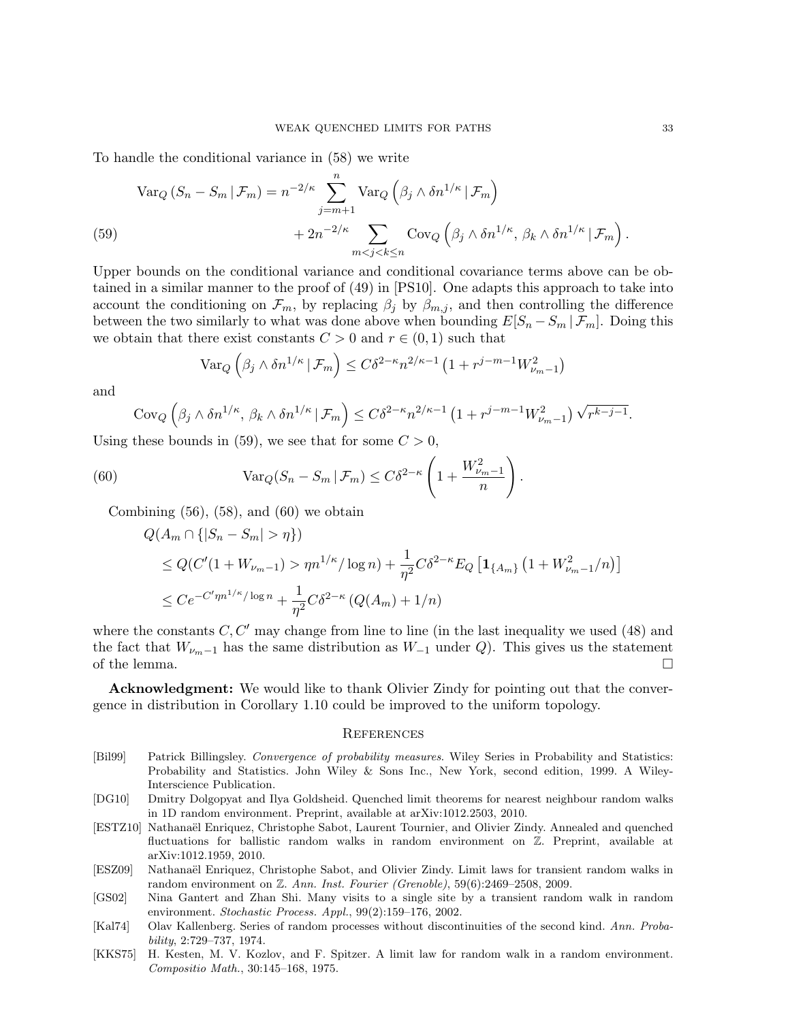To handle the conditional variance in (58) we write

$$
\begin{split} \text{Var}_{Q} \left( S_n - S_m \, | \, \mathcal{F}_m \right) &= n^{-2/\kappa} \sum_{j=m+1}^n \text{Var}_{Q} \left( \beta_j \wedge \delta n^{1/\kappa} \, | \, \mathcal{F}_m \right) \\ &\quad + 2n^{-2/\kappa} \sum_{m < j < k \le n} \text{Cov}_{Q} \left( \beta_j \wedge \delta n^{1/\kappa}, \, \beta_k \wedge \delta n^{1/\kappa} \, | \, \mathcal{F}_m \right). \end{split}
$$

Upper bounds on the conditional variance and conditional covariance terms above can be obtained in a similar manner to the proof of (49) in [PS10]. One adapts this approach to take into account the conditioning on  $\mathcal{F}_m$ , by replacing  $\beta_j$  by  $\beta_{m,j}$ , and then controlling the difference between the two similarly to what was done above when bounding  $E[S_n - S_m | \mathcal{F}_m]$ . Doing this we obtain that there exist constants  $C > 0$  and  $r \in (0, 1)$  such that

$$
\operatorname{Var}_Q\left(\beta_j \wedge \delta n^{1/\kappa} \,|\, \mathcal{F}_m\right) \le C\delta^{2-\kappa} n^{2/\kappa-1} \left(1 + r^{j-m-1} W_{\nu_m-1}^2\right)
$$

and

$$
Cov_Q\left(\beta_j\wedge \delta n^{1/\kappa}, \beta_k\wedge \delta n^{1/\kappa} \,|\,\mathcal{F}_m\right) \leq C\delta^{2-\kappa}n^{2/\kappa-1}\left(1+r^{j-m-1}W_{\nu_m-1}^2\right)\sqrt{r^{k-j-1}}.
$$

Using these bounds in (59), we see that for some  $C > 0$ ,

(60) 
$$
\operatorname{Var}_Q(S_n - S_m | \mathcal{F}_m) \leq C \delta^{2-\kappa} \left( 1 + \frac{W_{\nu_m-1}^2}{n} \right).
$$

Combining  $(56)$ ,  $(58)$ , and  $(60)$  we obtain

$$
Q(A_m \cap \{|S_n - S_m| > \eta\})
$$
  
\n
$$
\leq Q(C'(1 + W_{\nu_m - 1}) > \eta n^{1/\kappa} / \log n) + \frac{1}{\eta^2} C \delta^{2-\kappa} E_Q \left[ \mathbf{1}_{\{A_m\}} \left( 1 + W_{\nu_m - 1}^2 / n \right) \right]
$$
  
\n
$$
\leq C e^{-C' \eta n^{1/\kappa} / \log n} + \frac{1}{\eta^2} C \delta^{2-\kappa} \left( Q(A_m) + 1/n \right)
$$

where the constants  $C, C'$  may change from line to line (in the last inequality we used (48) and the fact that  $W_{\nu_m-1}$  has the same distribution as  $W_{-1}$  under Q). This gives us the statement of the lemma.  $\Box$ 

Acknowledgment: We would like to thank Olivier Zindy for pointing out that the convergence in distribution in Corollary 1.10 could be improved to the uniform topology.

#### **REFERENCES**

- [Bil99] Patrick Billingsley. Convergence of probability measures. Wiley Series in Probability and Statistics: Probability and Statistics. John Wiley & Sons Inc., New York, second edition, 1999. A Wiley-Interscience Publication.
- [DG10] Dmitry Dolgopyat and Ilya Goldsheid. Quenched limit theorems for nearest neighbour random walks in 1D random environment. Preprint, available at arXiv:1012.2503, 2010.
- [ESTZ10] Nathanaël Enriquez, Christophe Sabot, Laurent Tournier, and Olivier Zindy. Annealed and quenched fluctuations for ballistic random walks in random environment on Z. Preprint, available at arXiv:1012.1959, 2010.
- [ESZ09] Nathanaël Enriquez, Christophe Sabot, and Olivier Zindy. Limit laws for transient random walks in random environment on Z. Ann. Inst. Fourier (Grenoble), 59(6):2469–2508, 2009.
- [GS02] Nina Gantert and Zhan Shi. Many visits to a single site by a transient random walk in random environment. Stochastic Process. Appl., 99(2):159–176, 2002.
- [Kal74] Olav Kallenberg. Series of random processes without discontinuities of the second kind. Ann. Probability, 2:729–737, 1974.
- [KKS75] H. Kesten, M. V. Kozlov, and F. Spitzer. A limit law for random walk in a random environment. Compositio Math., 30:145–168, 1975.